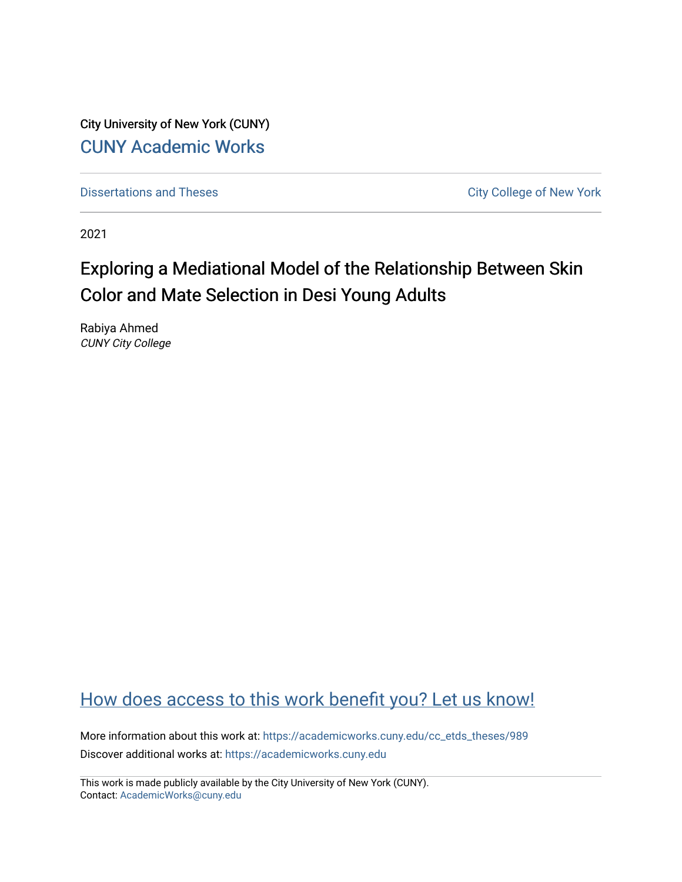City University of New York (CUNY) [CUNY Academic Works](https://academicworks.cuny.edu/) 

[Dissertations and Theses](https://academicworks.cuny.edu/cc_etds_theses) **City College of New York** City College of New York

2021

# Exploring a Mediational Model of the Relationship Between Skin Color and Mate Selection in Desi Young Adults

Rabiya Ahmed CUNY City College

# [How does access to this work benefit you? Let us know!](http://ols.cuny.edu/academicworks/?ref=https://academicworks.cuny.edu/cc_etds_theses/989)

More information about this work at: [https://academicworks.cuny.edu/cc\\_etds\\_theses/989](https://academicworks.cuny.edu/cc_etds_theses/989)  Discover additional works at: [https://academicworks.cuny.edu](https://academicworks.cuny.edu/?)

This work is made publicly available by the City University of New York (CUNY). Contact: [AcademicWorks@cuny.edu](mailto:AcademicWorks@cuny.edu)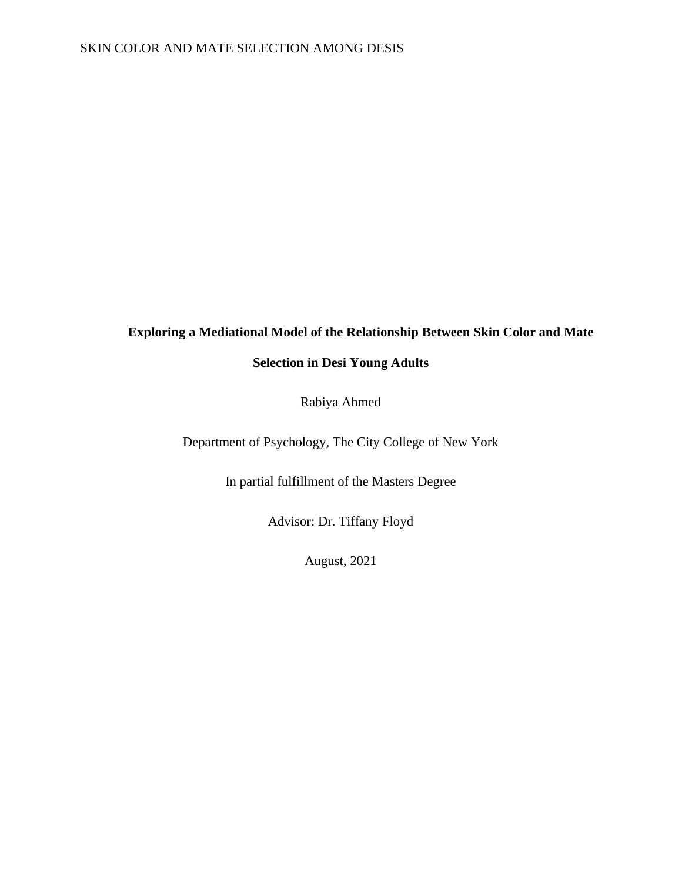## **Exploring a Mediational Model of the Relationship Between Skin Color and Mate**

## **Selection in Desi Young Adults**

Rabiya Ahmed

Department of Psychology, The City College of New York

In partial fulfillment of the Masters Degree

Advisor: Dr. Tiffany Floyd

August, 2021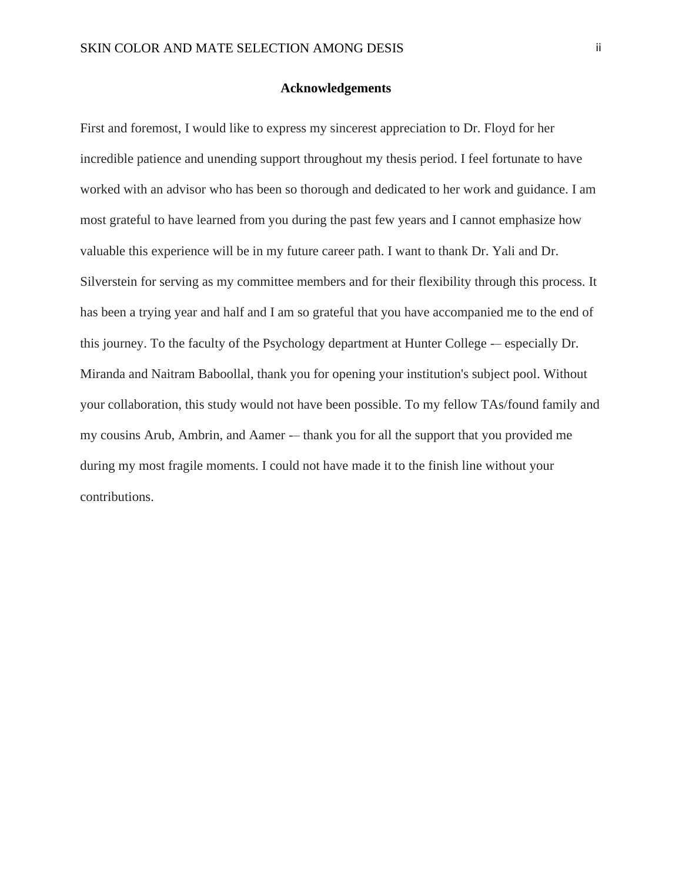#### **Acknowledgements**

First and foremost, I would like to express my sincerest appreciation to Dr. Floyd for her incredible patience and unending support throughout my thesis period. I feel fortunate to have worked with an advisor who has been so thorough and dedicated to her work and guidance. I am most grateful to have learned from you during the past few years and I cannot emphasize how valuable this experience will be in my future career path. I want to thank Dr. Yali and Dr. Silverstein for serving as my committee members and for their flexibility through this process. It has been a trying year and half and I am so grateful that you have accompanied me to the end of this journey. To the faculty of the Psychology department at Hunter College -– especially Dr. Miranda and Naitram Baboollal, thank you for opening your institution's subject pool. Without your collaboration, this study would not have been possible. To my fellow TAs/found family and my cousins Arub, Ambrin, and Aamer — thank you for all the support that you provided me during my most fragile moments. I could not have made it to the finish line without your contributions.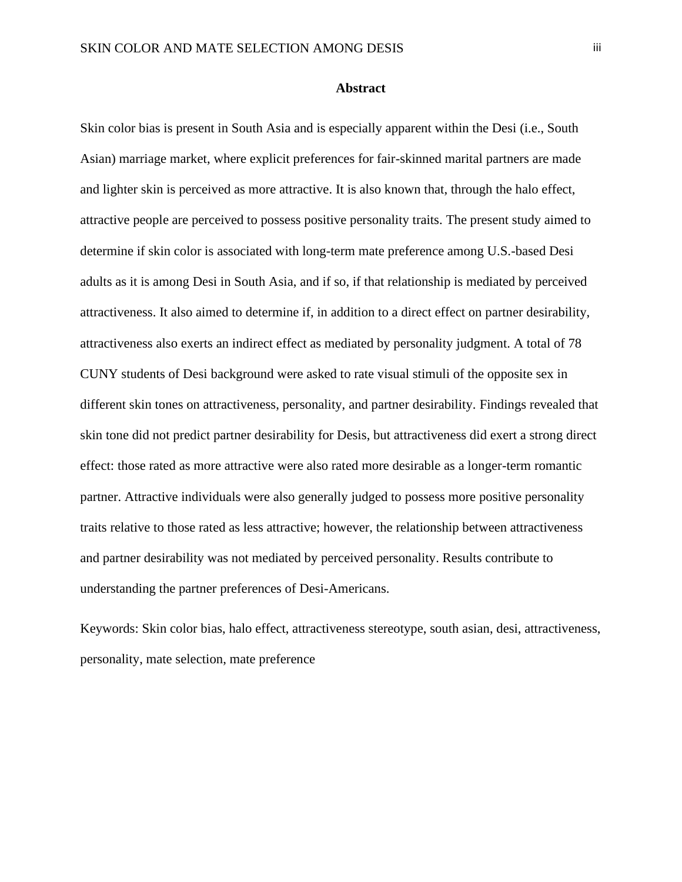#### **Abstract**

Skin color bias is present in South Asia and is especially apparent within the Desi (i.e., South Asian) marriage market, where explicit preferences for fair-skinned marital partners are made and lighter skin is perceived as more attractive. It is also known that, through the halo effect, attractive people are perceived to possess positive personality traits. The present study aimed to determine if skin color is associated with long-term mate preference among U.S.-based Desi adults as it is among Desi in South Asia, and if so, if that relationship is mediated by perceived attractiveness. It also aimed to determine if, in addition to a direct effect on partner desirability, attractiveness also exerts an indirect effect as mediated by personality judgment. A total of 78 CUNY students of Desi background were asked to rate visual stimuli of the opposite sex in different skin tones on attractiveness, personality, and partner desirability. Findings revealed that skin tone did not predict partner desirability for Desis, but attractiveness did exert a strong direct effect: those rated as more attractive were also rated more desirable as a longer-term romantic partner. Attractive individuals were also generally judged to possess more positive personality traits relative to those rated as less attractive; however, the relationship between attractiveness and partner desirability was not mediated by perceived personality. Results contribute to understanding the partner preferences of Desi-Americans.

Keywords: Skin color bias, halo effect, attractiveness stereotype, south asian, desi, attractiveness, personality, mate selection, mate preference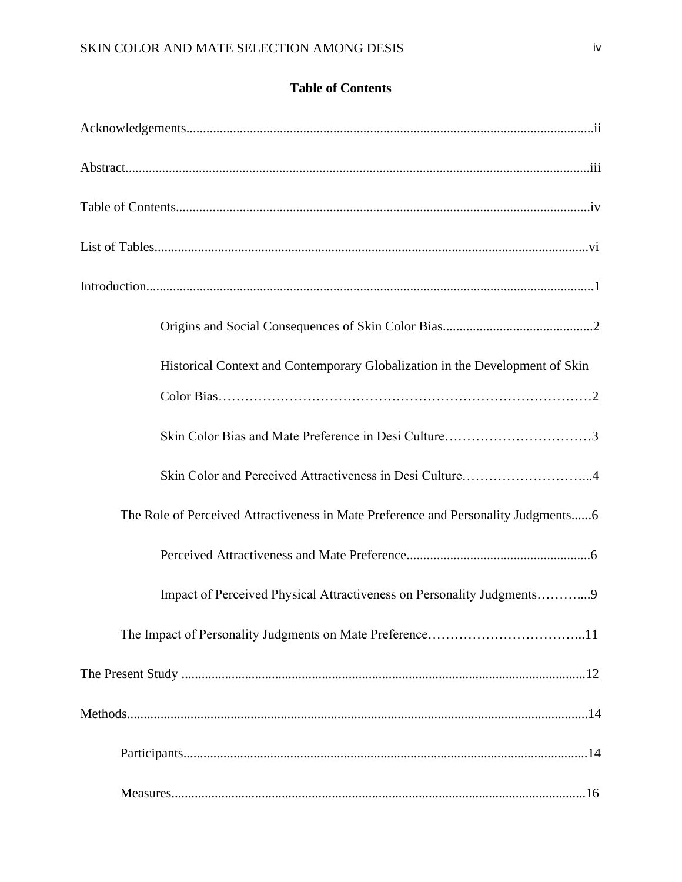## **Table of Contents**

| Historical Context and Contemporary Globalization in the Development of Skin       |
|------------------------------------------------------------------------------------|
|                                                                                    |
|                                                                                    |
| Skin Color and Perceived Attractiveness in Desi Culture4                           |
| The Role of Perceived Attractiveness in Mate Preference and Personality Judgments6 |
|                                                                                    |
| Impact of Perceived Physical Attractiveness on Personality Judgments9              |
|                                                                                    |
|                                                                                    |
|                                                                                    |
|                                                                                    |
|                                                                                    |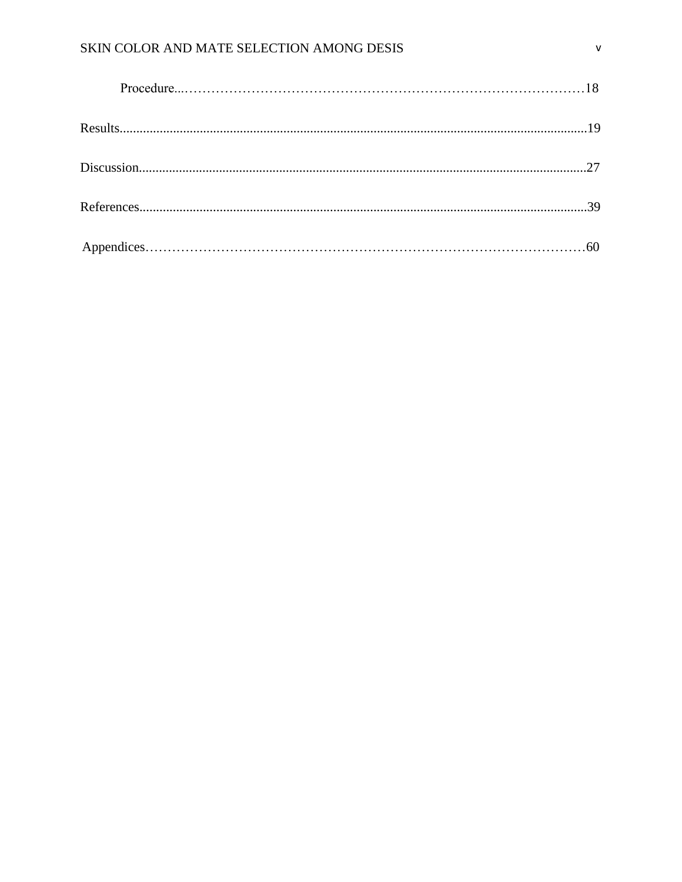## SKIN COLOR AND MATE SELECTION AMONG DESIS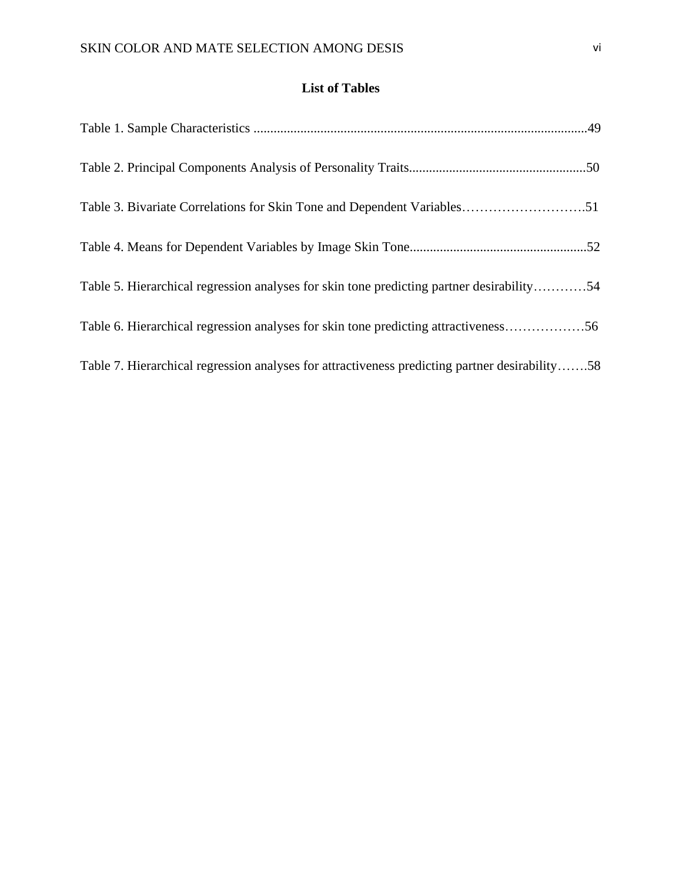## **List of Tables**

| Table 5. Hierarchical regression analyses for skin tone predicting partner desirability54      |  |
|------------------------------------------------------------------------------------------------|--|
| Table 6. Hierarchical regression analyses for skin tone predicting attractiveness56            |  |
| Table 7. Hierarchical regression analyses for attractiveness predicting partner desirability58 |  |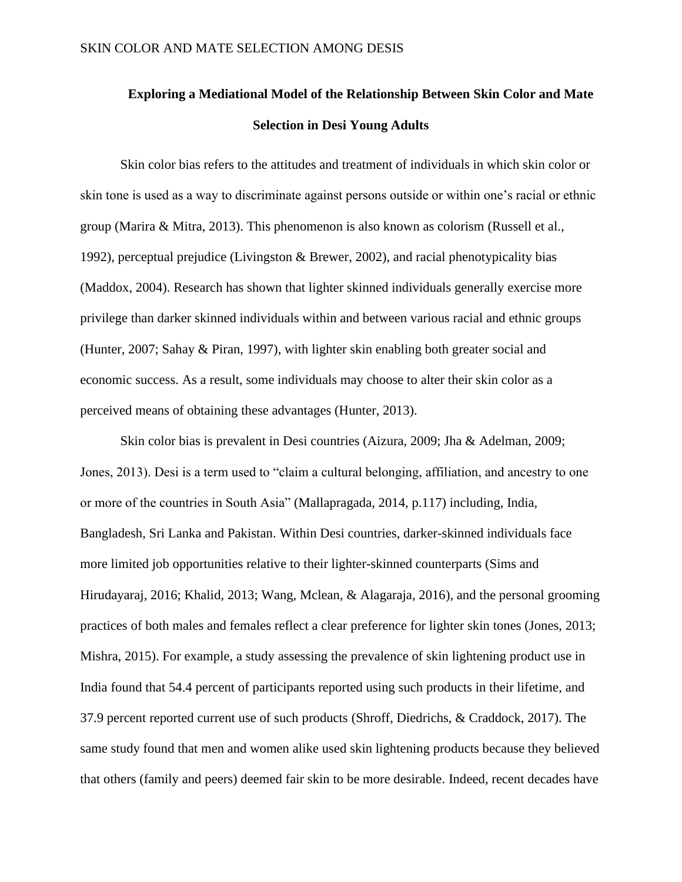# **Exploring a Mediational Model of the Relationship Between Skin Color and Mate Selection in Desi Young Adults**

Skin color bias refers to the attitudes and treatment of individuals in which skin color or skin tone is used as a way to discriminate against persons outside or within one's racial or ethnic group (Marira & Mitra, 2013). This phenomenon is also known as colorism (Russell et al., 1992), perceptual prejudice (Livingston & Brewer, 2002), and racial phenotypicality bias (Maddox, 2004). Research has shown that lighter skinned individuals generally exercise more privilege than darker skinned individuals within and between various racial and ethnic groups (Hunter, 2007; Sahay & Piran, 1997), with lighter skin enabling both greater social and economic success. As a result, some individuals may choose to alter their skin color as a perceived means of obtaining these advantages (Hunter, 2013).

Skin color bias is prevalent in Desi countries (Aizura, 2009; Jha & Adelman, 2009; Jones, 2013). Desi is a term used to "claim a cultural belonging, affiliation, and ancestry to one or more of the countries in South Asia" (Mallapragada, 2014, p.117) including, India, Bangladesh, Sri Lanka and Pakistan. Within Desi countries, darker-skinned individuals face more limited job opportunities relative to their lighter-skinned counterparts (Sims and Hirudayaraj, 2016; Khalid, 2013; Wang, Mclean, & Alagaraja, 2016), and the personal grooming practices of both males and females reflect a clear preference for lighter skin tones (Jones, 2013; Mishra, 2015). For example, a study assessing the prevalence of skin lightening product use in India found that 54.4 percent of participants reported using such products in their lifetime, and 37.9 percent reported current use of such products (Shroff, Diedrichs, & Craddock, 2017). The same study found that men and women alike used skin lightening products because they believed that others (family and peers) deemed fair skin to be more desirable. Indeed, recent decades have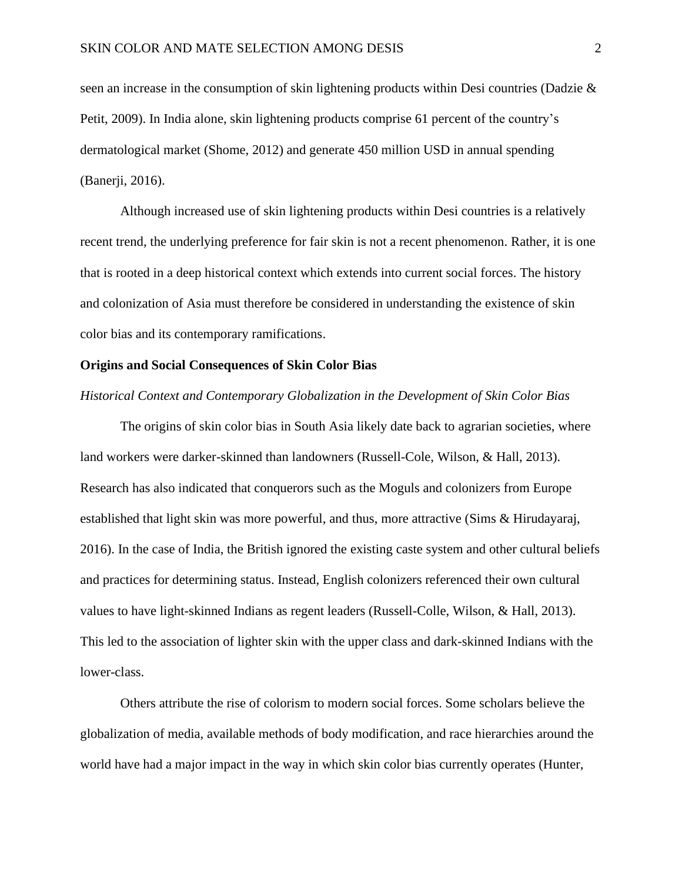seen an increase in the consumption of skin lightening products within Desi countries (Dadzie & Petit, 2009). In India alone, skin lightening products comprise 61 percent of the country's dermatological market (Shome, 2012) and generate 450 million USD in annual spending (Banerji, 2016).

Although increased use of skin lightening products within Desi countries is a relatively recent trend, the underlying preference for fair skin is not a recent phenomenon. Rather, it is one that is rooted in a deep historical context which extends into current social forces. The history and colonization of Asia must therefore be considered in understanding the existence of skin color bias and its contemporary ramifications.

#### **Origins and Social Consequences of Skin Color Bias**

#### *Historical Context and Contemporary Globalization in the Development of Skin Color Bias*

The origins of skin color bias in South Asia likely date back to agrarian societies, where land workers were darker-skinned than landowners (Russell-Cole, Wilson, & Hall, 2013). Research has also indicated that conquerors such as the Moguls and colonizers from Europe established that light skin was more powerful, and thus, more attractive (Sims & Hirudayaraj, 2016). In the case of India, the British ignored the existing caste system and other cultural beliefs and practices for determining status. Instead, English colonizers referenced their own cultural values to have light-skinned Indians as regent leaders (Russell-Colle, Wilson, & Hall, 2013). This led to the association of lighter skin with the upper class and dark-skinned Indians with the lower-class.

Others attribute the rise of colorism to modern social forces. Some scholars believe the globalization of media, available methods of body modification, and race hierarchies around the world have had a major impact in the way in which skin color bias currently operates (Hunter,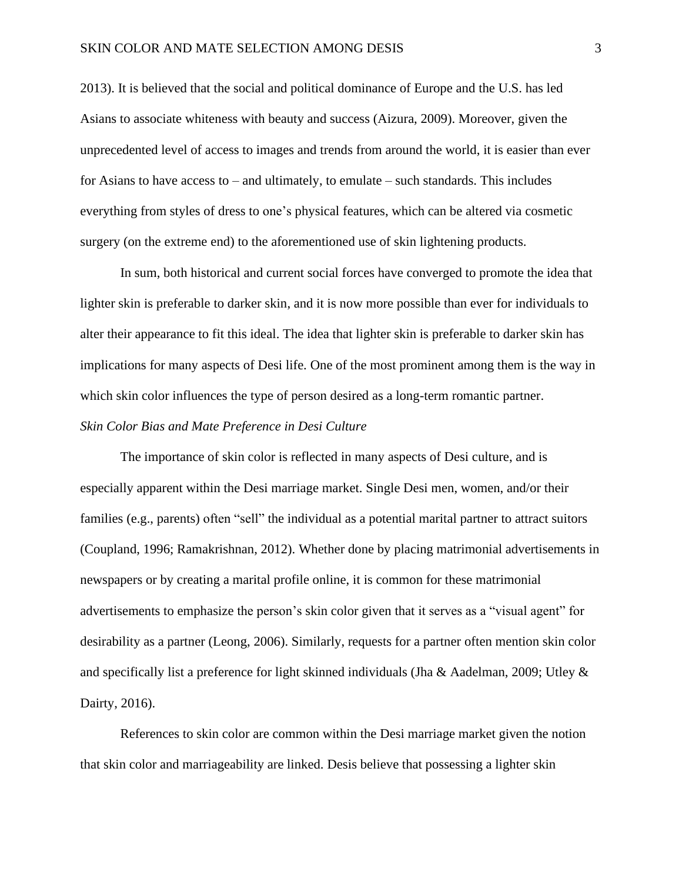2013). It is believed that the social and political dominance of Europe and the U.S. has led Asians to associate whiteness with beauty and success (Aizura, 2009). Moreover, given the unprecedented level of access to images and trends from around the world, it is easier than ever for Asians to have access to – and ultimately, to emulate – such standards. This includes everything from styles of dress to one's physical features, which can be altered via cosmetic surgery (on the extreme end) to the aforementioned use of skin lightening products.

In sum, both historical and current social forces have converged to promote the idea that lighter skin is preferable to darker skin, and it is now more possible than ever for individuals to alter their appearance to fit this ideal. The idea that lighter skin is preferable to darker skin has implications for many aspects of Desi life. One of the most prominent among them is the way in which skin color influences the type of person desired as a long-term romantic partner. *Skin Color Bias and Mate Preference in Desi Culture*

The importance of skin color is reflected in many aspects of Desi culture, and is especially apparent within the Desi marriage market. Single Desi men, women, and/or their families (e.g., parents) often "sell" the individual as a potential marital partner to attract suitors (Coupland, 1996; Ramakrishnan, 2012). Whether done by placing matrimonial advertisements in newspapers or by creating a marital profile online, it is common for these matrimonial advertisements to emphasize the person's skin color given that it serves as a "visual agent" for desirability as a partner (Leong, 2006). Similarly, requests for a partner often mention skin color and specifically list a preference for light skinned individuals (Jha & Aadelman, 2009; Utley & Dairty, 2016).

References to skin color are common within the Desi marriage market given the notion that skin color and marriageability are linked. Desis believe that possessing a lighter skin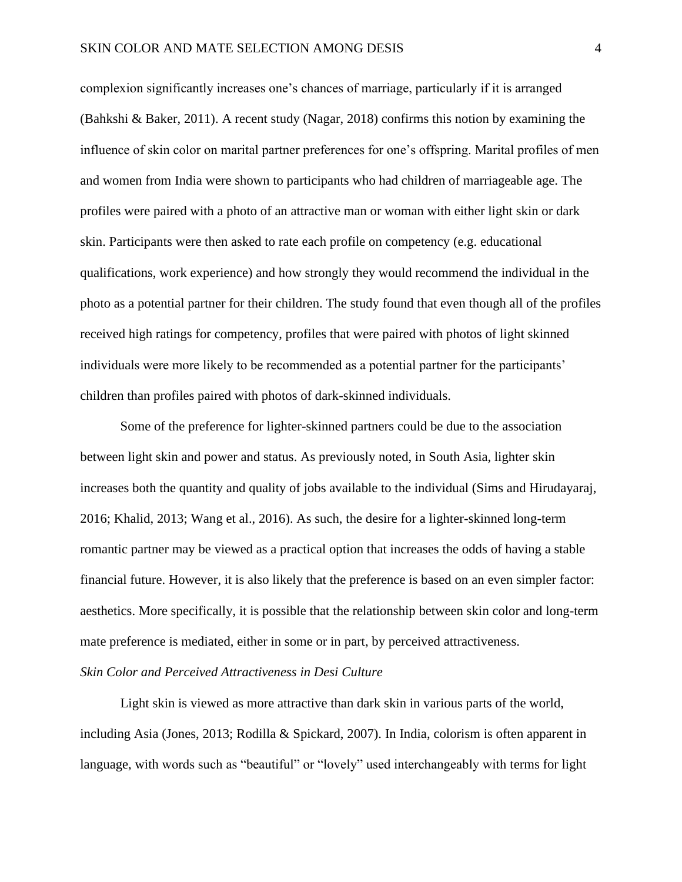complexion significantly increases one's chances of marriage, particularly if it is arranged (Bahkshi & Baker, 2011). A recent study (Nagar, 2018) confirms this notion by examining the influence of skin color on marital partner preferences for one's offspring. Marital profiles of men and women from India were shown to participants who had children of marriageable age. The profiles were paired with a photo of an attractive man or woman with either light skin or dark skin. Participants were then asked to rate each profile on competency (e.g. educational qualifications, work experience) and how strongly they would recommend the individual in the photo as a potential partner for their children. The study found that even though all of the profiles received high ratings for competency, profiles that were paired with photos of light skinned individuals were more likely to be recommended as a potential partner for the participants' children than profiles paired with photos of dark-skinned individuals.

Some of the preference for lighter-skinned partners could be due to the association between light skin and power and status. As previously noted, in South Asia, lighter skin increases both the quantity and quality of jobs available to the individual (Sims and Hirudayaraj, 2016; Khalid, 2013; Wang et al., 2016). As such, the desire for a lighter-skinned long-term romantic partner may be viewed as a practical option that increases the odds of having a stable financial future. However, it is also likely that the preference is based on an even simpler factor: aesthetics. More specifically, it is possible that the relationship between skin color and long-term mate preference is mediated, either in some or in part, by perceived attractiveness.

#### *Skin Color and Perceived Attractiveness in Desi Culture*

Light skin is viewed as more attractive than dark skin in various parts of the world, including Asia (Jones, 2013; Rodilla & Spickard, 2007). In India, colorism is often apparent in language, with words such as "beautiful" or "lovely" used interchangeably with terms for light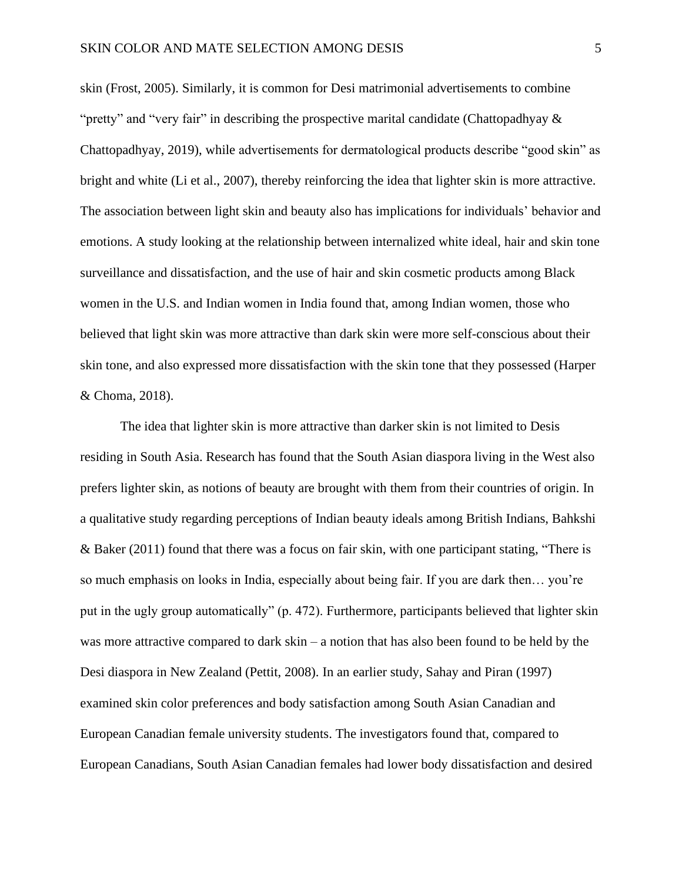skin (Frost, 2005). Similarly, it is common for Desi matrimonial advertisements to combine "pretty" and "very fair" in describing the prospective marital candidate (Chattopadhyay & Chattopadhyay, 2019), while advertisements for dermatological products describe "good skin" as bright and white (Li et al., 2007), thereby reinforcing the idea that lighter skin is more attractive. The association between light skin and beauty also has implications for individuals' behavior and emotions. A study looking at the relationship between internalized white ideal, hair and skin tone surveillance and dissatisfaction, and the use of hair and skin cosmetic products among Black women in the U.S. and Indian women in India found that, among Indian women, those who believed that light skin was more attractive than dark skin were more self-conscious about their skin tone, and also expressed more dissatisfaction with the skin tone that they possessed (Harper & Choma, 2018).

The idea that lighter skin is more attractive than darker skin is not limited to Desis residing in South Asia. Research has found that the South Asian diaspora living in the West also prefers lighter skin, as notions of beauty are brought with them from their countries of origin. In a qualitative study regarding perceptions of Indian beauty ideals among British Indians, Bahkshi & Baker (2011) found that there was a focus on fair skin, with one participant stating, "There is so much emphasis on looks in India, especially about being fair. If you are dark then... you're put in the ugly group automatically" (p. 472). Furthermore, participants believed that lighter skin was more attractive compared to dark skin – a notion that has also been found to be held by the Desi diaspora in New Zealand (Pettit, 2008). In an earlier study, Sahay and Piran (1997) examined skin color preferences and body satisfaction among South Asian Canadian and European Canadian female university students. The investigators found that, compared to European Canadians, South Asian Canadian females had lower body dissatisfaction and desired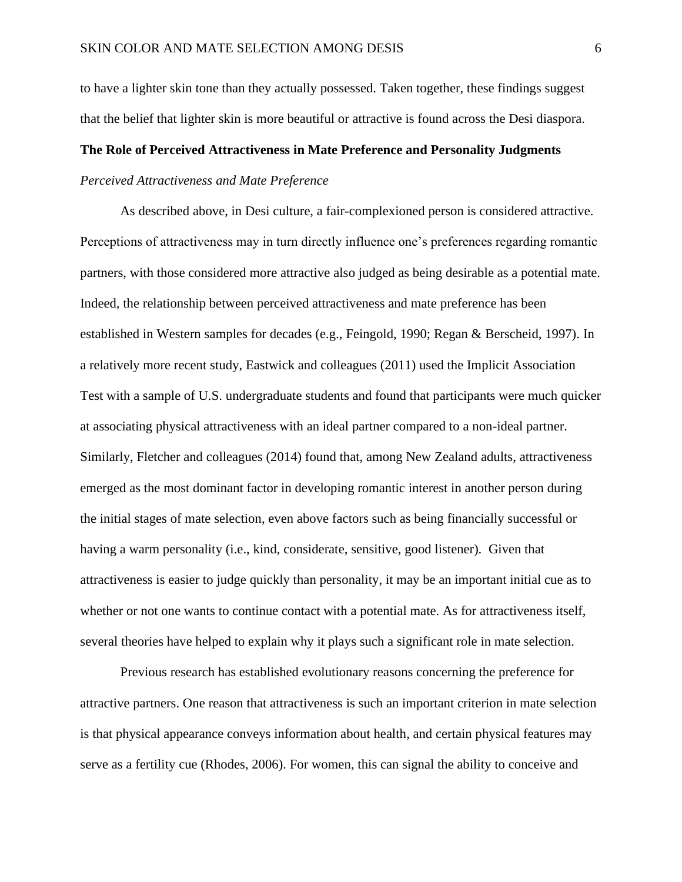to have a lighter skin tone than they actually possessed. Taken together, these findings suggest that the belief that lighter skin is more beautiful or attractive is found across the Desi diaspora.

#### **The Role of Perceived Attractiveness in Mate Preference and Personality Judgments**

#### *Perceived Attractiveness and Mate Preference*

As described above, in Desi culture, a fair-complexioned person is considered attractive. Perceptions of attractiveness may in turn directly influence one's preferences regarding romantic partners, with those considered more attractive also judged as being desirable as a potential mate. Indeed, the relationship between perceived attractiveness and mate preference has been established in Western samples for decades (e.g., Feingold, 1990; Regan & Berscheid, 1997). In a relatively more recent study, Eastwick and colleagues (2011) used the Implicit Association Test with a sample of U.S. undergraduate students and found that participants were much quicker at associating physical attractiveness with an ideal partner compared to a non-ideal partner. Similarly, Fletcher and colleagues (2014) found that, among New Zealand adults, attractiveness emerged as the most dominant factor in developing romantic interest in another person during the initial stages of mate selection, even above factors such as being financially successful or having a warm personality (i.e., kind, considerate, sensitive, good listener). Given that attractiveness is easier to judge quickly than personality, it may be an important initial cue as to whether or not one wants to continue contact with a potential mate. As for attractiveness itself, several theories have helped to explain why it plays such a significant role in mate selection.

Previous research has established evolutionary reasons concerning the preference for attractive partners. One reason that attractiveness is such an important criterion in mate selection is that physical appearance conveys information about health, and certain physical features may serve as a fertility cue (Rhodes, 2006). For women, this can signal the ability to conceive and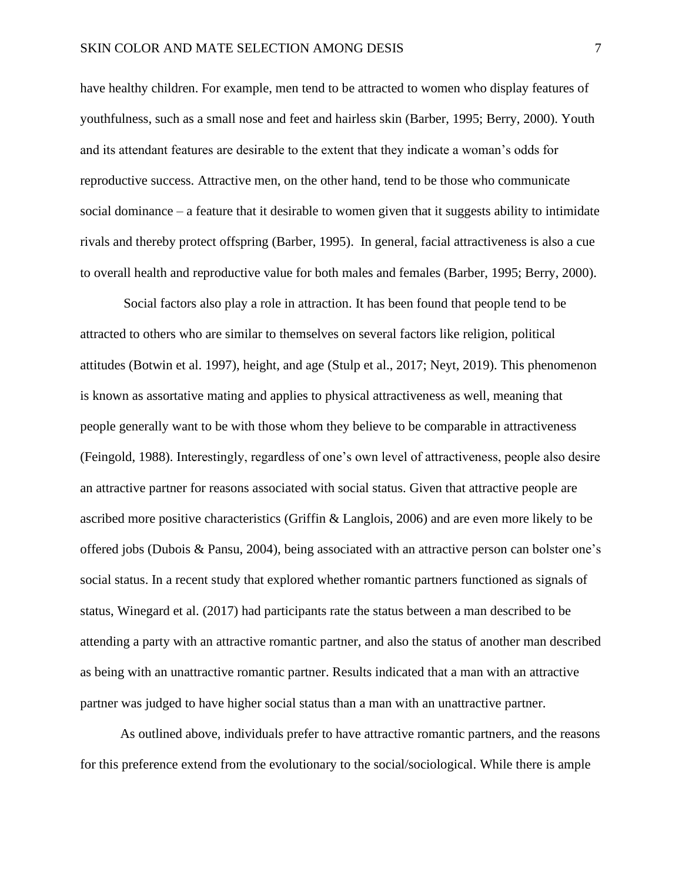have healthy children. For example, men tend to be attracted to women who display features of youthfulness, such as a small nose and feet and hairless skin (Barber, 1995; Berry, 2000). Youth and its attendant features are desirable to the extent that they indicate a woman's odds for reproductive success. Attractive men, on the other hand, tend to be those who communicate social dominance – a feature that it desirable to women given that it suggests ability to intimidate rivals and thereby protect offspring (Barber, 1995). In general, facial attractiveness is also a cue to overall health and reproductive value for both males and females (Barber, 1995; Berry, 2000).

Social factors also play a role in attraction. It has been found that people tend to be attracted to others who are similar to themselves on several factors like religion, political attitudes (Botwin et al. 1997), height, and age (Stulp et al., 2017; Neyt, 2019). This phenomenon is known as assortative mating and applies to physical attractiveness as well, meaning that people generally want to be with those whom they believe to be comparable in attractiveness (Feingold, 1988). Interestingly, regardless of one's own level of attractiveness, people also desire an attractive partner for reasons associated with social status. Given that attractive people are ascribed more positive characteristics (Griffin & Langlois, 2006) and are even more likely to be offered jobs (Dubois & Pansu, 2004), being associated with an attractive person can bolster one's social status. In a recent study that explored whether romantic partners functioned as signals of status, Winegard et al. (2017) had participants rate the status between a man described to be attending a party with an attractive romantic partner, and also the status of another man described as being with an unattractive romantic partner. Results indicated that a man with an attractive partner was judged to have higher social status than a man with an unattractive partner.

As outlined above, individuals prefer to have attractive romantic partners, and the reasons for this preference extend from the evolutionary to the social/sociological. While there is ample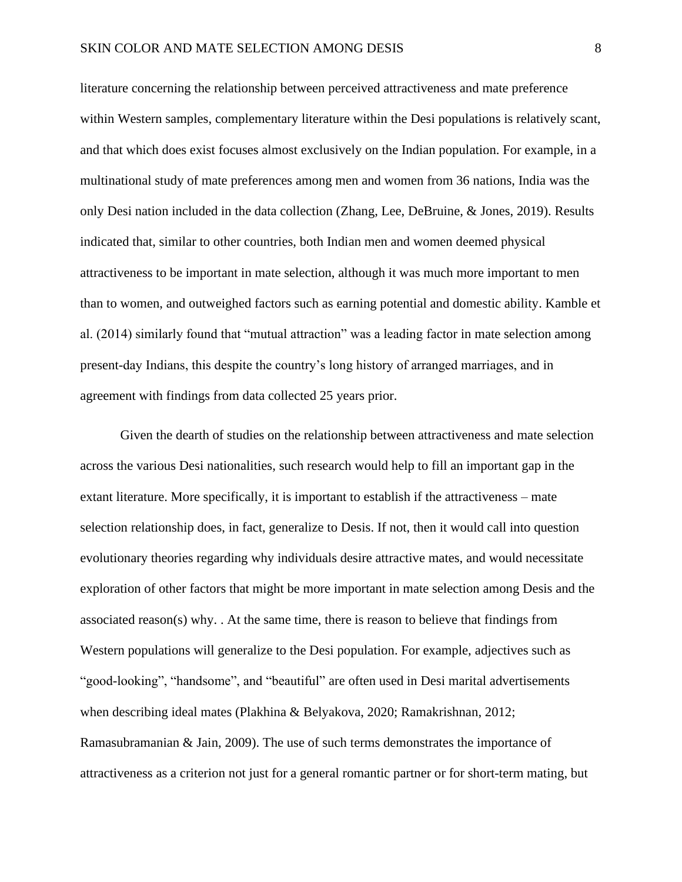literature concerning the relationship between perceived attractiveness and mate preference within Western samples, complementary literature within the Desi populations is relatively scant, and that which does exist focuses almost exclusively on the Indian population. For example, in a multinational study of mate preferences among men and women from 36 nations, India was the only Desi nation included in the data collection (Zhang, Lee, DeBruine, & Jones, 2019). Results indicated that, similar to other countries, both Indian men and women deemed physical attractiveness to be important in mate selection, although it was much more important to men than to women, and outweighed factors such as earning potential and domestic ability. Kamble et al. (2014) similarly found that "mutual attraction" was a leading factor in mate selection among present-day Indians, this despite the country's long history of arranged marriages, and in agreement with findings from data collected 25 years prior.

Given the dearth of studies on the relationship between attractiveness and mate selection across the various Desi nationalities, such research would help to fill an important gap in the extant literature. More specifically, it is important to establish if the attractiveness – mate selection relationship does, in fact, generalize to Desis. If not, then it would call into question evolutionary theories regarding why individuals desire attractive mates, and would necessitate exploration of other factors that might be more important in mate selection among Desis and the associated reason(s) why. . At the same time, there is reason to believe that findings from Western populations will generalize to the Desi population. For example, adjectives such as "good-looking", "handsome", and "beautiful" are often used in Desi marital advertisements when describing ideal mates (Plakhina & Belyakova, 2020; Ramakrishnan, 2012; Ramasubramanian & Jain, 2009). The use of such terms demonstrates the importance of attractiveness as a criterion not just for a general romantic partner or for short-term mating, but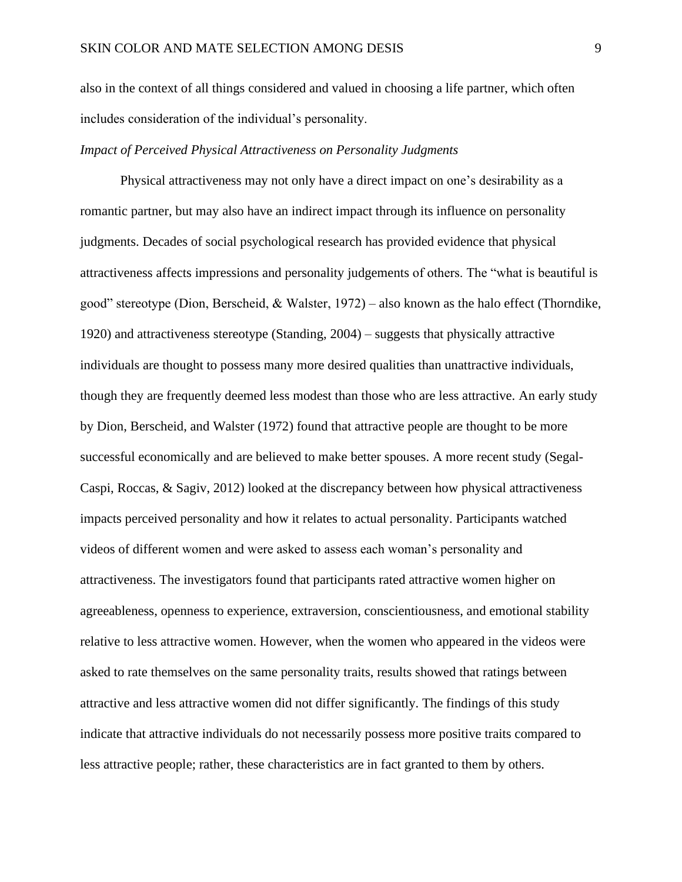also in the context of all things considered and valued in choosing a life partner, which often includes consideration of the individual's personality.

#### *Impact of Perceived Physical Attractiveness on Personality Judgments*

Physical attractiveness may not only have a direct impact on one's desirability as a romantic partner, but may also have an indirect impact through its influence on personality judgments. Decades of social psychological research has provided evidence that physical attractiveness affects impressions and personality judgements of others. The "what is beautiful is good" stereotype (Dion, Berscheid, & Walster, 1972) – also known as the halo effect (Thorndike, 1920) and attractiveness stereotype (Standing, 2004) – suggests that physically attractive individuals are thought to possess many more desired qualities than unattractive individuals, though they are frequently deemed less modest than those who are less attractive. An early study by Dion, Berscheid, and Walster (1972) found that attractive people are thought to be more successful economically and are believed to make better spouses. A more recent study (Segal-Caspi, Roccas, & Sagiv, 2012) looked at the discrepancy between how physical attractiveness impacts perceived personality and how it relates to actual personality. Participants watched videos of different women and were asked to assess each woman's personality and attractiveness. The investigators found that participants rated attractive women higher on agreeableness, openness to experience, extraversion, conscientiousness, and emotional stability relative to less attractive women. However, when the women who appeared in the videos were asked to rate themselves on the same personality traits, results showed that ratings between attractive and less attractive women did not differ significantly. The findings of this study indicate that attractive individuals do not necessarily possess more positive traits compared to less attractive people; rather, these characteristics are in fact granted to them by others.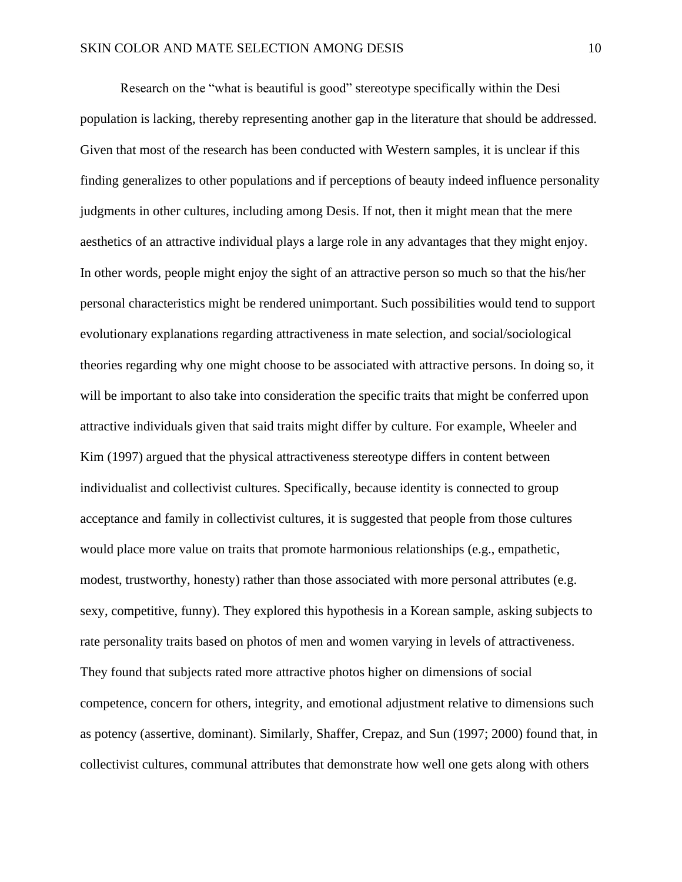Research on the "what is beautiful is good" stereotype specifically within the Desi population is lacking, thereby representing another gap in the literature that should be addressed. Given that most of the research has been conducted with Western samples, it is unclear if this finding generalizes to other populations and if perceptions of beauty indeed influence personality judgments in other cultures, including among Desis. If not, then it might mean that the mere aesthetics of an attractive individual plays a large role in any advantages that they might enjoy. In other words, people might enjoy the sight of an attractive person so much so that the his/her personal characteristics might be rendered unimportant. Such possibilities would tend to support evolutionary explanations regarding attractiveness in mate selection, and social/sociological theories regarding why one might choose to be associated with attractive persons. In doing so, it will be important to also take into consideration the specific traits that might be conferred upon attractive individuals given that said traits might differ by culture. For example, Wheeler and Kim (1997) argued that the physical attractiveness stereotype differs in content between individualist and collectivist cultures. Specifically, because identity is connected to group acceptance and family in collectivist cultures, it is suggested that people from those cultures would place more value on traits that promote harmonious relationships (e.g., empathetic, modest, trustworthy, honesty) rather than those associated with more personal attributes (e.g. sexy, competitive, funny). They explored this hypothesis in a Korean sample, asking subjects to rate personality traits based on photos of men and women varying in levels of attractiveness. They found that subjects rated more attractive photos higher on dimensions of social competence, concern for others, integrity, and emotional adjustment relative to dimensions such as potency (assertive, dominant). Similarly, Shaffer, Crepaz, and Sun (1997; 2000) found that, in collectivist cultures, communal attributes that demonstrate how well one gets along with others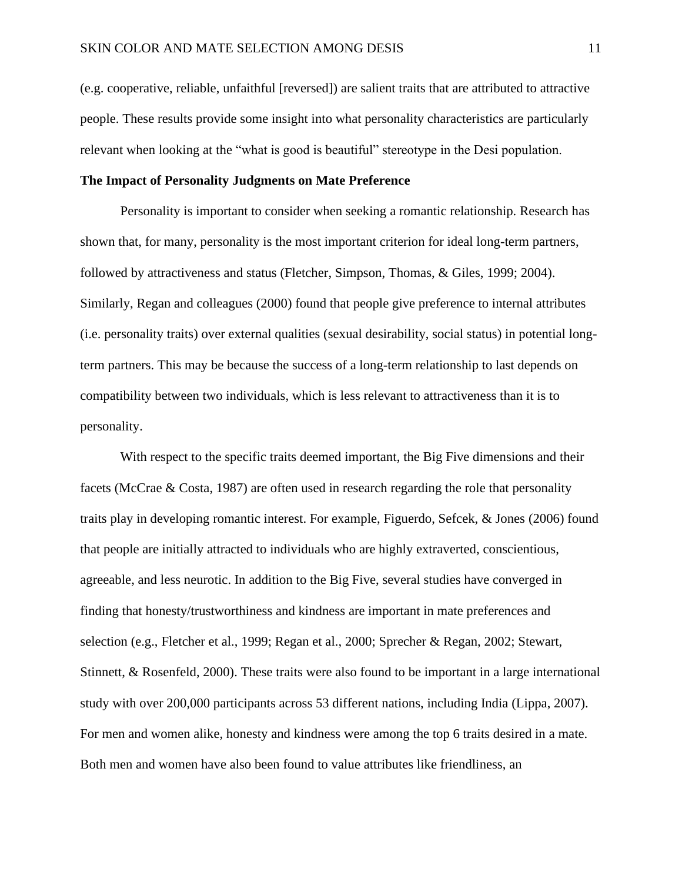(e.g. cooperative, reliable, unfaithful [reversed]) are salient traits that are attributed to attractive people. These results provide some insight into what personality characteristics are particularly relevant when looking at the "what is good is beautiful" stereotype in the Desi population.

#### **The Impact of Personality Judgments on Mate Preference**

Personality is important to consider when seeking a romantic relationship. Research has shown that, for many, personality is the most important criterion for ideal long-term partners, followed by attractiveness and status (Fletcher, Simpson, Thomas, & Giles, 1999; 2004). Similarly, Regan and colleagues (2000) found that people give preference to internal attributes (i.e. personality traits) over external qualities (sexual desirability, social status) in potential longterm partners. This may be because the success of a long-term relationship to last depends on compatibility between two individuals, which is less relevant to attractiveness than it is to personality.

With respect to the specific traits deemed important, the Big Five dimensions and their facets (McCrae & Costa, 1987) are often used in research regarding the role that personality traits play in developing romantic interest. For example, Figuerdo, Sefcek, & Jones (2006) found that people are initially attracted to individuals who are highly extraverted, conscientious, agreeable, and less neurotic. In addition to the Big Five, several studies have converged in finding that honesty/trustworthiness and kindness are important in mate preferences and selection (e.g., Fletcher et al., 1999; Regan et al., 2000; Sprecher & Regan, 2002; Stewart, Stinnett, & Rosenfeld, 2000). These traits were also found to be important in a large international study with over 200,000 participants across 53 different nations, including India (Lippa, 2007). For men and women alike, honesty and kindness were among the top 6 traits desired in a mate. Both men and women have also been found to value attributes like friendliness, an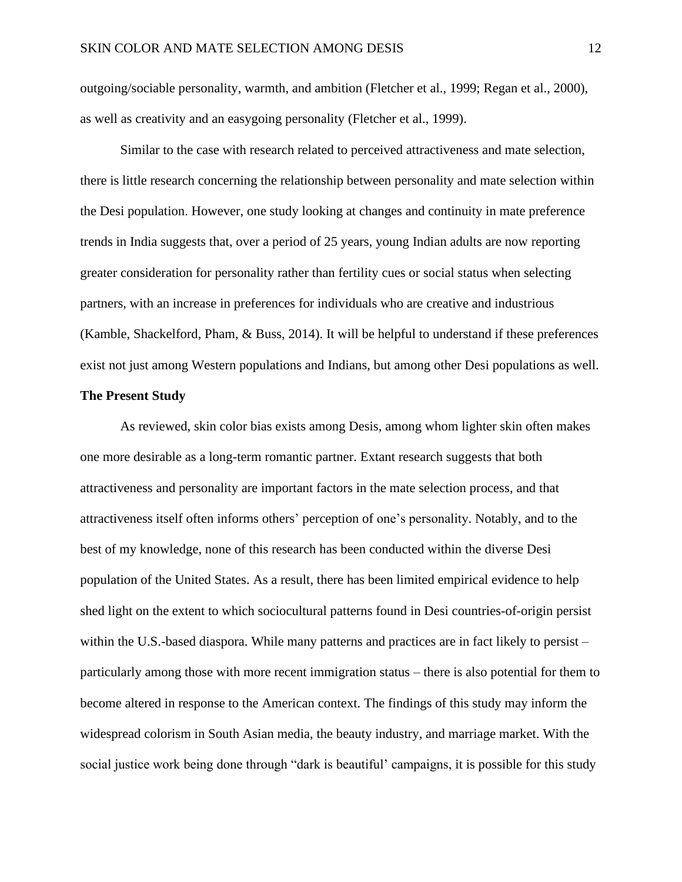outgoing/sociable personality, warmth, and ambition (Fletcher et al., 1999; Regan et al., 2000), as well as creativity and an easygoing personality (Fletcher et al., 1999).

Similar to the case with research related to perceived attractiveness and mate selection, there is little research concerning the relationship between personality and mate selection within the Desi population. However, one study looking at changes and continuity in mate preference trends in India suggests that, over a period of 25 years, young Indian adults are now reporting greater consideration for personality rather than fertility cues or social status when selecting partners, with an increase in preferences for individuals who are creative and industrious (Kamble, Shackelford, Pham, & Buss, 2014). It will be helpful to understand if these preferences exist not just among Western populations and Indians, but among other Desi populations as well.

#### **The Present Study**

As reviewed, skin color bias exists among Desis, among whom lighter skin often makes one more desirable as a long-term romantic partner. Extant research suggests that both attractiveness and personality are important factors in the mate selection process, and that attractiveness itself often informs others' perception of one's personality. Notably, and to the best of my knowledge, none of this research has been conducted within the diverse Desi population of the United States. As a result, there has been limited empirical evidence to help shed light on the extent to which sociocultural patterns found in Desi countries-of-origin persist within the U.S.-based diaspora. While many patterns and practices are in fact likely to persist – particularly among those with more recent immigration status – there is also potential for them to become altered in response to the American context. The findings of this study may inform the widespread colorism in South Asian media, the beauty industry, and marriage market. With the social justice work being done through "dark is beautiful' campaigns, it is possible for this study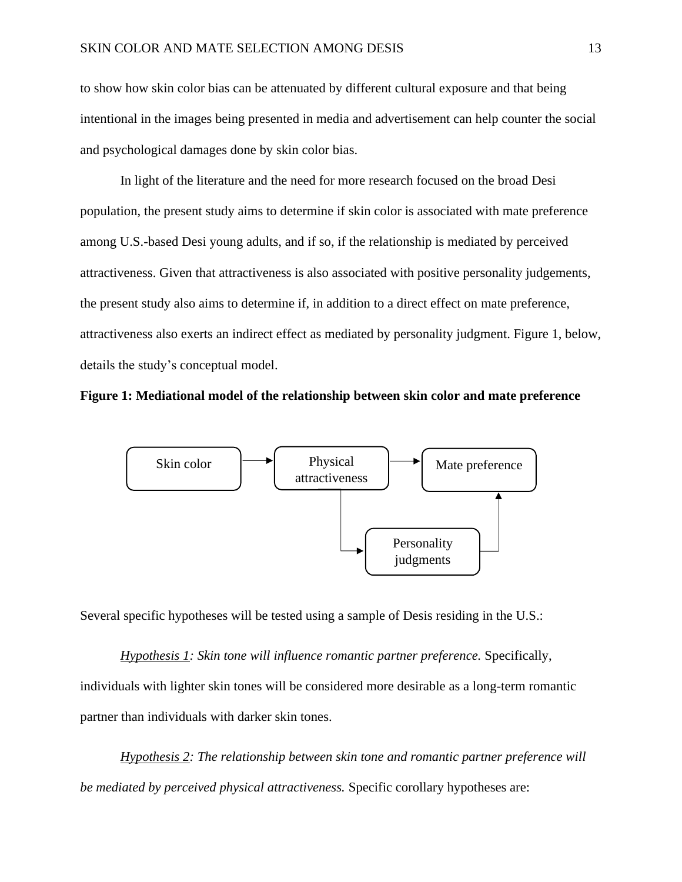to show how skin color bias can be attenuated by different cultural exposure and that being intentional in the images being presented in media and advertisement can help counter the social and psychological damages done by skin color bias.

In light of the literature and the need for more research focused on the broad Desi population, the present study aims to determine if skin color is associated with mate preference among U.S.-based Desi young adults, and if so, if the relationship is mediated by perceived attractiveness. Given that attractiveness is also associated with positive personality judgements, the present study also aims to determine if, in addition to a direct effect on mate preference, attractiveness also exerts an indirect effect as mediated by personality judgment. Figure 1, below, details the study's conceptual model.





Several specific hypotheses will be tested using a sample of Desis residing in the U.S.:

*Hypothesis 1: Skin tone will influence romantic partner preference.* Specifically, individuals with lighter skin tones will be considered more desirable as a long-term romantic partner than individuals with darker skin tones.

*Hypothesis 2: The relationship between skin tone and romantic partner preference will be mediated by perceived physical attractiveness.* Specific corollary hypotheses are: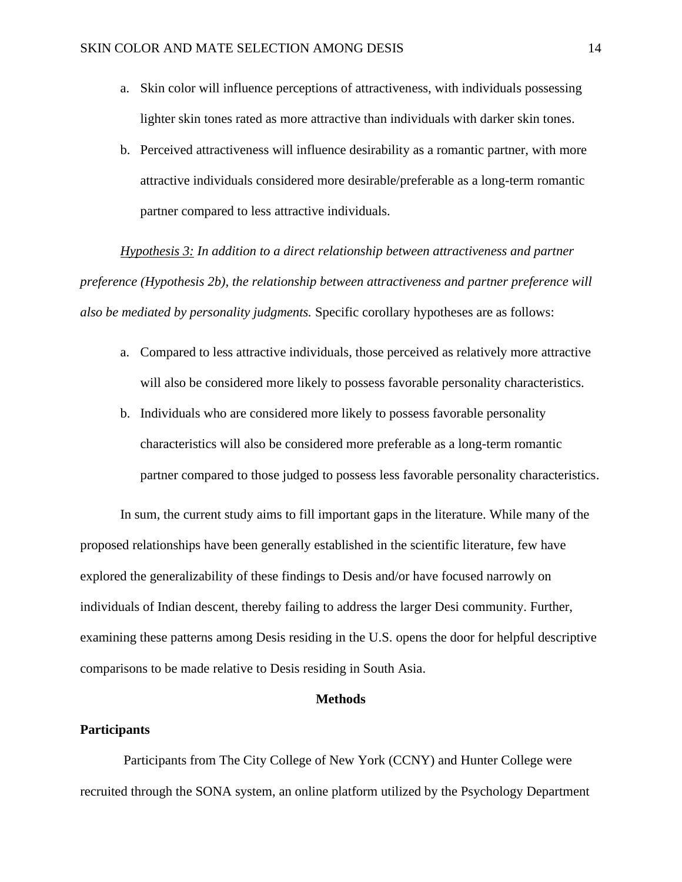- a. Skin color will influence perceptions of attractiveness, with individuals possessing lighter skin tones rated as more attractive than individuals with darker skin tones.
- b. Perceived attractiveness will influence desirability as a romantic partner, with more attractive individuals considered more desirable/preferable as a long-term romantic partner compared to less attractive individuals.

*Hypothesis 3: In addition to a direct relationship between attractiveness and partner preference (Hypothesis 2b), the relationship between attractiveness and partner preference will also be mediated by personality judgments.* Specific corollary hypotheses are as follows:

- a. Compared to less attractive individuals, those perceived as relatively more attractive will also be considered more likely to possess favorable personality characteristics.
- b. Individuals who are considered more likely to possess favorable personality characteristics will also be considered more preferable as a long-term romantic partner compared to those judged to possess less favorable personality characteristics.

In sum, the current study aims to fill important gaps in the literature. While many of the proposed relationships have been generally established in the scientific literature, few have explored the generalizability of these findings to Desis and/or have focused narrowly on individuals of Indian descent, thereby failing to address the larger Desi community. Further, examining these patterns among Desis residing in the U.S. opens the door for helpful descriptive comparisons to be made relative to Desis residing in South Asia.

#### **Methods**

#### **Participants**

Participants from The City College of New York (CCNY) and Hunter College were recruited through the SONA system, an online platform utilized by the Psychology Department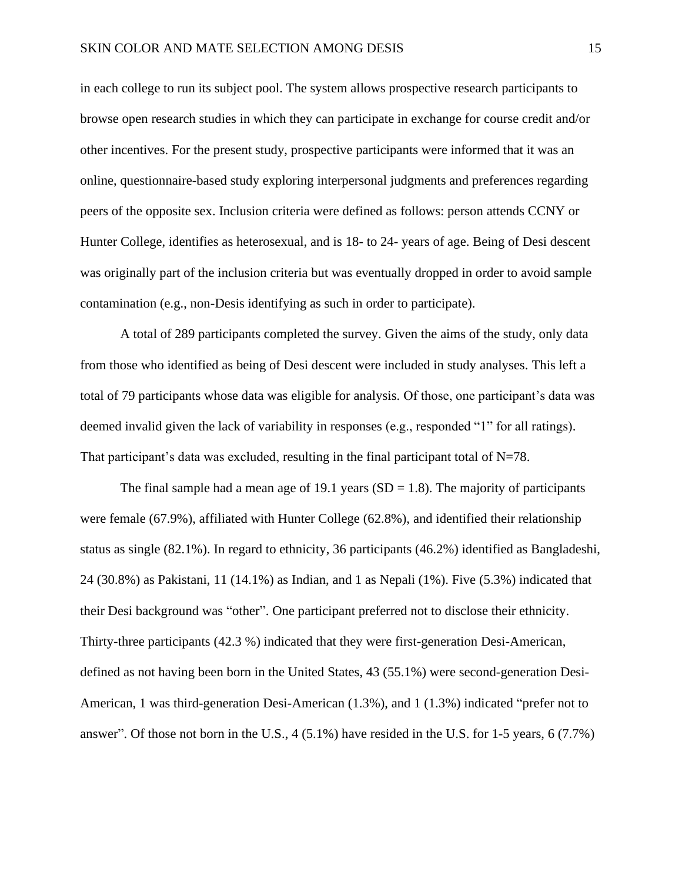in each college to run its subject pool. The system allows prospective research participants to browse open research studies in which they can participate in exchange for course credit and/or other incentives. For the present study, prospective participants were informed that it was an online, questionnaire-based study exploring interpersonal judgments and preferences regarding peers of the opposite sex. Inclusion criteria were defined as follows: person attends CCNY or Hunter College, identifies as heterosexual, and is 18- to 24- years of age. Being of Desi descent was originally part of the inclusion criteria but was eventually dropped in order to avoid sample contamination (e.g., non-Desis identifying as such in order to participate).

A total of 289 participants completed the survey. Given the aims of the study, only data from those who identified as being of Desi descent were included in study analyses. This left a total of 79 participants whose data was eligible for analysis. Of those, one participant's data was deemed invalid given the lack of variability in responses (e.g., responded "1" for all ratings). That participant's data was excluded, resulting in the final participant total of  $N=78$ .

The final sample had a mean age of 19.1 years  $(SD = 1.8)$ . The majority of participants were female (67.9%), affiliated with Hunter College (62.8%), and identified their relationship status as single (82.1%). In regard to ethnicity, 36 participants (46.2%) identified as Bangladeshi, 24 (30.8%) as Pakistani, 11 (14.1%) as Indian, and 1 as Nepali (1%). Five (5.3%) indicated that their Desi background was "other". One participant preferred not to disclose their ethnicity. Thirty-three participants (42.3 %) indicated that they were first-generation Desi-American, defined as not having been born in the United States, 43 (55.1%) were second-generation Desi-American, 1 was third-generation Desi-American (1.3%), and 1 (1.3%) indicated "prefer not to answer". Of those not born in the U.S., 4 (5.1%) have resided in the U.S. for 1-5 years, 6 (7.7%)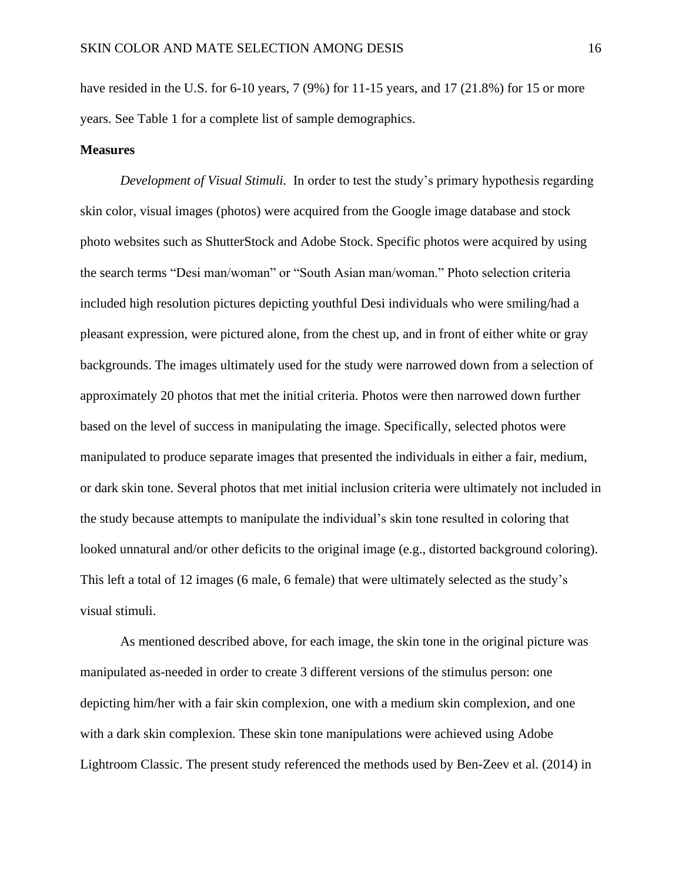have resided in the U.S. for 6-10 years, 7 (9%) for 11-15 years, and 17 (21.8%) for 15 or more years. See Table 1 for a complete list of sample demographics.

#### **Measures**

*Development of Visual Stimuli.* In order to test the study's primary hypothesis regarding skin color, visual images (photos) were acquired from the Google image database and stock photo websites such as ShutterStock and Adobe Stock. Specific photos were acquired by using the search terms "Desi man/woman" or "South Asian man/woman." Photo selection criteria included high resolution pictures depicting youthful Desi individuals who were smiling/had a pleasant expression, were pictured alone, from the chest up, and in front of either white or gray backgrounds. The images ultimately used for the study were narrowed down from a selection of approximately 20 photos that met the initial criteria. Photos were then narrowed down further based on the level of success in manipulating the image. Specifically, selected photos were manipulated to produce separate images that presented the individuals in either a fair, medium, or dark skin tone. Several photos that met initial inclusion criteria were ultimately not included in the study because attempts to manipulate the individual's skin tone resulted in coloring that looked unnatural and/or other deficits to the original image (e.g., distorted background coloring). This left a total of 12 images (6 male, 6 female) that were ultimately selected as the study's visual stimuli.

As mentioned described above, for each image, the skin tone in the original picture was manipulated as-needed in order to create 3 different versions of the stimulus person: one depicting him/her with a fair skin complexion, one with a medium skin complexion, and one with a dark skin complexion. These skin tone manipulations were achieved using Adobe Lightroom Classic. The present study referenced the methods used by Ben-Zeev et al. (2014) in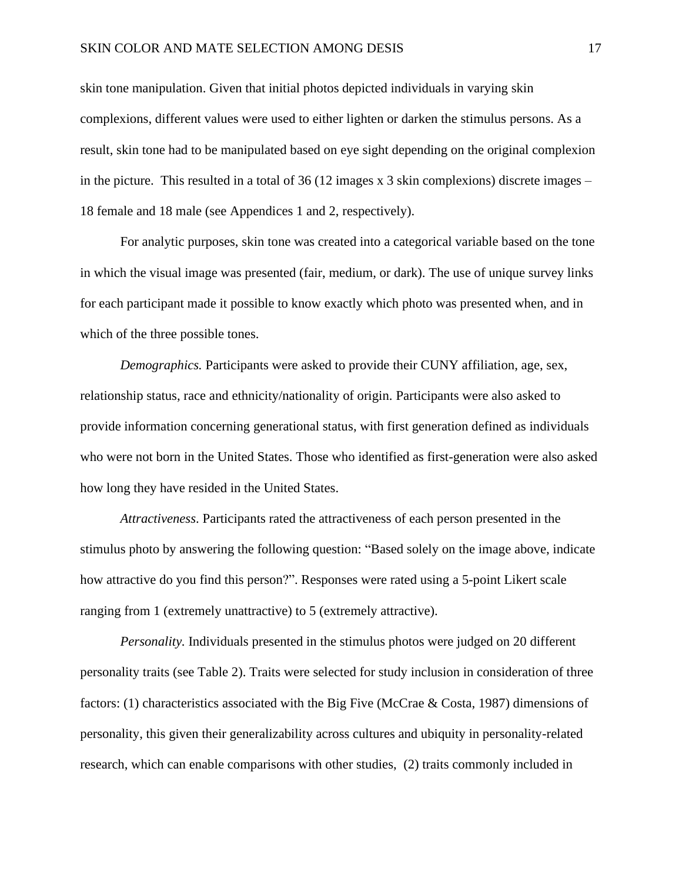#### SKIN COLOR AND MATE SELECTION AMONG DESIS 17

skin tone manipulation. Given that initial photos depicted individuals in varying skin complexions, different values were used to either lighten or darken the stimulus persons. As a result, skin tone had to be manipulated based on eye sight depending on the original complexion in the picture. This resulted in a total of  $36(12 \text{ images} \times 3 \text{ skin complexities})$  discrete images – 18 female and 18 male (see Appendices 1 and 2, respectively).

For analytic purposes, skin tone was created into a categorical variable based on the tone in which the visual image was presented (fair, medium, or dark). The use of unique survey links for each participant made it possible to know exactly which photo was presented when, and in which of the three possible tones.

*Demographics.* Participants were asked to provide their CUNY affiliation, age, sex, relationship status, race and ethnicity/nationality of origin. Participants were also asked to provide information concerning generational status, with first generation defined as individuals who were not born in the United States. Those who identified as first-generation were also asked how long they have resided in the United States.

*Attractiveness*. Participants rated the attractiveness of each person presented in the stimulus photo by answering the following question: "Based solely on the image above, indicate how attractive do you find this person?". Responses were rated using a 5-point Likert scale ranging from 1 (extremely unattractive) to 5 (extremely attractive).

*Personality.* Individuals presented in the stimulus photos were judged on 20 different personality traits (see Table 2). Traits were selected for study inclusion in consideration of three factors: (1) characteristics associated with the Big Five (McCrae & Costa, 1987) dimensions of personality, this given their generalizability across cultures and ubiquity in personality-related research, which can enable comparisons with other studies, (2) traits commonly included in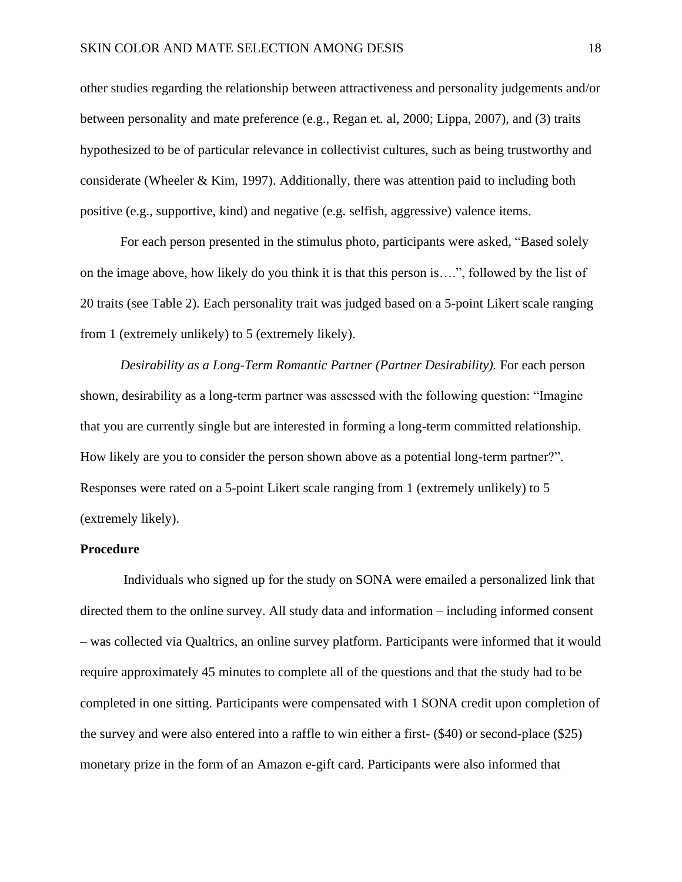other studies regarding the relationship between attractiveness and personality judgements and/or between personality and mate preference (e.g., Regan et. al, 2000; Lippa, 2007), and (3) traits hypothesized to be of particular relevance in collectivist cultures, such as being trustworthy and considerate (Wheeler & Kim, 1997). Additionally, there was attention paid to including both positive (e.g., supportive, kind) and negative (e.g. selfish, aggressive) valence items.

For each person presented in the stimulus photo, participants were asked, "Based solely on the image above, how likely do you think it is that this person is….", followed by the list of 20 traits (see Table 2). Each personality trait was judged based on a 5-point Likert scale ranging from 1 (extremely unlikely) to 5 (extremely likely).

*Desirability as a Long-Term Romantic Partner (Partner Desirability).* For each person shown, desirability as a long-term partner was assessed with the following question: "Imagine that you are currently single but are interested in forming a long-term committed relationship. How likely are you to consider the person shown above as a potential long-term partner?". Responses were rated on a 5-point Likert scale ranging from 1 (extremely unlikely) to 5 (extremely likely).

#### **Procedure**

Individuals who signed up for the study on SONA were emailed a personalized link that directed them to the online survey. All study data and information – including informed consent – was collected via Qualtrics, an online survey platform. Participants were informed that it would require approximately 45 minutes to complete all of the questions and that the study had to be completed in one sitting. Participants were compensated with 1 SONA credit upon completion of the survey and were also entered into a raffle to win either a first- (\$40) or second-place (\$25) monetary prize in the form of an Amazon e-gift card. Participants were also informed that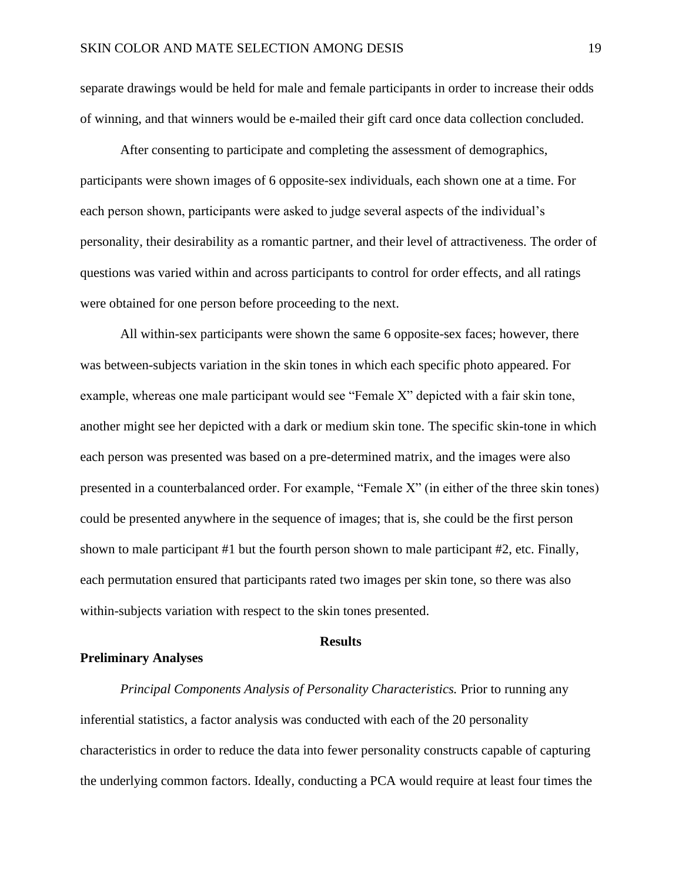separate drawings would be held for male and female participants in order to increase their odds of winning, and that winners would be e-mailed their gift card once data collection concluded.

After consenting to participate and completing the assessment of demographics, participants were shown images of 6 opposite-sex individuals, each shown one at a time. For each person shown, participants were asked to judge several aspects of the individual's personality, their desirability as a romantic partner, and their level of attractiveness. The order of questions was varied within and across participants to control for order effects, and all ratings were obtained for one person before proceeding to the next.

All within-sex participants were shown the same 6 opposite-sex faces; however, there was between-subjects variation in the skin tones in which each specific photo appeared. For example, whereas one male participant would see "Female X" depicted with a fair skin tone, another might see her depicted with a dark or medium skin tone. The specific skin-tone in which each person was presented was based on a pre-determined matrix, and the images were also presented in a counterbalanced order. For example, "Female X" (in either of the three skin tones) could be presented anywhere in the sequence of images; that is, she could be the first person shown to male participant #1 but the fourth person shown to male participant #2, etc. Finally, each permutation ensured that participants rated two images per skin tone, so there was also within-subjects variation with respect to the skin tones presented.

#### **Results**

#### **Preliminary Analyses**

*Principal Components Analysis of Personality Characteristics.* Prior to running any inferential statistics, a factor analysis was conducted with each of the 20 personality characteristics in order to reduce the data into fewer personality constructs capable of capturing the underlying common factors. Ideally, conducting a PCA would require at least four times the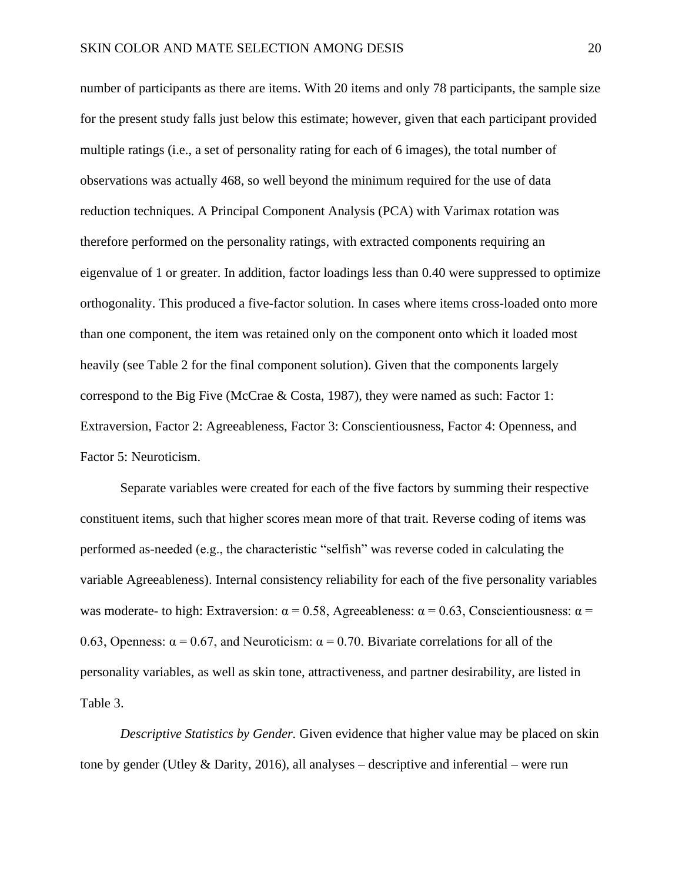number of participants as there are items. With 20 items and only 78 participants, the sample size for the present study falls just below this estimate; however, given that each participant provided multiple ratings (i.e., a set of personality rating for each of 6 images), the total number of observations was actually 468, so well beyond the minimum required for the use of data reduction techniques. A Principal Component Analysis (PCA) with Varimax rotation was therefore performed on the personality ratings, with extracted components requiring an eigenvalue of 1 or greater. In addition, factor loadings less than 0.40 were suppressed to optimize orthogonality. This produced a five-factor solution. In cases where items cross-loaded onto more than one component, the item was retained only on the component onto which it loaded most heavily (see Table 2 for the final component solution). Given that the components largely correspond to the Big Five (McCrae & Costa, 1987), they were named as such: Factor 1: Extraversion, Factor 2: Agreeableness, Factor 3: Conscientiousness, Factor 4: Openness, and Factor 5: Neuroticism.

Separate variables were created for each of the five factors by summing their respective constituent items, such that higher scores mean more of that trait. Reverse coding of items was performed as-needed (e.g., the characteristic "selfish" was reverse coded in calculating the variable Agreeableness). Internal consistency reliability for each of the five personality variables was moderate- to high: Extraversion:  $\alpha = 0.58$ , Agreeableness:  $\alpha = 0.63$ , Conscientiousness:  $\alpha =$ 0.63, Openness:  $\alpha = 0.67$ , and Neuroticism:  $\alpha = 0.70$ . Bivariate correlations for all of the personality variables, as well as skin tone, attractiveness, and partner desirability, are listed in Table 3.

*Descriptive Statistics by Gender.* Given evidence that higher value may be placed on skin tone by gender (Utley & Darity, 2016), all analyses – descriptive and inferential – were run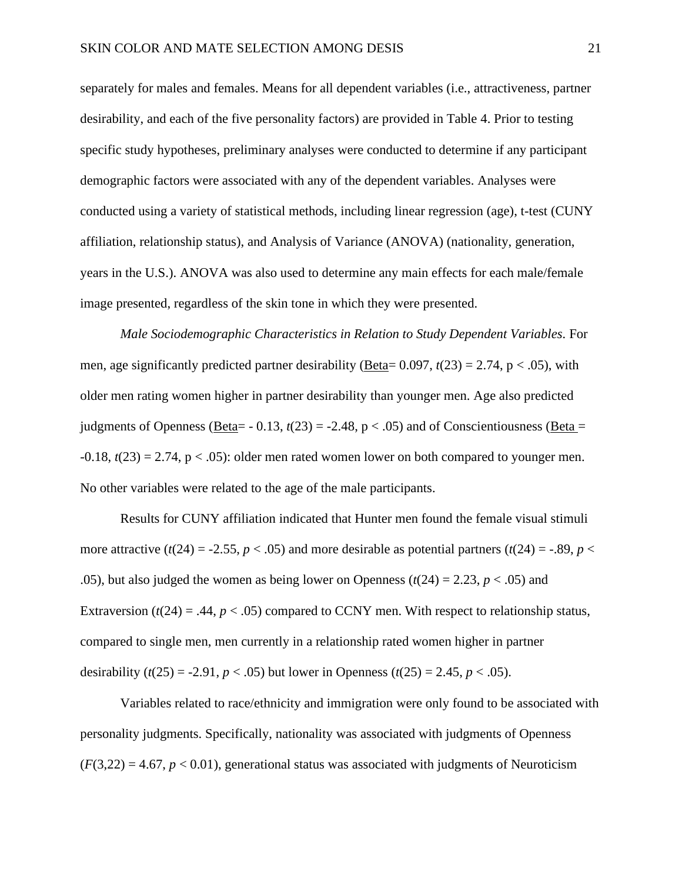separately for males and females. Means for all dependent variables (i.e., attractiveness, partner desirability, and each of the five personality factors) are provided in Table 4. Prior to testing specific study hypotheses, preliminary analyses were conducted to determine if any participant demographic factors were associated with any of the dependent variables. Analyses were conducted using a variety of statistical methods, including linear regression (age), t-test (CUNY affiliation, relationship status), and Analysis of Variance (ANOVA) (nationality, generation, years in the U.S.). ANOVA was also used to determine any main effects for each male/female image presented, regardless of the skin tone in which they were presented.

*Male Sociodemographic Characteristics in Relation to Study Dependent Variables.* For men, age significantly predicted partner desirability (Beta=  $0.097$ ,  $t(23) = 2.74$ , p < .05), with older men rating women higher in partner desirability than younger men. Age also predicted judgments of Openness (Beta=  $-0.13$ ,  $t(23) = -2.48$ ,  $p < .05$ ) and of Conscientiousness (Beta =  $-0.18$ ,  $t(23) = 2.74$ ,  $p < .05$ ): older men rated women lower on both compared to younger men. No other variables were related to the age of the male participants.

Results for CUNY affiliation indicated that Hunter men found the female visual stimuli more attractive  $(t(24) = -2.55, p < .05)$  and more desirable as potential partners  $(t(24) = -.89, p <$ .05), but also judged the women as being lower on Openness  $(t(24) = 2.23, p < .05)$  and Extraversion ( $t(24) = .44$ ,  $p < .05$ ) compared to CCNY men. With respect to relationship status, compared to single men, men currently in a relationship rated women higher in partner desirability  $(t(25) = -2.91, p < .05)$  but lower in Openness  $(t(25) = 2.45, p < .05)$ .

Variables related to race/ethnicity and immigration were only found to be associated with personality judgments. Specifically, nationality was associated with judgments of Openness  $(F(3,22) = 4.67, p < 0.01)$ , generational status was associated with judgments of Neuroticism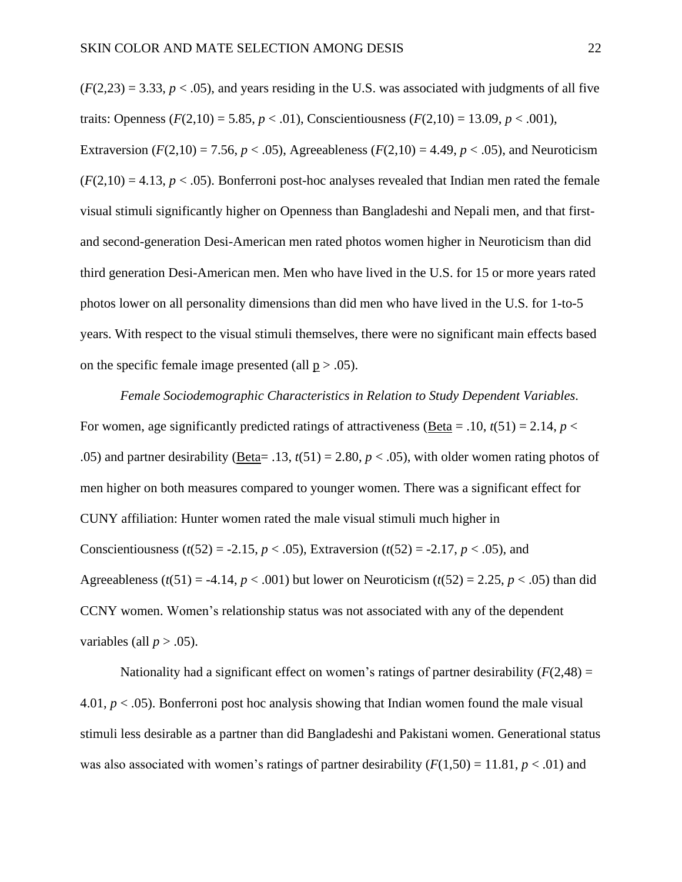$(F(2,23) = 3.33, p < .05)$ , and years residing in the U.S. was associated with judgments of all five traits: Openness ( $F(2,10) = 5.85$ ,  $p < .01$ ), Conscientiousness ( $F(2,10) = 13.09$ ,  $p < .001$ ), Extraversion ( $F(2,10) = 7.56$ ,  $p < .05$ ), Agreeableness ( $F(2,10) = 4.49$ ,  $p < .05$ ), and Neuroticism  $(F(2,10) = 4.13, p < .05)$ . Bonferroni post-hoc analyses revealed that Indian men rated the female visual stimuli significantly higher on Openness than Bangladeshi and Nepali men, and that firstand second-generation Desi-American men rated photos women higher in Neuroticism than did third generation Desi-American men. Men who have lived in the U.S. for 15 or more years rated photos lower on all personality dimensions than did men who have lived in the U.S. for 1-to-5 years. With respect to the visual stimuli themselves, there were no significant main effects based on the specific female image presented (all  $p > .05$ ).

*Female Sociodemographic Characteristics in Relation to Study Dependent Variables.*  For women, age significantly predicted ratings of attractiveness (Beta = .10,  $t(51) = 2.14$ ,  $p <$ .05) and partner desirability (Beta= .13,  $t(51) = 2.80$ ,  $p < .05$ ), with older women rating photos of men higher on both measures compared to younger women. There was a significant effect for CUNY affiliation: Hunter women rated the male visual stimuli much higher in Conscientiousness ( $t(52) = -2.15$ ,  $p < .05$ ), Extraversion ( $t(52) = -2.17$ ,  $p < .05$ ), and Agreeableness ( $t(51) = -4.14$ ,  $p < .001$ ) but lower on Neuroticism ( $t(52) = 2.25$ ,  $p < .05$ ) than did CCNY women. Women's relationship status was not associated with any of the dependent variables (all  $p > .05$ ).

Nationality had a significant effect on women's ratings of partner desirability  $(F(2,48) =$ 4.01,  $p < .05$ ). Bonferroni post hoc analysis showing that Indian women found the male visual stimuli less desirable as a partner than did Bangladeshi and Pakistani women. Generational status was also associated with women's ratings of partner desirability  $(F(1,50) = 11.81, p < .01)$  and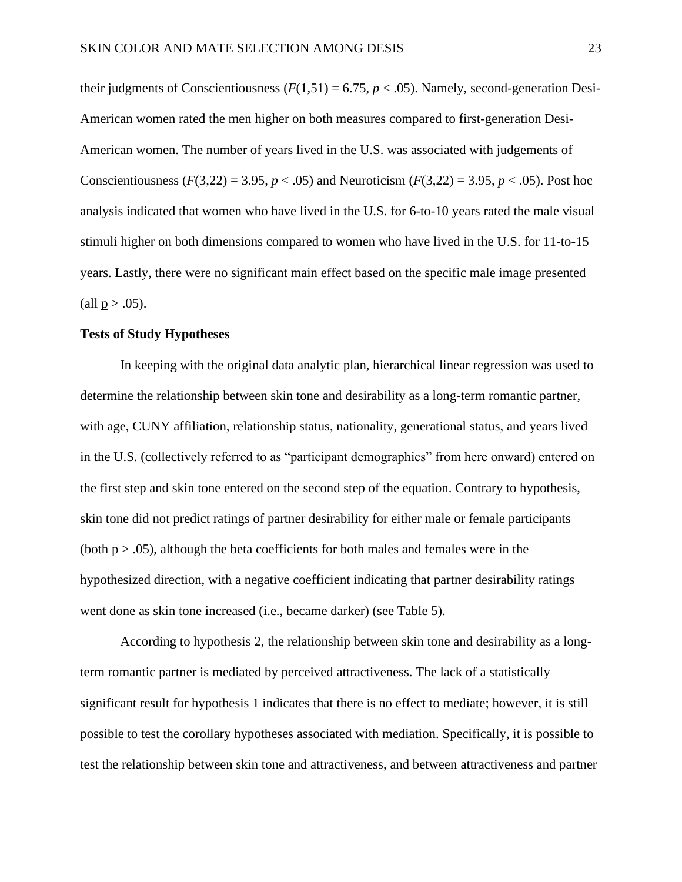their judgments of Conscientiousness  $(F(1,51) = 6.75, p < .05)$ . Namely, second-generation Desi-American women rated the men higher on both measures compared to first-generation Desi-American women. The number of years lived in the U.S. was associated with judgements of Conscientiousness ( $F(3,22) = 3.95, p < .05$ ) and Neuroticism ( $F(3,22) = 3.95, p < .05$ ). Post hoc analysis indicated that women who have lived in the U.S. for 6-to-10 years rated the male visual stimuli higher on both dimensions compared to women who have lived in the U.S. for 11-to-15 years. Lastly, there were no significant main effect based on the specific male image presented (all  $p > .05$ ).

#### **Tests of Study Hypotheses**

In keeping with the original data analytic plan, hierarchical linear regression was used to determine the relationship between skin tone and desirability as a long-term romantic partner, with age, CUNY affiliation, relationship status, nationality, generational status, and years lived in the U.S. (collectively referred to as "participant demographics" from here onward) entered on the first step and skin tone entered on the second step of the equation. Contrary to hypothesis, skin tone did not predict ratings of partner desirability for either male or female participants (both  $p > .05$ ), although the beta coefficients for both males and females were in the hypothesized direction, with a negative coefficient indicating that partner desirability ratings went done as skin tone increased (i.e., became darker) (see Table 5).

According to hypothesis 2, the relationship between skin tone and desirability as a longterm romantic partner is mediated by perceived attractiveness. The lack of a statistically significant result for hypothesis 1 indicates that there is no effect to mediate; however, it is still possible to test the corollary hypotheses associated with mediation. Specifically, it is possible to test the relationship between skin tone and attractiveness, and between attractiveness and partner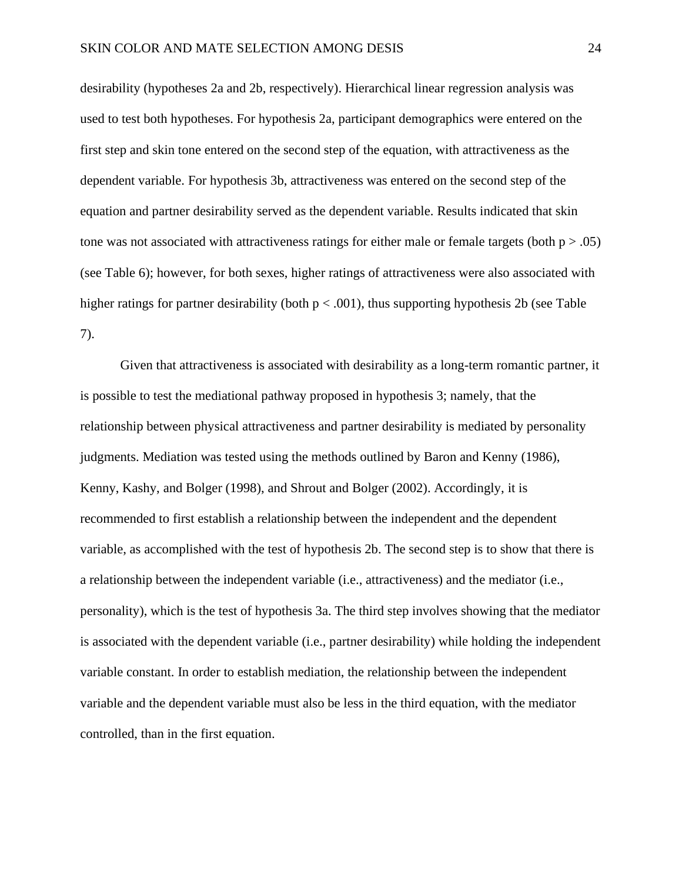desirability (hypotheses 2a and 2b, respectively). Hierarchical linear regression analysis was used to test both hypotheses. For hypothesis 2a, participant demographics were entered on the first step and skin tone entered on the second step of the equation, with attractiveness as the dependent variable. For hypothesis 3b, attractiveness was entered on the second step of the equation and partner desirability served as the dependent variable. Results indicated that skin tone was not associated with attractiveness ratings for either male or female targets (both  $p > .05$ ) (see Table 6); however, for both sexes, higher ratings of attractiveness were also associated with higher ratings for partner desirability (both  $p < .001$ ), thus supporting hypothesis 2b (see Table 7).

Given that attractiveness is associated with desirability as a long-term romantic partner, it is possible to test the mediational pathway proposed in hypothesis 3; namely, that the relationship between physical attractiveness and partner desirability is mediated by personality judgments. Mediation was tested using the methods outlined by Baron and Kenny (1986), Kenny, Kashy, and Bolger (1998), and Shrout and Bolger (2002). Accordingly, it is recommended to first establish a relationship between the independent and the dependent variable, as accomplished with the test of hypothesis 2b. The second step is to show that there is a relationship between the independent variable (i.e., attractiveness) and the mediator (i.e., personality), which is the test of hypothesis 3a. The third step involves showing that the mediator is associated with the dependent variable (i.e., partner desirability) while holding the independent variable constant. In order to establish mediation, the relationship between the independent variable and the dependent variable must also be less in the third equation, with the mediator controlled, than in the first equation.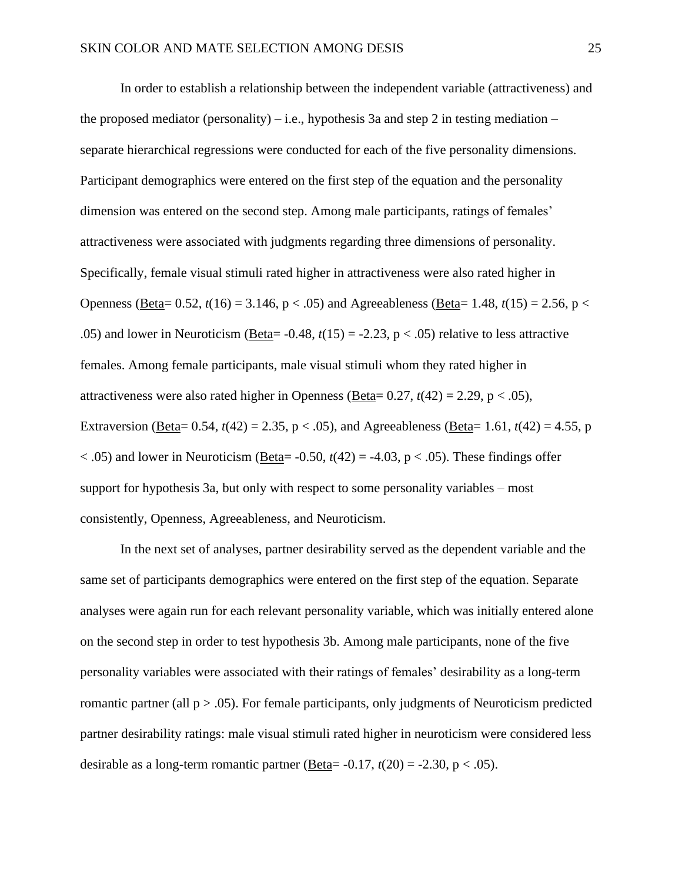In order to establish a relationship between the independent variable (attractiveness) and the proposed mediator (personality) – i.e., hypothesis 3a and step 2 in testing mediation – separate hierarchical regressions were conducted for each of the five personality dimensions. Participant demographics were entered on the first step of the equation and the personality dimension was entered on the second step. Among male participants, ratings of females' attractiveness were associated with judgments regarding three dimensions of personality. Specifically, female visual stimuli rated higher in attractiveness were also rated higher in Openness (Beta=  $0.52$ ,  $t(16) = 3.146$ ,  $p < .05$ ) and Agreeableness (Beta= 1.48,  $t(15) = 2.56$ ,  $p <$ .05) and lower in Neuroticism (Beta=  $-0.48$ ,  $t(15) = -2.23$ ,  $p < .05$ ) relative to less attractive females. Among female participants, male visual stimuli whom they rated higher in attractiveness were also rated higher in Openness (Beta=  $0.27$ ,  $t(42) = 2.29$ ,  $p < .05$ ), Extraversion (Beta= 0.54,  $t(42)$  = 2.35, p < .05), and Agreeableness (Beta= 1.61,  $t(42)$  = 4.55, p  $<$ .05) and lower in Neuroticism (Beta= -0.50,  $t(42)$  = -4.03, p  $<$ .05). These findings offer support for hypothesis 3a, but only with respect to some personality variables – most consistently, Openness, Agreeableness, and Neuroticism.

In the next set of analyses, partner desirability served as the dependent variable and the same set of participants demographics were entered on the first step of the equation. Separate analyses were again run for each relevant personality variable, which was initially entered alone on the second step in order to test hypothesis 3b. Among male participants, none of the five personality variables were associated with their ratings of females' desirability as a long-term romantic partner (all  $p > .05$ ). For female participants, only judgments of Neuroticism predicted partner desirability ratings: male visual stimuli rated higher in neuroticism were considered less desirable as a long-term romantic partner (Beta=  $-0.17$ ,  $t(20) = -2.30$ , p < .05).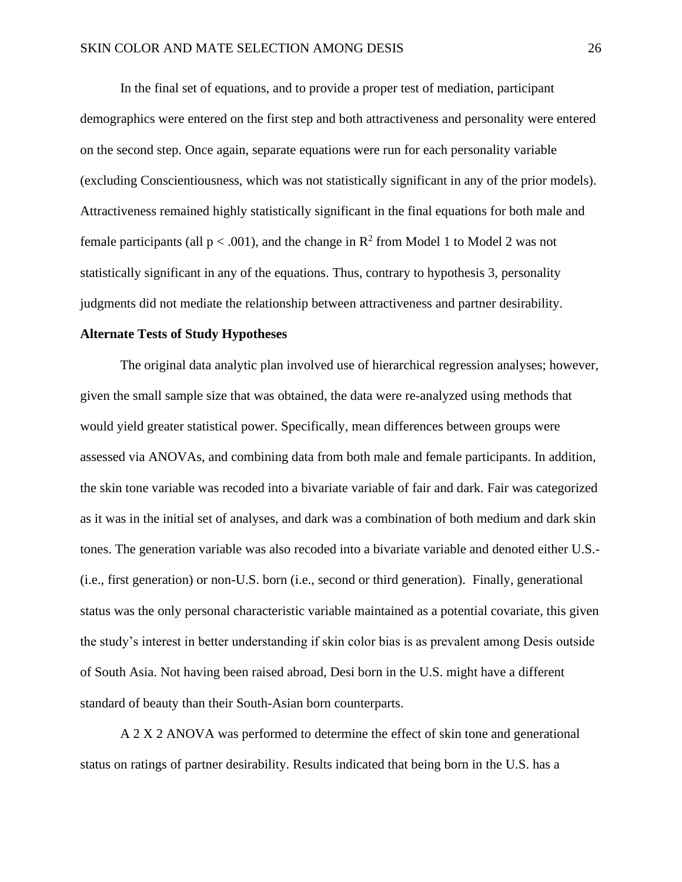In the final set of equations, and to provide a proper test of mediation, participant demographics were entered on the first step and both attractiveness and personality were entered on the second step. Once again, separate equations were run for each personality variable (excluding Conscientiousness, which was not statistically significant in any of the prior models). Attractiveness remained highly statistically significant in the final equations for both male and female participants (all  $p < .001$ ), and the change in  $R^2$  from Model 1 to Model 2 was not statistically significant in any of the equations. Thus, contrary to hypothesis 3, personality judgments did not mediate the relationship between attractiveness and partner desirability.

#### **Alternate Tests of Study Hypotheses**

The original data analytic plan involved use of hierarchical regression analyses; however, given the small sample size that was obtained, the data were re-analyzed using methods that would yield greater statistical power. Specifically, mean differences between groups were assessed via ANOVAs, and combining data from both male and female participants. In addition, the skin tone variable was recoded into a bivariate variable of fair and dark. Fair was categorized as it was in the initial set of analyses, and dark was a combination of both medium and dark skin tones. The generation variable was also recoded into a bivariate variable and denoted either U.S.- (i.e., first generation) or non-U.S. born (i.e., second or third generation). Finally, generational status was the only personal characteristic variable maintained as a potential covariate, this given the study's interest in better understanding if skin color bias is as prevalent among Desis outside of South Asia. Not having been raised abroad, Desi born in the U.S. might have a different standard of beauty than their South-Asian born counterparts.

A 2 X 2 ANOVA was performed to determine the effect of skin tone and generational status on ratings of partner desirability. Results indicated that being born in the U.S. has a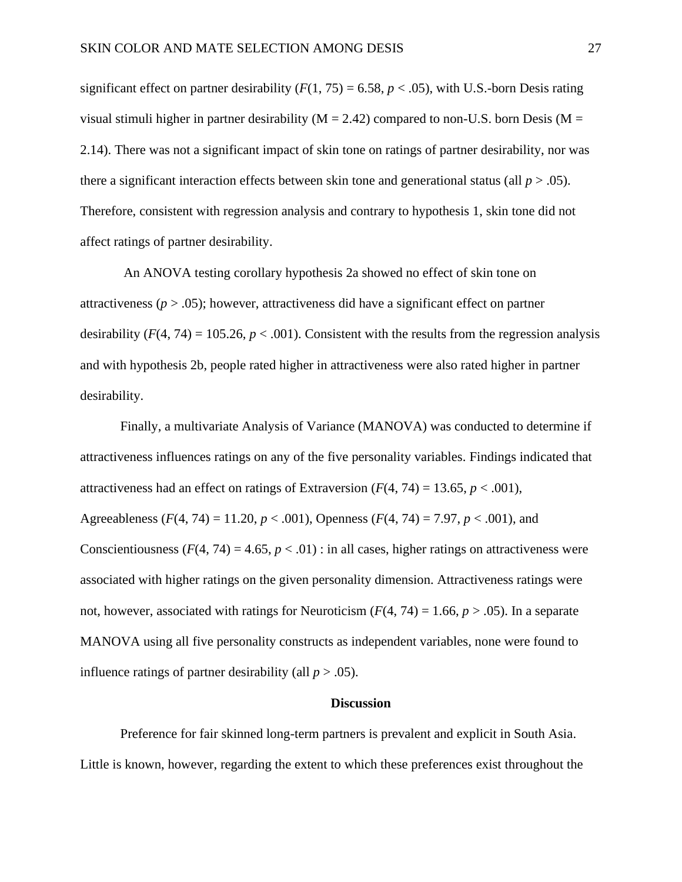significant effect on partner desirability  $(F(1, 75) = 6.58, p < .05)$ , with U.S.-born Desis rating visual stimuli higher in partner desirability ( $M = 2.42$ ) compared to non-U.S. born Desis ( $M =$ 2.14). There was not a significant impact of skin tone on ratings of partner desirability, nor was there a significant interaction effects between skin tone and generational status (all  $p > .05$ ). Therefore, consistent with regression analysis and contrary to hypothesis 1, skin tone did not affect ratings of partner desirability.

An ANOVA testing corollary hypothesis 2a showed no effect of skin tone on attractiveness ( $p > 0.05$ ); however, attractiveness did have a significant effect on partner desirability  $(F(4, 74) = 105.26, p < .001)$ . Consistent with the results from the regression analysis and with hypothesis 2b, people rated higher in attractiveness were also rated higher in partner desirability.

Finally, a multivariate Analysis of Variance (MANOVA) was conducted to determine if attractiveness influences ratings on any of the five personality variables. Findings indicated that attractiveness had an effect on ratings of Extraversion  $(F(4, 74) = 13.65, p < .001)$ , Agreeableness (*F*(4, 74) = 11.20, *p* < .001), Openness (*F*(4, 74) = 7.97, *p* < .001), and Conscientiousness  $(F(4, 74) = 4.65, p < .01)$ : in all cases, higher ratings on attractiveness were associated with higher ratings on the given personality dimension. Attractiveness ratings were not, however, associated with ratings for Neuroticism  $(F(4, 74) = 1.66, p > .05)$ . In a separate MANOVA using all five personality constructs as independent variables, none were found to influence ratings of partner desirability (all  $p > .05$ ).

#### **Discussion**

Preference for fair skinned long-term partners is prevalent and explicit in South Asia. Little is known, however, regarding the extent to which these preferences exist throughout the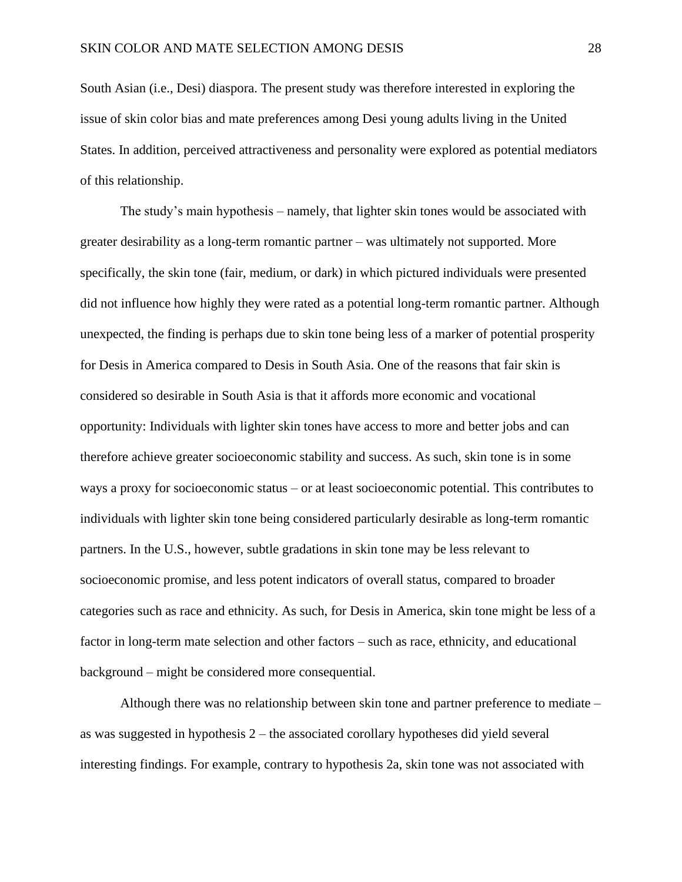South Asian (i.e., Desi) diaspora. The present study was therefore interested in exploring the issue of skin color bias and mate preferences among Desi young adults living in the United States. In addition, perceived attractiveness and personality were explored as potential mediators of this relationship.

The study's main hypothesis – namely, that lighter skin tones would be associated with greater desirability as a long-term romantic partner – was ultimately not supported. More specifically, the skin tone (fair, medium, or dark) in which pictured individuals were presented did not influence how highly they were rated as a potential long-term romantic partner. Although unexpected, the finding is perhaps due to skin tone being less of a marker of potential prosperity for Desis in America compared to Desis in South Asia. One of the reasons that fair skin is considered so desirable in South Asia is that it affords more economic and vocational opportunity: Individuals with lighter skin tones have access to more and better jobs and can therefore achieve greater socioeconomic stability and success. As such, skin tone is in some ways a proxy for socioeconomic status – or at least socioeconomic potential. This contributes to individuals with lighter skin tone being considered particularly desirable as long-term romantic partners. In the U.S., however, subtle gradations in skin tone may be less relevant to socioeconomic promise, and less potent indicators of overall status, compared to broader categories such as race and ethnicity. As such, for Desis in America, skin tone might be less of a factor in long-term mate selection and other factors – such as race, ethnicity, and educational background – might be considered more consequential.

Although there was no relationship between skin tone and partner preference to mediate – as was suggested in hypothesis 2 – the associated corollary hypotheses did yield several interesting findings. For example, contrary to hypothesis 2a, skin tone was not associated with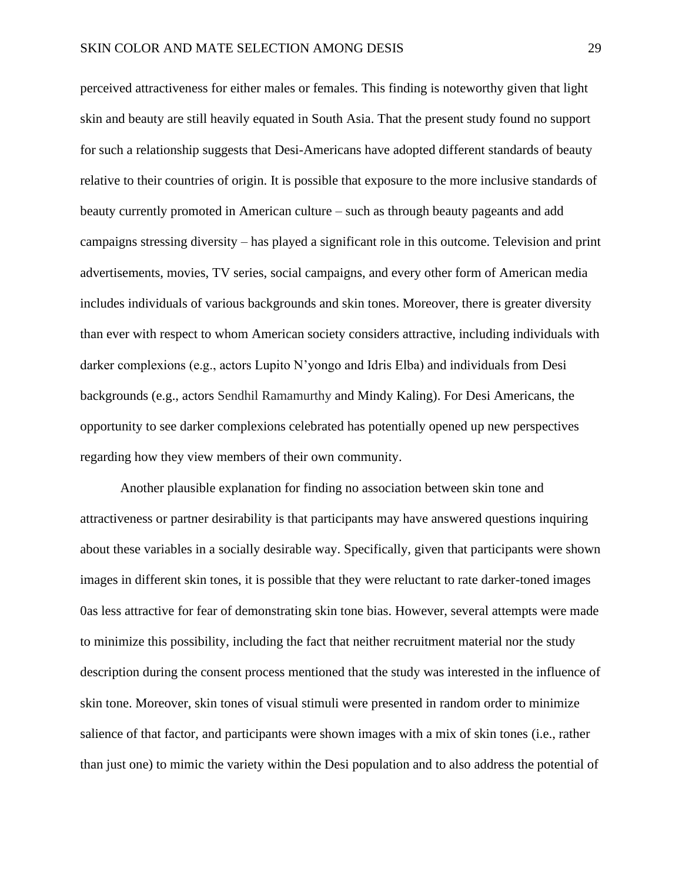perceived attractiveness for either males or females. This finding is noteworthy given that light skin and beauty are still heavily equated in South Asia. That the present study found no support for such a relationship suggests that Desi-Americans have adopted different standards of beauty relative to their countries of origin. It is possible that exposure to the more inclusive standards of beauty currently promoted in American culture – such as through beauty pageants and add campaigns stressing diversity – has played a significant role in this outcome. Television and print advertisements, movies, TV series, social campaigns, and every other form of American media includes individuals of various backgrounds and skin tones. Moreover, there is greater diversity than ever with respect to whom American society considers attractive, including individuals with darker complexions (e.g., actors Lupito N'yongo and Idris Elba) and individuals from Desi backgrounds (e.g., actors Sendhil Ramamurthy and Mindy Kaling). For Desi Americans, the opportunity to see darker complexions celebrated has potentially opened up new perspectives regarding how they view members of their own community.

Another plausible explanation for finding no association between skin tone and attractiveness or partner desirability is that participants may have answered questions inquiring about these variables in a socially desirable way. Specifically, given that participants were shown images in different skin tones, it is possible that they were reluctant to rate darker-toned images 0as less attractive for fear of demonstrating skin tone bias. However, several attempts were made to minimize this possibility, including the fact that neither recruitment material nor the study description during the consent process mentioned that the study was interested in the influence of skin tone. Moreover, skin tones of visual stimuli were presented in random order to minimize salience of that factor, and participants were shown images with a mix of skin tones (i.e., rather than just one) to mimic the variety within the Desi population and to also address the potential of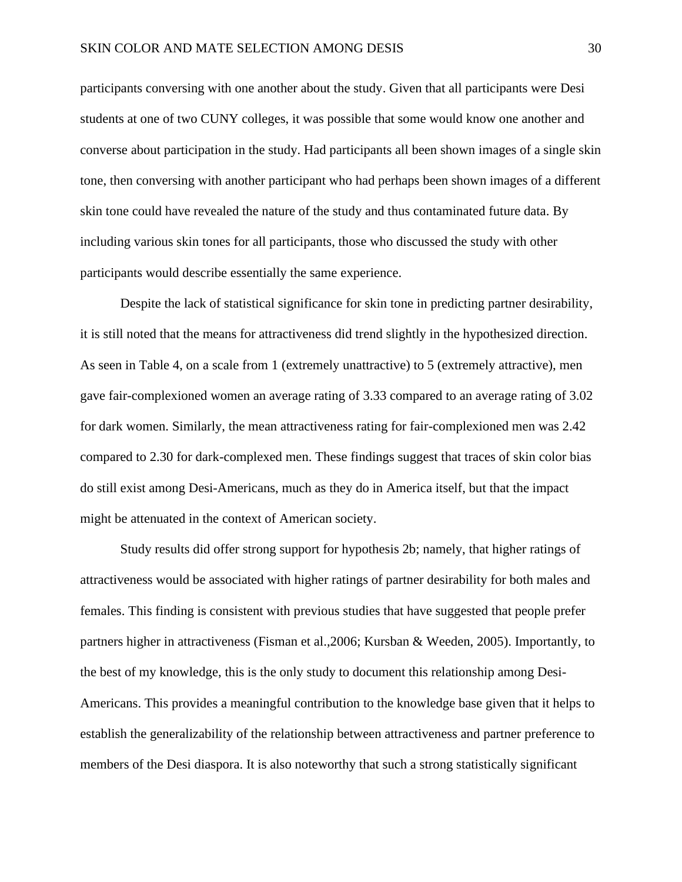participants conversing with one another about the study. Given that all participants were Desi students at one of two CUNY colleges, it was possible that some would know one another and converse about participation in the study. Had participants all been shown images of a single skin tone, then conversing with another participant who had perhaps been shown images of a different skin tone could have revealed the nature of the study and thus contaminated future data. By including various skin tones for all participants, those who discussed the study with other participants would describe essentially the same experience.

Despite the lack of statistical significance for skin tone in predicting partner desirability, it is still noted that the means for attractiveness did trend slightly in the hypothesized direction. As seen in Table 4, on a scale from 1 (extremely unattractive) to 5 (extremely attractive), men gave fair-complexioned women an average rating of 3.33 compared to an average rating of 3.02 for dark women. Similarly, the mean attractiveness rating for fair-complexioned men was 2.42 compared to 2.30 for dark-complexed men. These findings suggest that traces of skin color bias do still exist among Desi-Americans, much as they do in America itself, but that the impact might be attenuated in the context of American society.

Study results did offer strong support for hypothesis 2b; namely, that higher ratings of attractiveness would be associated with higher ratings of partner desirability for both males and females. This finding is consistent with previous studies that have suggested that people prefer partners higher in attractiveness (Fisman et al.,2006; Kursban & Weeden, 2005). Importantly, to the best of my knowledge, this is the only study to document this relationship among Desi-Americans. This provides a meaningful contribution to the knowledge base given that it helps to establish the generalizability of the relationship between attractiveness and partner preference to members of the Desi diaspora. It is also noteworthy that such a strong statistically significant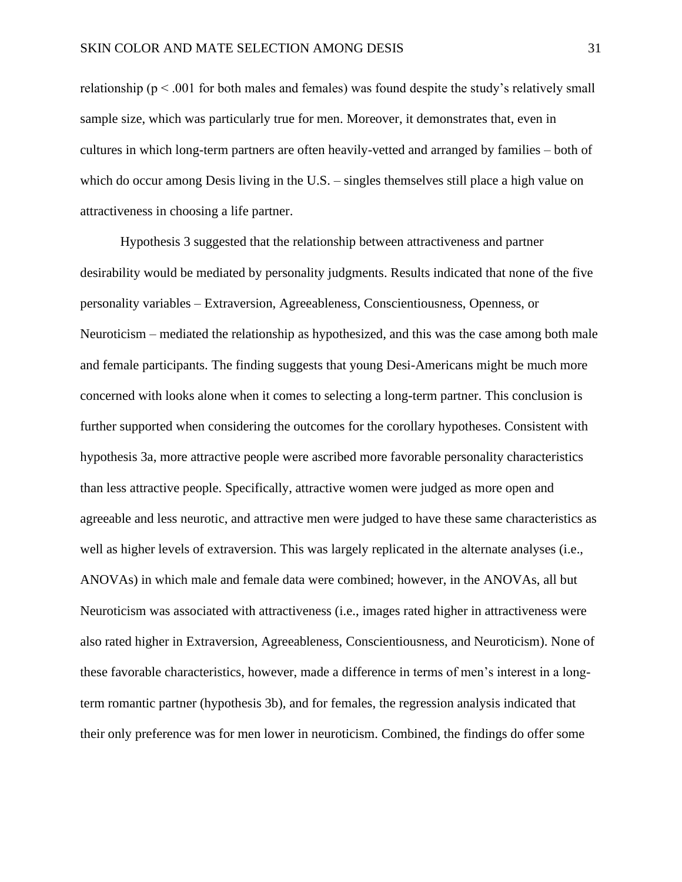relationship ( $p < .001$  for both males and females) was found despite the study's relatively small sample size, which was particularly true for men. Moreover, it demonstrates that, even in cultures in which long-term partners are often heavily-vetted and arranged by families – both of which do occur among Desis living in the U.S. – singles themselves still place a high value on attractiveness in choosing a life partner.

Hypothesis 3 suggested that the relationship between attractiveness and partner desirability would be mediated by personality judgments. Results indicated that none of the five personality variables – Extraversion, Agreeableness, Conscientiousness, Openness, or Neuroticism – mediated the relationship as hypothesized, and this was the case among both male and female participants. The finding suggests that young Desi-Americans might be much more concerned with looks alone when it comes to selecting a long-term partner. This conclusion is further supported when considering the outcomes for the corollary hypotheses. Consistent with hypothesis 3a, more attractive people were ascribed more favorable personality characteristics than less attractive people. Specifically, attractive women were judged as more open and agreeable and less neurotic, and attractive men were judged to have these same characteristics as well as higher levels of extraversion. This was largely replicated in the alternate analyses (i.e., ANOVAs) in which male and female data were combined; however, in the ANOVAs, all but Neuroticism was associated with attractiveness (i.e., images rated higher in attractiveness were also rated higher in Extraversion, Agreeableness, Conscientiousness, and Neuroticism). None of these favorable characteristics, however, made a difference in terms of men's interest in a longterm romantic partner (hypothesis 3b), and for females, the regression analysis indicated that their only preference was for men lower in neuroticism. Combined, the findings do offer some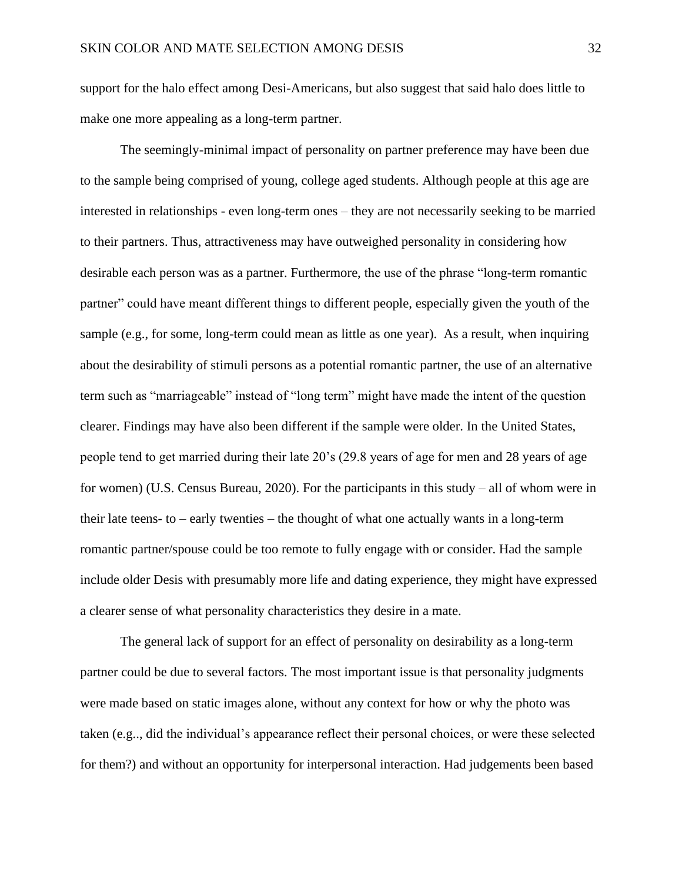support for the halo effect among Desi-Americans, but also suggest that said halo does little to make one more appealing as a long-term partner.

The seemingly-minimal impact of personality on partner preference may have been due to the sample being comprised of young, college aged students. Although people at this age are interested in relationships - even long-term ones – they are not necessarily seeking to be married to their partners. Thus, attractiveness may have outweighed personality in considering how desirable each person was as a partner. Furthermore, the use of the phrase "long-term romantic partner" could have meant different things to different people, especially given the youth of the sample (e.g., for some, long-term could mean as little as one year). As a result, when inquiring about the desirability of stimuli persons as a potential romantic partner, the use of an alternative term such as "marriageable" instead of "long term" might have made the intent of the question clearer. Findings may have also been different if the sample were older. In the United States, people tend to get married during their late 20's (29.8 years of age for men and 28 years of age for women) (U.S. Census Bureau, 2020). For the participants in this study – all of whom were in their late teens- to – early twenties – the thought of what one actually wants in a long-term romantic partner/spouse could be too remote to fully engage with or consider. Had the sample include older Desis with presumably more life and dating experience, they might have expressed a clearer sense of what personality characteristics they desire in a mate.

The general lack of support for an effect of personality on desirability as a long-term partner could be due to several factors. The most important issue is that personality judgments were made based on static images alone, without any context for how or why the photo was taken (e.g.., did the individual's appearance reflect their personal choices, or were these selected for them?) and without an opportunity for interpersonal interaction. Had judgements been based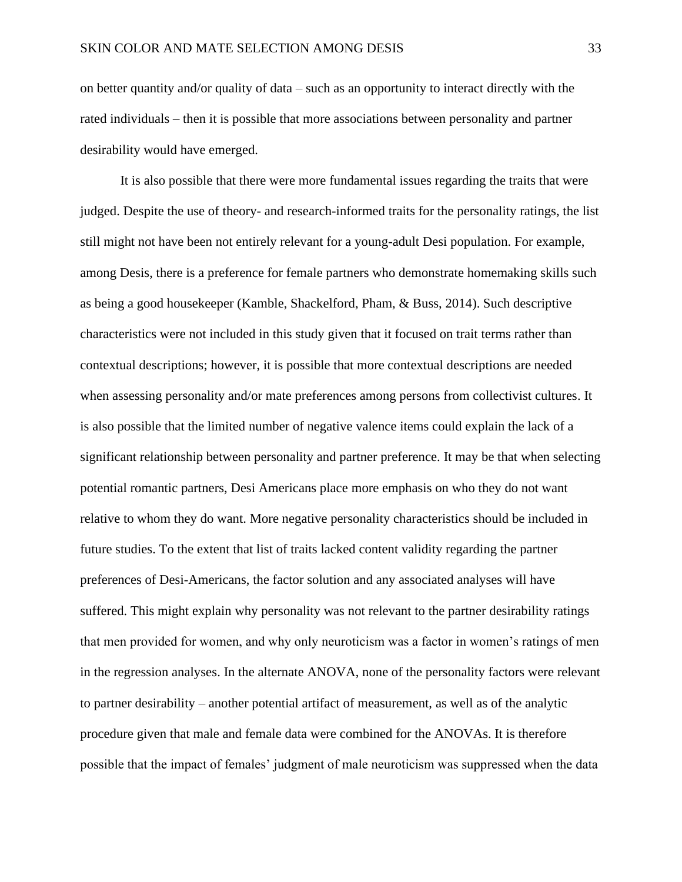on better quantity and/or quality of data – such as an opportunity to interact directly with the rated individuals – then it is possible that more associations between personality and partner desirability would have emerged.

It is also possible that there were more fundamental issues regarding the traits that were judged. Despite the use of theory- and research-informed traits for the personality ratings, the list still might not have been not entirely relevant for a young-adult Desi population. For example, among Desis, there is a preference for female partners who demonstrate homemaking skills such as being a good housekeeper (Kamble, Shackelford, Pham, & Buss, 2014). Such descriptive characteristics were not included in this study given that it focused on trait terms rather than contextual descriptions; however, it is possible that more contextual descriptions are needed when assessing personality and/or mate preferences among persons from collectivist cultures. It is also possible that the limited number of negative valence items could explain the lack of a significant relationship between personality and partner preference. It may be that when selecting potential romantic partners, Desi Americans place more emphasis on who they do not want relative to whom they do want. More negative personality characteristics should be included in future studies. To the extent that list of traits lacked content validity regarding the partner preferences of Desi-Americans, the factor solution and any associated analyses will have suffered. This might explain why personality was not relevant to the partner desirability ratings that men provided for women, and why only neuroticism was a factor in women's ratings of men in the regression analyses. In the alternate ANOVA, none of the personality factors were relevant to partner desirability – another potential artifact of measurement, as well as of the analytic procedure given that male and female data were combined for the ANOVAs. It is therefore possible that the impact of females' judgment of male neuroticism was suppressed when the data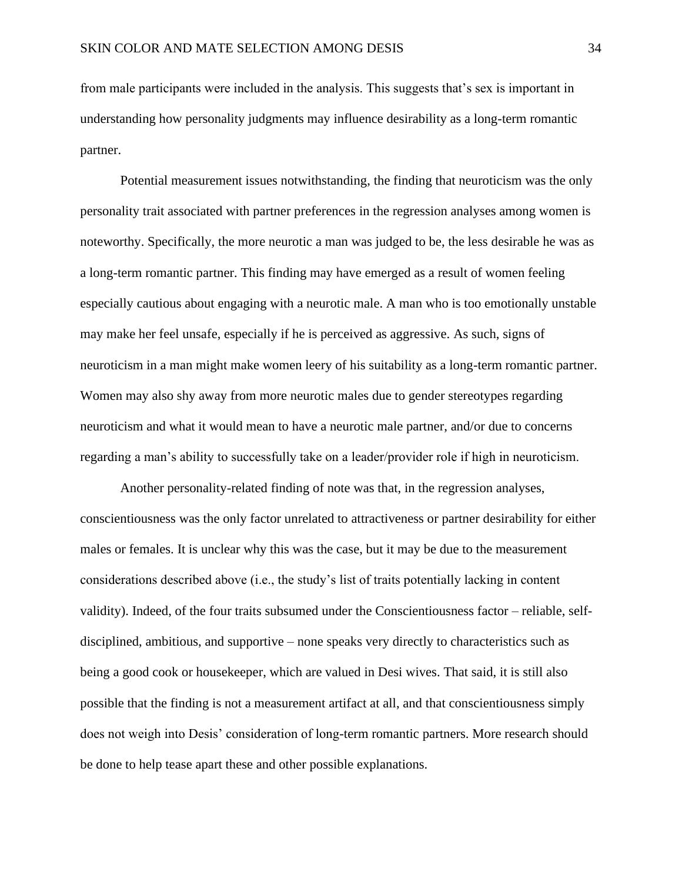from male participants were included in the analysis. This suggests that's sex is important in understanding how personality judgments may influence desirability as a long-term romantic partner.

Potential measurement issues notwithstanding, the finding that neuroticism was the only personality trait associated with partner preferences in the regression analyses among women is noteworthy. Specifically, the more neurotic a man was judged to be, the less desirable he was as a long-term romantic partner. This finding may have emerged as a result of women feeling especially cautious about engaging with a neurotic male. A man who is too emotionally unstable may make her feel unsafe, especially if he is perceived as aggressive. As such, signs of neuroticism in a man might make women leery of his suitability as a long-term romantic partner. Women may also shy away from more neurotic males due to gender stereotypes regarding neuroticism and what it would mean to have a neurotic male partner, and/or due to concerns regarding a man's ability to successfully take on a leader/provider role if high in neuroticism.

Another personality-related finding of note was that, in the regression analyses, conscientiousness was the only factor unrelated to attractiveness or partner desirability for either males or females. It is unclear why this was the case, but it may be due to the measurement considerations described above (i.e., the study's list of traits potentially lacking in content validity). Indeed, of the four traits subsumed under the Conscientiousness factor – reliable, selfdisciplined, ambitious, and supportive – none speaks very directly to characteristics such as being a good cook or housekeeper, which are valued in Desi wives. That said, it is still also possible that the finding is not a measurement artifact at all, and that conscientiousness simply does not weigh into Desis' consideration of long-term romantic partners. More research should be done to help tease apart these and other possible explanations.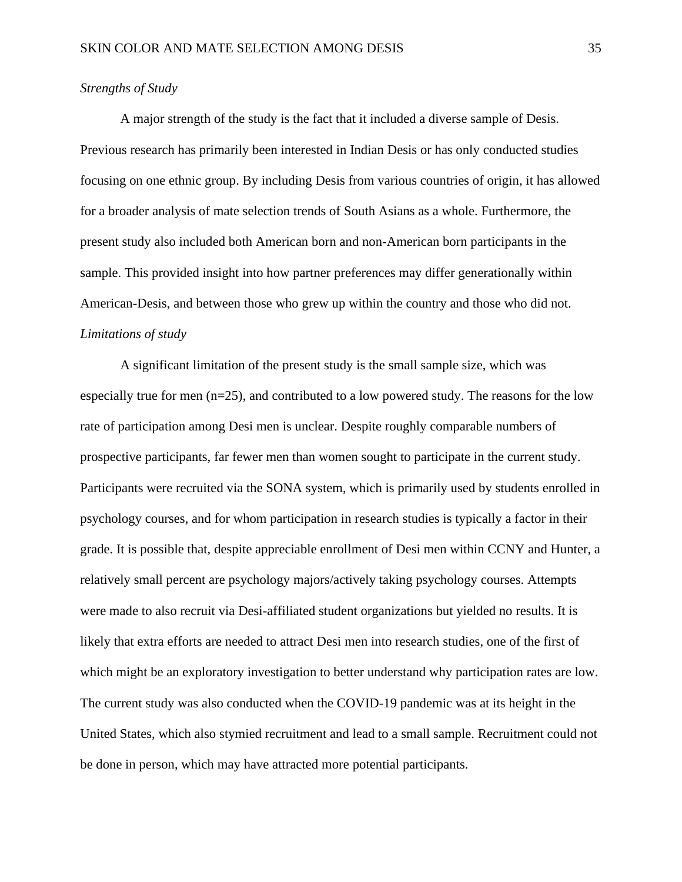#### *Strengths of Study*

A major strength of the study is the fact that it included a diverse sample of Desis. Previous research has primarily been interested in Indian Desis or has only conducted studies focusing on one ethnic group. By including Desis from various countries of origin, it has allowed for a broader analysis of mate selection trends of South Asians as a whole. Furthermore, the present study also included both American born and non-American born participants in the sample. This provided insight into how partner preferences may differ generationally within American-Desis, and between those who grew up within the country and those who did not. *Limitations of study*

A significant limitation of the present study is the small sample size, which was especially true for men  $(n=25)$ , and contributed to a low powered study. The reasons for the low rate of participation among Desi men is unclear. Despite roughly comparable numbers of prospective participants, far fewer men than women sought to participate in the current study. Participants were recruited via the SONA system, which is primarily used by students enrolled in psychology courses, and for whom participation in research studies is typically a factor in their grade. It is possible that, despite appreciable enrollment of Desi men within CCNY and Hunter, a relatively small percent are psychology majors/actively taking psychology courses. Attempts were made to also recruit via Desi-affiliated student organizations but yielded no results. It is likely that extra efforts are needed to attract Desi men into research studies, one of the first of which might be an exploratory investigation to better understand why participation rates are low. The current study was also conducted when the COVID-19 pandemic was at its height in the United States, which also stymied recruitment and lead to a small sample. Recruitment could not be done in person, which may have attracted more potential participants.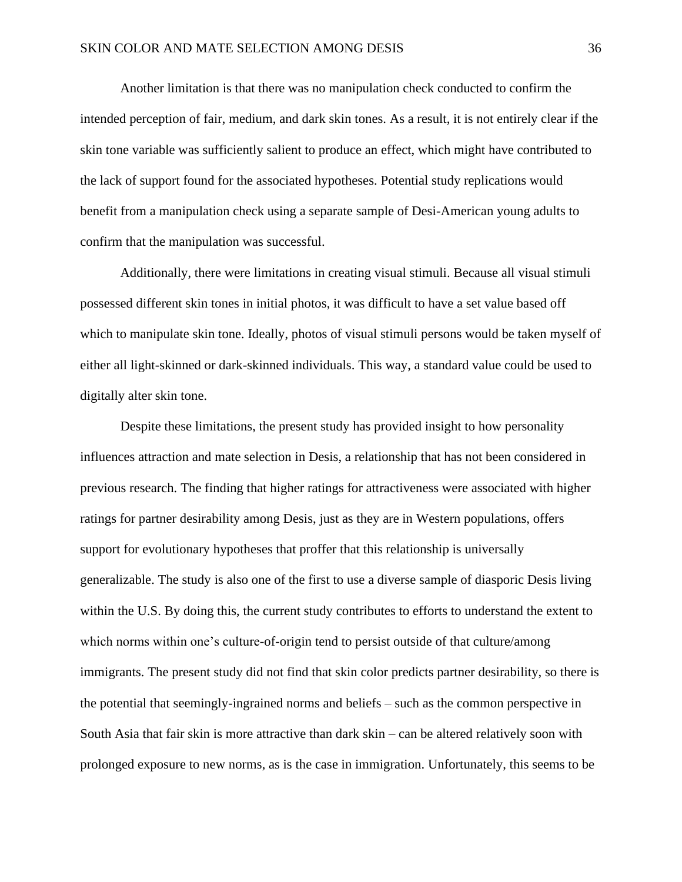Another limitation is that there was no manipulation check conducted to confirm the intended perception of fair, medium, and dark skin tones. As a result, it is not entirely clear if the skin tone variable was sufficiently salient to produce an effect, which might have contributed to the lack of support found for the associated hypotheses. Potential study replications would benefit from a manipulation check using a separate sample of Desi-American young adults to confirm that the manipulation was successful.

Additionally, there were limitations in creating visual stimuli. Because all visual stimuli possessed different skin tones in initial photos, it was difficult to have a set value based off which to manipulate skin tone. Ideally, photos of visual stimuli persons would be taken myself of either all light-skinned or dark-skinned individuals. This way, a standard value could be used to digitally alter skin tone.

Despite these limitations, the present study has provided insight to how personality influences attraction and mate selection in Desis, a relationship that has not been considered in previous research. The finding that higher ratings for attractiveness were associated with higher ratings for partner desirability among Desis, just as they are in Western populations, offers support for evolutionary hypotheses that proffer that this relationship is universally generalizable. The study is also one of the first to use a diverse sample of diasporic Desis living within the U.S. By doing this, the current study contributes to efforts to understand the extent to which norms within one's culture-of-origin tend to persist outside of that culture/among immigrants. The present study did not find that skin color predicts partner desirability, so there is the potential that seemingly-ingrained norms and beliefs – such as the common perspective in South Asia that fair skin is more attractive than dark skin – can be altered relatively soon with prolonged exposure to new norms, as is the case in immigration. Unfortunately, this seems to be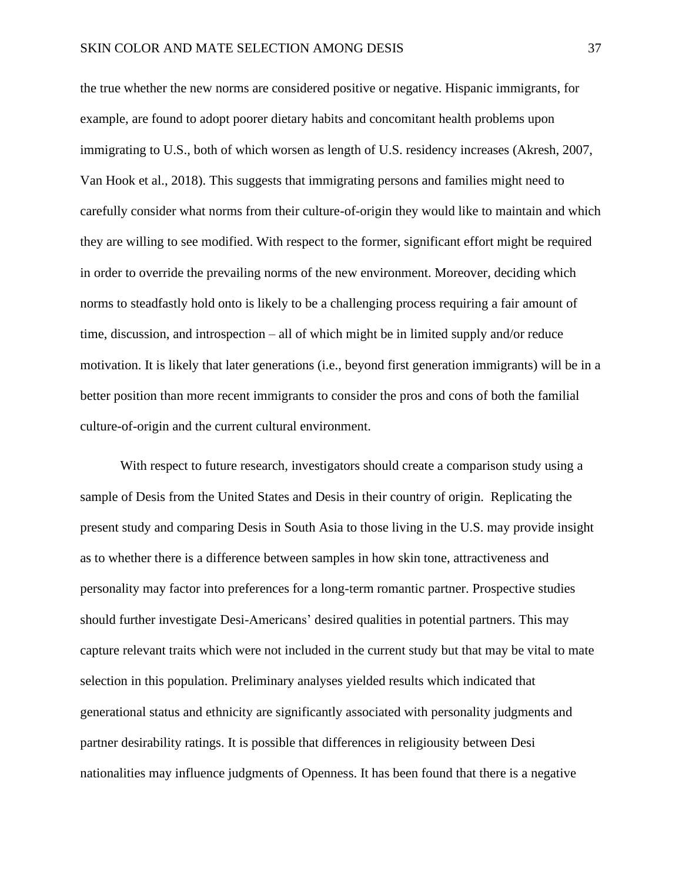the true whether the new norms are considered positive or negative. Hispanic immigrants, for example, are found to adopt poorer dietary habits and concomitant health problems upon immigrating to U.S., both of which worsen as length of U.S. residency increases (Akresh, 2007, Van Hook et al., 2018). This suggests that immigrating persons and families might need to carefully consider what norms from their culture-of-origin they would like to maintain and which they are willing to see modified. With respect to the former, significant effort might be required in order to override the prevailing norms of the new environment. Moreover, deciding which norms to steadfastly hold onto is likely to be a challenging process requiring a fair amount of time, discussion, and introspection – all of which might be in limited supply and/or reduce motivation. It is likely that later generations (i.e., beyond first generation immigrants) will be in a better position than more recent immigrants to consider the pros and cons of both the familial culture-of-origin and the current cultural environment.

With respect to future research, investigators should create a comparison study using a sample of Desis from the United States and Desis in their country of origin. Replicating the present study and comparing Desis in South Asia to those living in the U.S. may provide insight as to whether there is a difference between samples in how skin tone, attractiveness and personality may factor into preferences for a long-term romantic partner. Prospective studies should further investigate Desi-Americans' desired qualities in potential partners. This may capture relevant traits which were not included in the current study but that may be vital to mate selection in this population. Preliminary analyses yielded results which indicated that generational status and ethnicity are significantly associated with personality judgments and partner desirability ratings. It is possible that differences in religiousity between Desi nationalities may influence judgments of Openness. It has been found that there is a negative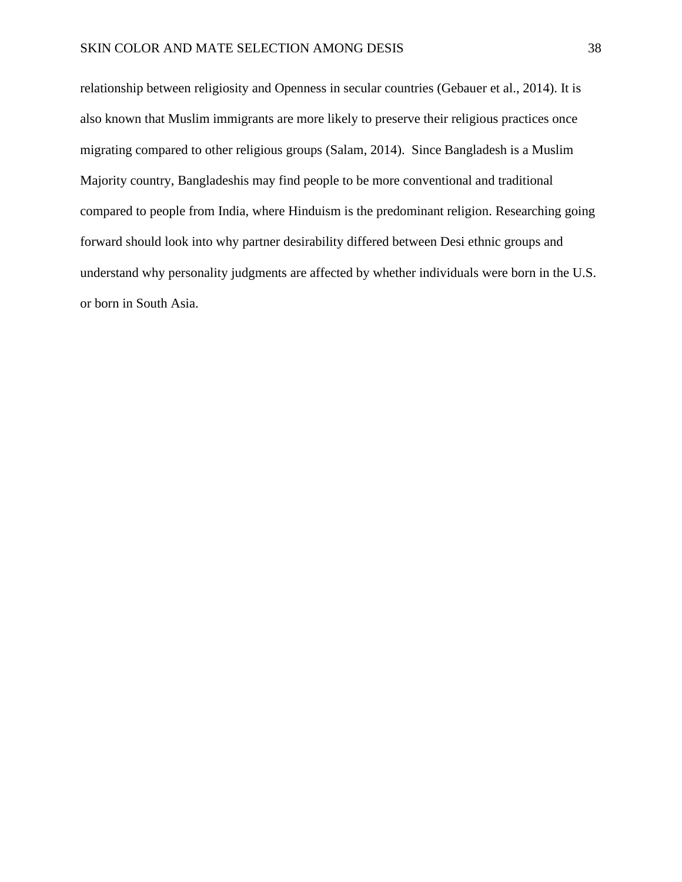relationship between religiosity and Openness in secular countries (Gebauer et al., 2014). It is also known that Muslim immigrants are more likely to preserve their religious practices once migrating compared to other religious groups (Salam, 2014). Since Bangladesh is a Muslim Majority country, Bangladeshis may find people to be more conventional and traditional compared to people from India, where Hinduism is the predominant religion. Researching going forward should look into why partner desirability differed between Desi ethnic groups and understand why personality judgments are affected by whether individuals were born in the U.S. or born in South Asia.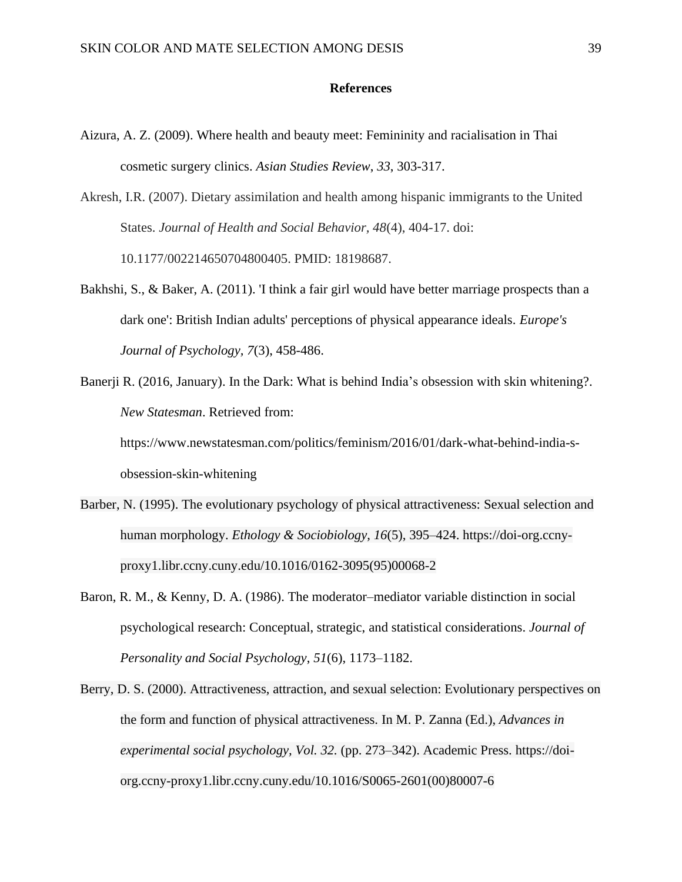#### **References**

- Aizura, A. Z. (2009). Where health and beauty meet: Femininity and racialisation in Thai cosmetic surgery clinics. *Asian Studies Review*, *33*, 303-317.
- Akresh, I.R. (2007). Dietary assimilation and health among hispanic immigrants to the United States. *Journal of Health and Social Behavior, 48*(4), 404-17. doi: 10.1177/002214650704800405. PMID: 18198687.
- Bakhshi, S., & Baker, A. (2011). 'I think a fair girl would have better marriage prospects than a dark one': British Indian adults' perceptions of physical appearance ideals. *Europe's Journal of Psychology, 7*(3), 458-486.
- Banerji R. (2016, January). In the Dark: What is behind India's obsession with skin whitening?. *New Statesman*. Retrieved from:

https://www.newstatesman.com/politics/feminism/2016/01/dark-what-behind-india-sobsession-skin-whitening

- Barber, N. (1995). The evolutionary psychology of physical attractiveness: Sexual selection and human morphology. *Ethology & Sociobiology*, *16*(5), 395–424. https://doi-org.ccnyproxy1.libr.ccny.cuny.edu/10.1016/0162-3095(95)00068-2
- Baron, R. M., & Kenny, D. A. (1986). The moderator–mediator variable distinction in social psychological research: Conceptual, strategic, and statistical considerations. *Journal of Personality and Social Psychology*, *51*(6), 1173–1182.
- Berry, D. S. (2000). Attractiveness, attraction, and sexual selection: Evolutionary perspectives on the form and function of physical attractiveness. In M. P. Zanna (Ed.), *Advances in experimental social psychology, Vol. 32.* (pp. 273–342). Academic Press. https://doiorg.ccny-proxy1.libr.ccny.cuny.edu/10.1016/S0065-2601(00)80007-6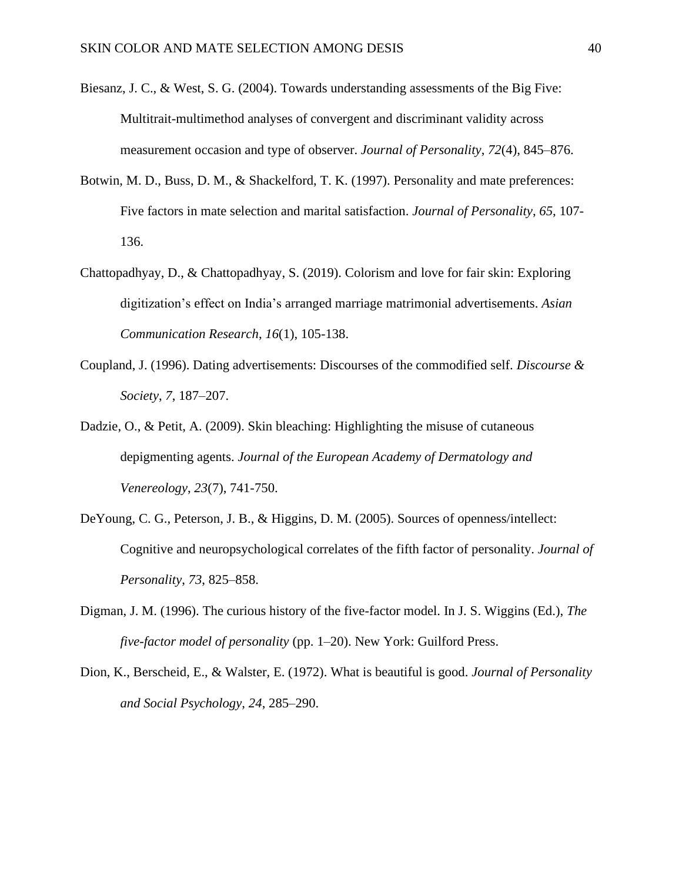- Biesanz, J. C., & West, S. G. (2004). Towards understanding assessments of the Big Five: Multitrait-multimethod analyses of convergent and discriminant validity across measurement occasion and type of observer. *Journal of Personality*, *72*(4), 845–876.
- Botwin, M. D., Buss, D. M., & Shackelford, T. K. (1997). Personality and mate preferences: Five factors in mate selection and marital satisfaction. *Journal of Personality*, *65*, 107- 136.
- Chattopadhyay, D., & Chattopadhyay, S. (2019). Colorism and love for fair skin: Exploring digitization's effect on India's arranged marriage matrimonial advertisements. *Asian Communication Research*, *16*(1), 105-138.
- Coupland, J. (1996). Dating advertisements: Discourses of the commodified self. *Discourse & Society*, *7*, 187–207.
- Dadzie, O., & Petit, A. (2009). Skin bleaching: Highlighting the misuse of cutaneous depigmenting agents. *Journal of the European Academy of Dermatology and Venereology*, *23*(7), 741-750.
- DeYoung, C. G., Peterson, J. B., & Higgins, D. M. (2005). Sources of openness/intellect: Cognitive and neuropsychological correlates of the fifth factor of personality. *Journal of Personality*, *73*, 825–858.
- Digman, J. M. (1996). The curious history of the five-factor model. In J. S. Wiggins (Ed.), *The five-factor model of personality* (pp. 1–20). New York: Guilford Press.
- Dion, K., Berscheid, E., & Walster, E. (1972). What is beautiful is good. *Journal of Personality and Social Psychology*, *24*, 285–290.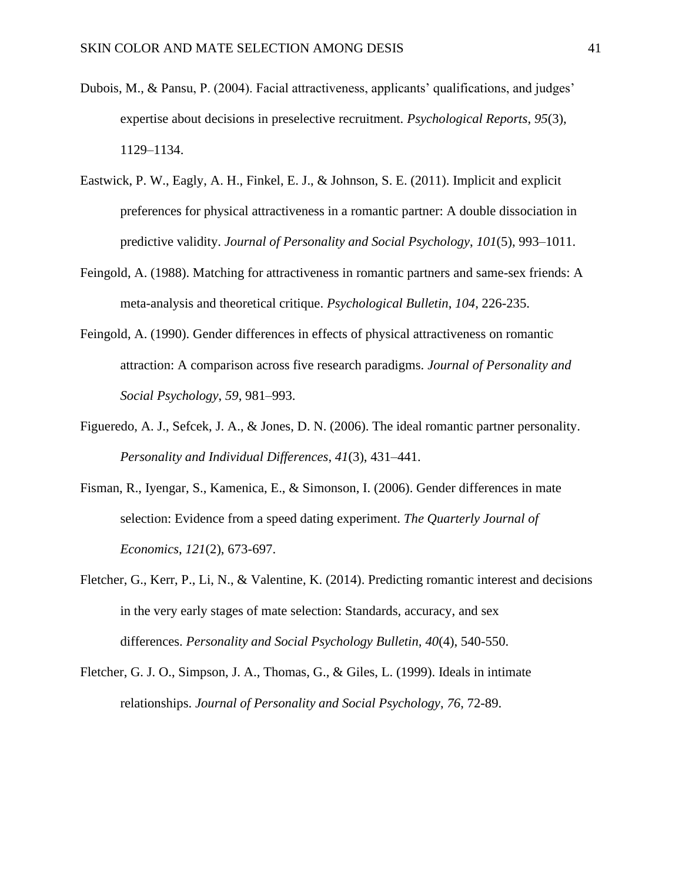- Dubois, M., & Pansu, P. (2004). Facial attractiveness, applicants' qualifications, and judges' expertise about decisions in preselective recruitment. *Psychological Reports*, *95*(3), 1129–1134.
- Eastwick, P. W., Eagly, A. H., Finkel, E. J., & Johnson, S. E. (2011). Implicit and explicit preferences for physical attractiveness in a romantic partner: A double dissociation in predictive validity. *Journal of Personality and Social Psychology*, *101*(5), 993–1011.
- Feingold, A. (1988). Matching for attractiveness in romantic partners and same-sex friends: A meta-analysis and theoretical critique. *Psychological Bulletin*, *104*, 226-235.
- Feingold, A. (1990). Gender differences in effects of physical attractiveness on romantic attraction: A comparison across five research paradigms. *Journal of Personality and Social Psychology*, *59*, 981–993.
- Figueredo, A. J., Sefcek, J. A., & Jones, D. N. (2006). The ideal romantic partner personality. *Personality and Individual Differences*, *41*(3), 431–441.
- Fisman, R., Iyengar, S., Kamenica, E., & Simonson, I. (2006). Gender differences in mate selection: Evidence from a speed dating experiment. *The Quarterly Journal of Economics*, *121*(2), 673-697.
- Fletcher, G., Kerr, P., Li, N., & Valentine, K. (2014). Predicting romantic interest and decisions in the very early stages of mate selection: Standards, accuracy, and sex differences. *Personality and Social Psychology Bulletin, 40*(4), 540-550.
- Fletcher, G. J. O., Simpson, J. A., Thomas, G., & Giles, L. (1999). Ideals in intimate relationships. *Journal of Personality and Social Psychology*, *76*, 72-89.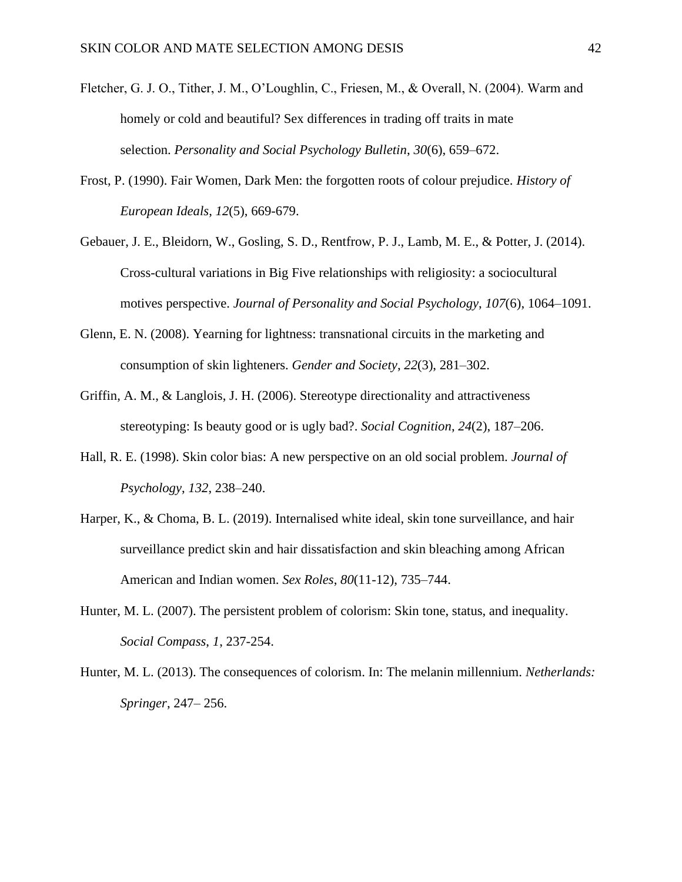- Fletcher, G. J. O., Tither, J. M., O'Loughlin, C., Friesen, M., & Overall, N. (2004). Warm and homely or cold and beautiful? Sex differences in trading off traits in mate selection. *Personality and Social Psychology Bulletin*, *30*(6), 659–672.
- Frost, P. (1990). Fair Women, Dark Men: the forgotten roots of colour prejudice. *History of European Ideals*, *12*(5), 669-679.
- Gebauer, J. E., Bleidorn, W., Gosling, S. D., Rentfrow, P. J., Lamb, M. E., & Potter, J. (2014). Cross-cultural variations in Big Five relationships with religiosity: a sociocultural motives perspective. *Journal of Personality and Social Psychology*, *107*(6), 1064–1091.
- Glenn, E. N. (2008). Yearning for lightness: transnational circuits in the marketing and consumption of skin lighteners. *Gender and Society*, *22*(3), 281–302.
- Griffin, A. M., & Langlois, J. H. (2006). Stereotype directionality and attractiveness stereotyping: Is beauty good or is ugly bad?. *Social Cognition*, *24*(2), 187–206.
- Hall, R. E. (1998). Skin color bias: A new perspective on an old social problem. *Journal of Psychology*, *132*, 238–240.
- Harper, K., & Choma, B. L. (2019). Internalised white ideal, skin tone surveillance, and hair surveillance predict skin and hair dissatisfaction and skin bleaching among African American and Indian women. *Sex Roles*, *80*(11-12), 735–744.
- Hunter, M. L. (2007). The persistent problem of colorism: Skin tone, status, and inequality. *Social Compass*, *1*, 237-254.
- Hunter, M. L. (2013). The consequences of colorism. In: The melanin millennium. *Netherlands: Springer*, 247– 256.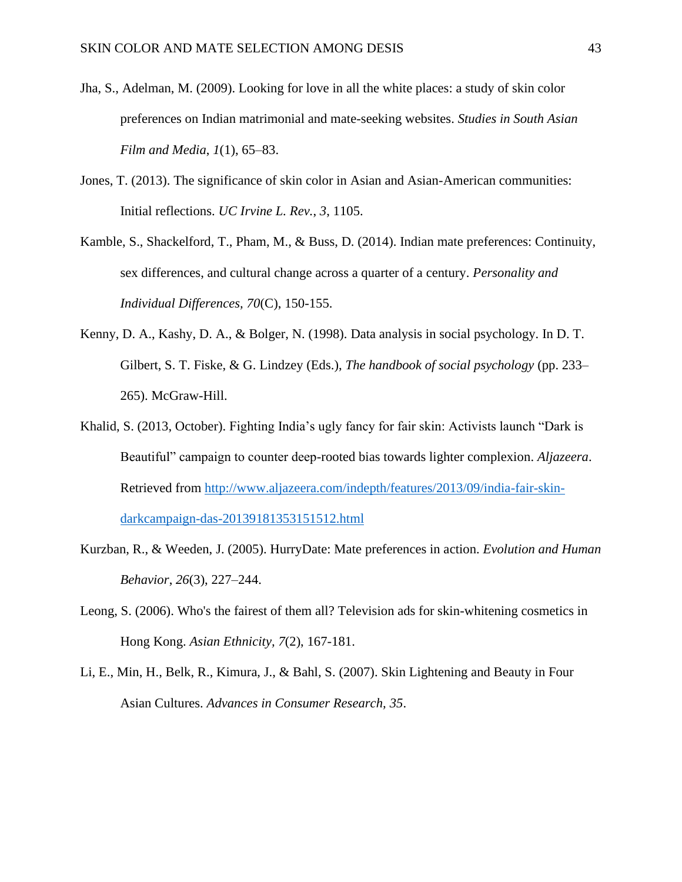- Jha, S., Adelman, M. (2009). Looking for love in all the white places: a study of skin color preferences on Indian matrimonial and mate-seeking websites. *Studies in South Asian Film and Media*, *1*(1), 65–83.
- Jones, T. (2013). The significance of skin color in Asian and Asian-American communities: Initial reflections. *UC Irvine L. Rev.*, *3*, 1105.
- Kamble, S., Shackelford, T., Pham, M., & Buss, D. (2014). Indian mate preferences: Continuity, sex differences, and cultural change across a quarter of a century. *Personality and Individual Differences, 70*(C), 150-155.
- Kenny, D. A., Kashy, D. A., & Bolger, N. (1998). Data analysis in social psychology. In D. T. Gilbert, S. T. Fiske, & G. Lindzey (Eds.), *The handbook of social psychology* (pp. 233– 265). McGraw-Hill.
- Khalid, S. (2013, October). Fighting India's ugly fancy for fair skin: Activists launch "Dark is Beautiful" campaign to counter deep-rooted bias towards lighter complexion. *Aljazeera*. Retrieved from [http://www.aljazeera.com/indepth/features/2013/09/india-fair-skin](http://www.aljazeera.com/indepth/features/2013/09/india-fair-skin-darkcampaign-das-20139181353151512.html)[darkcampaign-das-20139181353151512.html](http://www.aljazeera.com/indepth/features/2013/09/india-fair-skin-darkcampaign-das-20139181353151512.html)
- Kurzban, R., & Weeden, J. (2005). HurryDate: Mate preferences in action. *Evolution and Human Behavior*, *26*(3), 227–244.
- Leong, S. (2006). Who's the fairest of them all? Television ads for skin-whitening cosmetics in Hong Kong. *Asian Ethnicity, 7*(2), 167-181.
- Li, E., Min, H., Belk, R., Kimura, J., & Bahl, S. (2007). Skin Lightening and Beauty in Four Asian Cultures. *Advances in Consumer Research, 35*.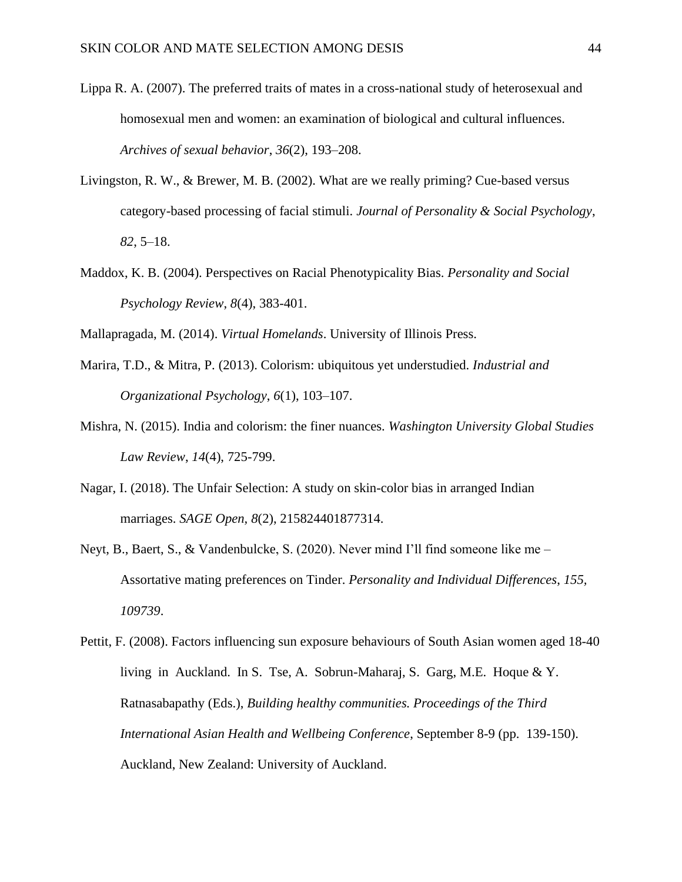- Lippa R. A. (2007). The preferred traits of mates in a cross-national study of heterosexual and homosexual men and women: an examination of biological and cultural influences. *Archives of sexual behavior*, *36*(2), 193–208.
- Livingston, R. W., & Brewer, M. B. (2002). What are we really priming? Cue-based versus category-based processing of facial stimuli. *Journal of Personality & Social Psychology*, *82*, 5–18.
- Maddox, K. B. (2004). Perspectives on Racial Phenotypicality Bias. *Personality and Social Psychology Review*, *8*(4), 383-401.
- Mallapragada, M. (2014). *Virtual Homelands*. University of Illinois Press.
- Marira, T.D., & Mitra, P. (2013). Colorism: ubiquitous yet understudied. *Industrial and Organizational Psychology*, *6*(1), 103–107.
- Mishra, N. (2015). India and colorism: the finer nuances. *Washington University Global Studies Law Review*, *14*(4), 725-799.
- Nagar, I. (2018). The Unfair Selection: A study on skin-color bias in arranged Indian marriages. *SAGE Open, 8*(2), 215824401877314.
- Neyt, B., Baert, S., & Vandenbulcke, S. (2020). Never mind I'll find someone like me Assortative mating preferences on Tinder. *Personality and Individual Differences*, *155, 109739*.

Pettit, F. (2008). Factors influencing sun exposure behaviours of South Asian women aged 18-40 living in Auckland. In S. Tse, A. Sobrun-Maharaj, S. Garg, M.E. Hoque & Y. Ratnasabapathy (Eds.), *Building healthy communities. Proceedings of the Third International Asian Health and Wellbeing Conference*, September 8-9 (pp. 139-150). Auckland, New Zealand: University of Auckland.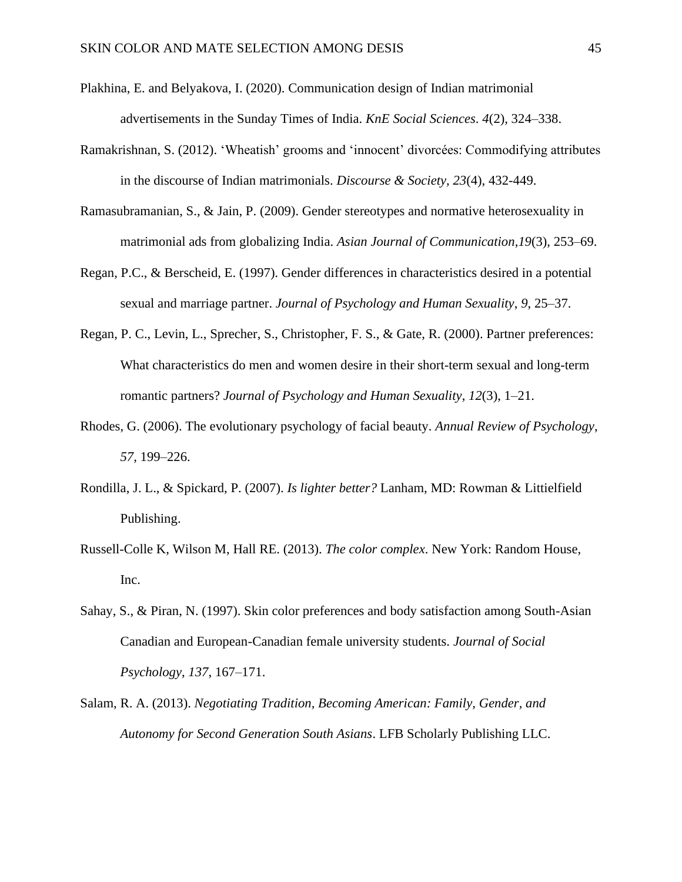- Plakhina, E. and Belyakova, I. (2020). Communication design of Indian matrimonial advertisements in the Sunday Times of India. *KnE Social Sciences*. *4*(2), 324–338.
- Ramakrishnan, S. (2012). 'Wheatish' grooms and 'innocent' divorcées: Commodifying attributes in the discourse of Indian matrimonials. *Discourse & Society, 23*(4), 432-449.
- Ramasubramanian, S., & Jain, P. (2009). Gender stereotypes and normative heterosexuality in matrimonial ads from globalizing India. *Asian Journal of Communication*,*19*(3), 253–69.
- Regan, P.C., & Berscheid, E. (1997). Gender differences in characteristics desired in a potential sexual and marriage partner. *Journal of Psychology and Human Sexuality*, *9*, 25–37.
- Regan, P. C., Levin, L., Sprecher, S., Christopher, F. S., & Gate, R. (2000). Partner preferences: What characteristics do men and women desire in their short-term sexual and long-term romantic partners? *Journal of Psychology and Human Sexuality*, *12*(3), 1–21.
- Rhodes, G. (2006). The evolutionary psychology of facial beauty. *Annual Review of Psychology*, *57*, 199–226.
- Rondilla, J. L., & Spickard, P. (2007). *Is lighter better?* Lanham, MD: Rowman & Littielfield Publishing.
- Russell-Colle K, Wilson M, Hall RE. (2013). *The color complex*. New York: Random House, Inc.
- Sahay, S., & Piran, N. (1997). Skin color preferences and body satisfaction among South-Asian Canadian and European-Canadian female university students. *Journal of Social Psychology*, *137*, 167–171.
- Salam, R. A. (2013). *Negotiating Tradition, Becoming American: Family, Gender, and Autonomy for Second Generation South Asians*. LFB Scholarly Publishing LLC.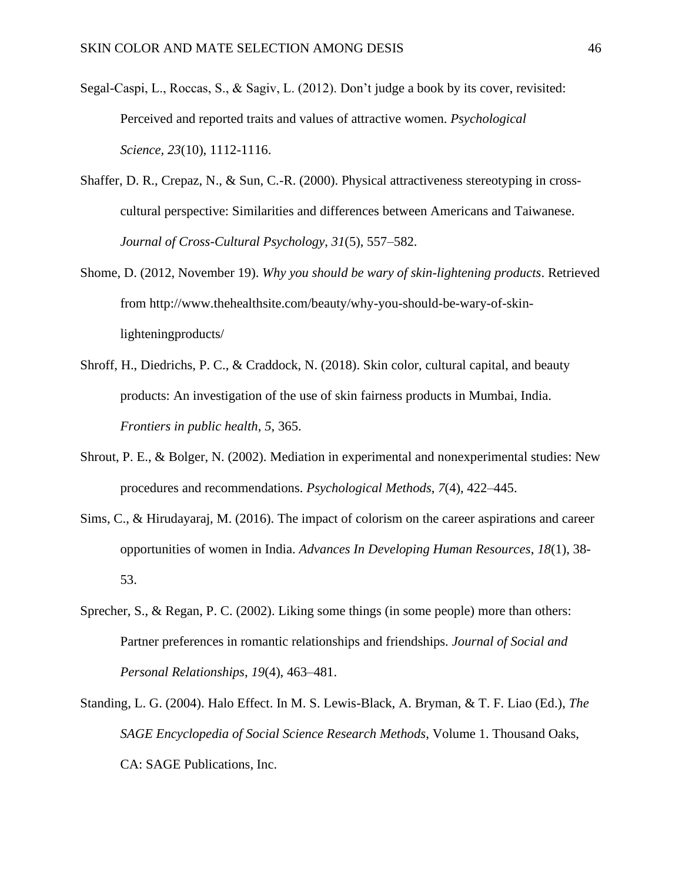- Segal-Caspi, L., Roccas, S., & Sagiv, L. (2012). Don't judge a book by its cover, revisited: Perceived and reported traits and values of attractive women. *Psychological Science, 23*(10), 1112-1116.
- Shaffer, D. R., Crepaz, N., & Sun, C.-R. (2000). Physical attractiveness stereotyping in crosscultural perspective: Similarities and differences between Americans and Taiwanese. *Journal of Cross-Cultural Psychology*, *31*(5), 557–582.
- Shome, D. (2012, November 19). *Why you should be wary of skin-lightening products*. Retrieved from http://www.thehealthsite.com/beauty/why-you-should-be-wary-of-skinlighteningproducts/
- Shroff, H., Diedrichs, P. C., & Craddock, N. (2018). Skin color, cultural capital, and beauty products: An investigation of the use of skin fairness products in Mumbai, India. *Frontiers in public health*, *5*, 365.
- Shrout, P. E., & Bolger, N. (2002). Mediation in experimental and nonexperimental studies: New procedures and recommendations. *Psychological Methods*, *7*(4), 422–445.
- Sims, C., & Hirudayaraj, M. (2016). The impact of colorism on the career aspirations and career opportunities of women in India. *Advances In Developing Human Resources*, *18*(1), 38- 53.
- Sprecher, S., & Regan, P. C. (2002). Liking some things (in some people) more than others: Partner preferences in romantic relationships and friendships*. Journal of Social and Personal Relationships*, *19*(4), 463–481.
- Standing, L. G. (2004). Halo Effect. In M. S. Lewis-Black, A. Bryman, & T. F. Liao (Ed.), *The SAGE Encyclopedia of Social Science Research Methods*, Volume 1. Thousand Oaks, CA: SAGE Publications, Inc.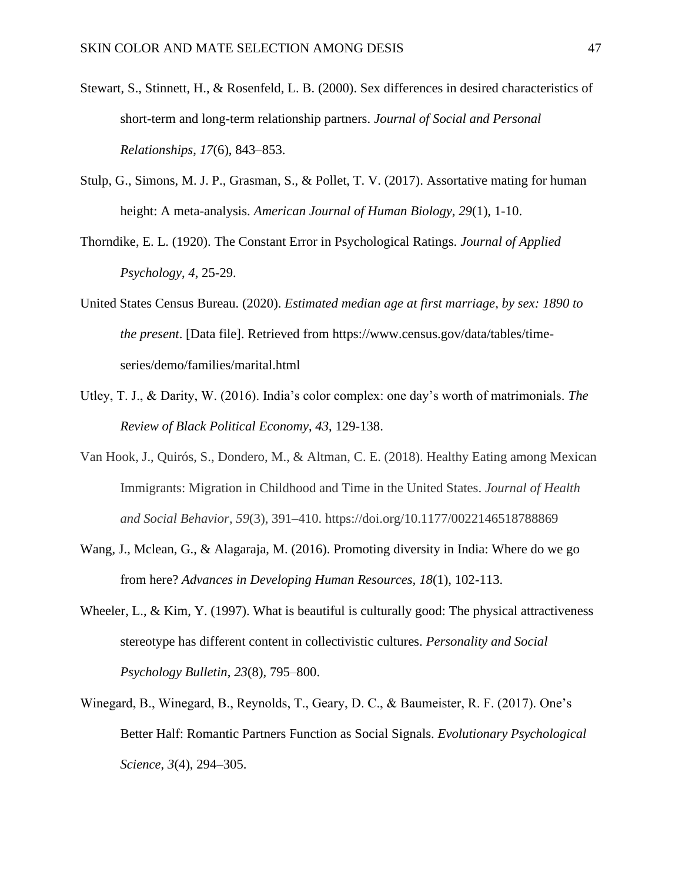- Stewart, S., Stinnett, H., & Rosenfeld, L. B. (2000). Sex differences in desired characteristics of short-term and long-term relationship partners. *Journal of Social and Personal Relationships*, *17*(6), 843–853.
- Stulp, G., Simons, M. J. P., Grasman, S., & Pollet, T. V. (2017). Assortative mating for human height: A meta-analysis. *American Journal of Human Biology*, *29*(1), 1-10.
- Thorndike, E. L. (1920). The Constant Error in Psychological Ratings. *Journal of Applied Psychology*, *4*, 25-29.
- United States Census Bureau. (2020). *Estimated median age at first marriage, by sex: 1890 to the present*. [Data file]. Retrieved from https://www.census.gov/data/tables/timeseries/demo/families/marital.html
- Utley, T. J., & Darity, W. (2016). India's color complex: one day's worth of matrimonials. *The Review of Black Political Economy*, *43*, 129-138.
- Van Hook, J., Quirós, S., Dondero, M., & Altman, C. E. (2018). Healthy Eating among Mexican Immigrants: Migration in Childhood and Time in the United States. *Journal of Health and Social Behavior*, *59*(3), 391–410. https://doi.org/10.1177/0022146518788869
- Wang, J., Mclean, G., & Alagaraja, M. (2016). Promoting diversity in India: Where do we go from here? *Advances in Developing Human Resources, 18*(1), 102-113.
- Wheeler, L., & Kim, Y. (1997). What is beautiful is culturally good: The physical attractiveness stereotype has different content in collectivistic cultures. *Personality and Social Psychology Bulletin*, *23*(8), 795–800.
- Winegard, B., Winegard, B., Reynolds, T., Geary, D. C., & Baumeister, R. F. (2017). One's Better Half: Romantic Partners Function as Social Signals. *Evolutionary Psychological Science*, *3*(4), 294–305.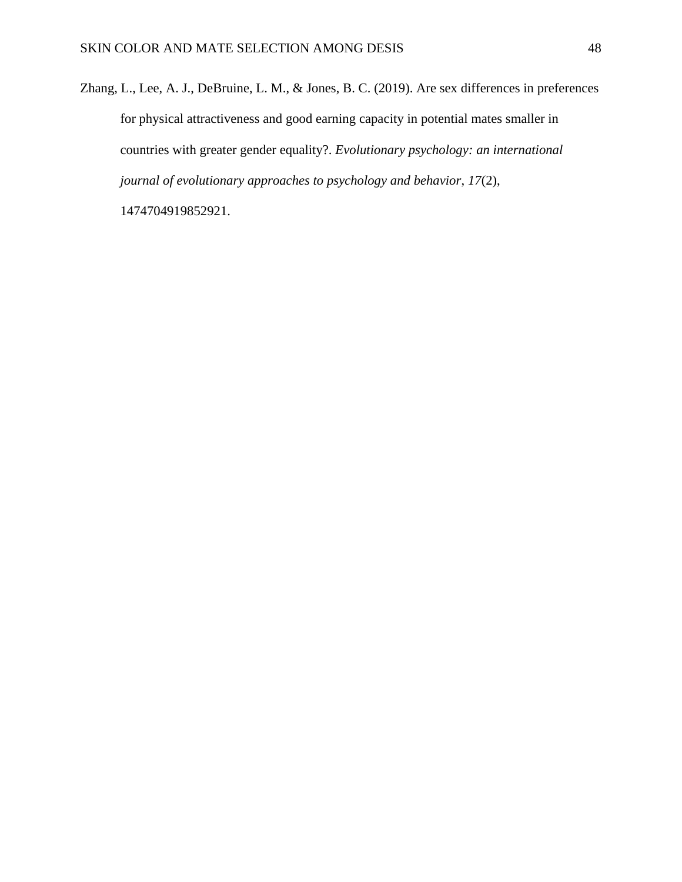Zhang, L., Lee, A. J., DeBruine, L. M., & Jones, B. C. (2019). Are sex differences in preferences for physical attractiveness and good earning capacity in potential mates smaller in countries with greater gender equality?. *Evolutionary psychology: an international journal of evolutionary approaches to psychology and behavior*, *17*(2),

1474704919852921.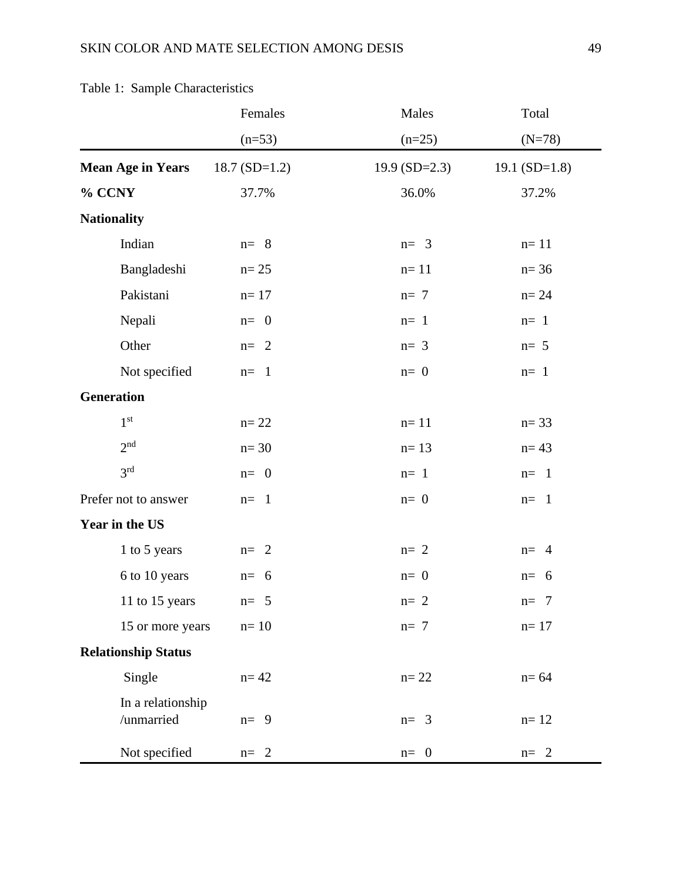|                                 | Females        | Males           | Total                  |
|---------------------------------|----------------|-----------------|------------------------|
|                                 | $(n=53)$       | $(n=25)$        | $(N=78)$               |
| <b>Mean Age in Years</b>        | $18.7(SD=1.2)$ | 19.9 $(SD=2.3)$ | 19.1 $(SD=1.8)$        |
| % CCNY                          | 37.7%          | 36.0%           | 37.2%                  |
| <b>Nationality</b>              |                |                 |                        |
| Indian                          | $n = 8$        | $n = 3$         | $n=11$                 |
| Bangladeshi                     | $n = 25$       | $n=11$          | $n = 36$               |
| Pakistani                       | $n=17$         | $n=7$           | $n=24$                 |
| Nepali                          | $n=0$          | $n=1$           | $n=1$                  |
| Other                           | $n = 2$        | $n=3$           | $n=5$                  |
| Not specified                   | $n = 1$        | $n=0$           | $n=1$                  |
| <b>Generation</b>               |                |                 |                        |
| 1 <sup>st</sup>                 | $n=22$         | $n=11$          | $n = 33$               |
| 2 <sup>nd</sup>                 | $n=30$         | $n=13$          | $n = 43$               |
| 3 <sup>rd</sup>                 | $n=0$          | $n=1$           | $n = 1$                |
| Prefer not to answer            | $n=1$          | $n=0$           | $n = 1$                |
| Year in the US                  |                |                 |                        |
| 1 to 5 years                    | $n = 2$        | $n=2$           | $n=4$                  |
| 6 to 10 years                   | $n=6$          | $n=0$           | $n=6$                  |
| 11 to 15 years                  | $n=5$          | $n=2$           | $\overline{7}$<br>$n=$ |
| 15 or more years                | $n=10$         | $n=7$           | $n=17$                 |
| <b>Relationship Status</b>      |                |                 |                        |
| Single                          | $n = 42$       | $n=22$          | $n=64$                 |
| In a relationship<br>/unmarried | $n=9$          | $n = 3$         | $n=12$                 |
| Not specified                   | $n = 2$        | $n = 0$         | $n = 2$                |

# Table 1: Sample Characteristics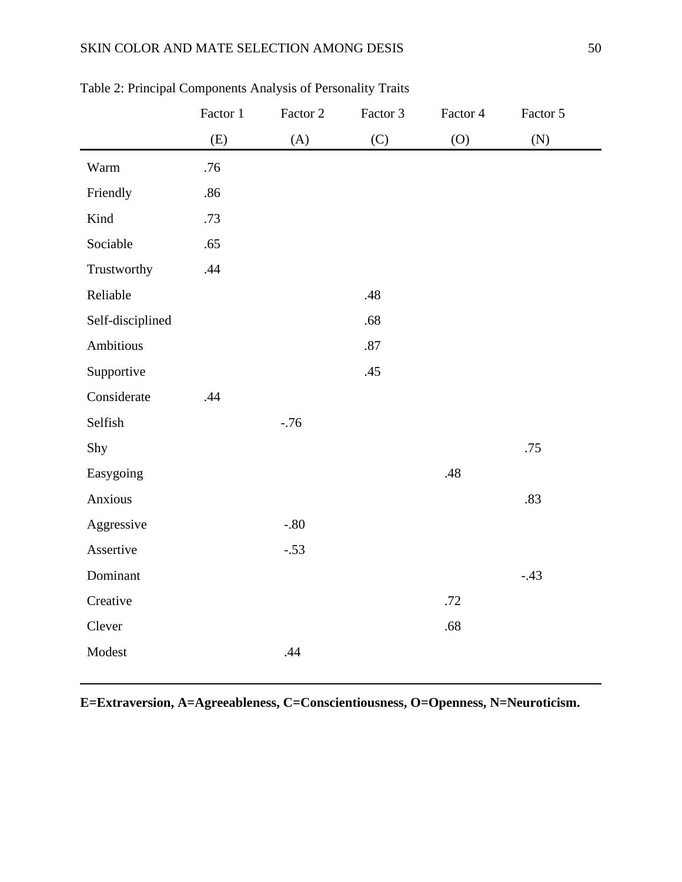## SKIN COLOR AND MATE SELECTION AMONG DESIS 50

|                  | Factor 1 | Factor 2 | Factor 3 | Factor 4          | Factor 5 |
|------------------|----------|----------|----------|-------------------|----------|
|                  | (E)      | (A)      | (C)      | $\left( 0\right)$ | (N)      |
| Warm             | .76      |          |          |                   |          |
| Friendly         | .86      |          |          |                   |          |
| Kind             | .73      |          |          |                   |          |
| Sociable         | .65      |          |          |                   |          |
| Trustworthy      | .44      |          |          |                   |          |
| Reliable         |          |          | .48      |                   |          |
| Self-disciplined |          |          | .68      |                   |          |
| Ambitious        |          |          | $.87\,$  |                   |          |
| Supportive       |          |          | .45      |                   |          |
| Considerate      | .44      |          |          |                   |          |
| Selfish          |          | $-.76$   |          |                   |          |
| Shy              |          |          |          |                   | .75      |
| Easygoing        |          |          |          | .48               |          |
| Anxious          |          |          |          |                   | .83      |
| Aggressive       |          | $-.80$   |          |                   |          |
| Assertive        |          | $-.53$   |          |                   |          |
| Dominant         |          |          |          |                   | $-.43$   |
| Creative         |          |          |          | .72               |          |
| Clever           |          |          |          | .68               |          |
| Modest           |          | .44      |          |                   |          |
|                  |          |          |          |                   |          |

Table 2: Principal Components Analysis of Personality Traits

**E=Extraversion, A=Agreeableness, C=Conscientiousness, O=Openness, N=Neuroticism.**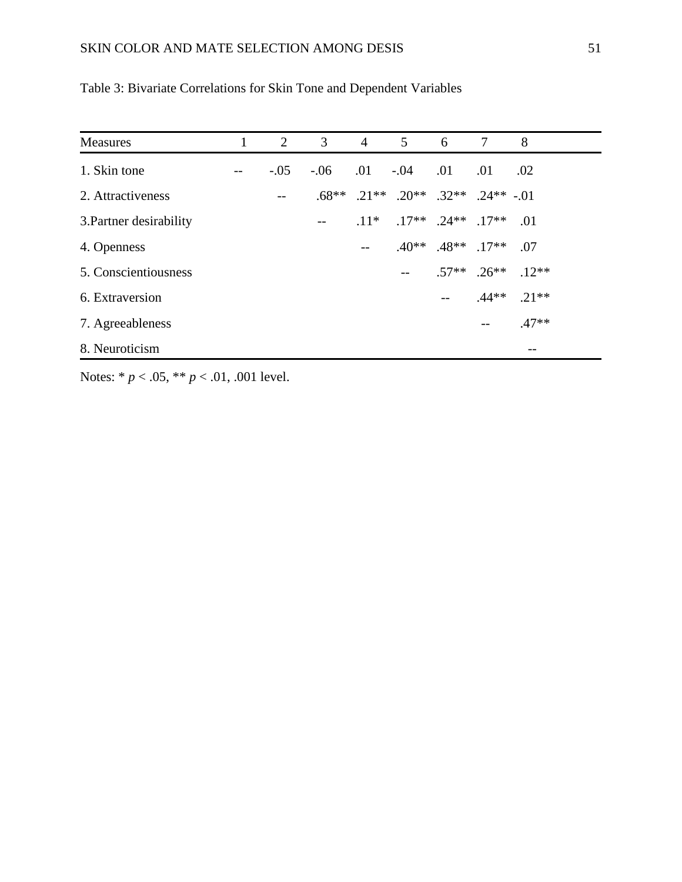| <b>Measures</b>         | 2      | $\mathbf{3}$ | $\overline{4}$ | $5\qquad 6$                                                   |                                        | $7\phantom{.0}$ | 8                       |
|-------------------------|--------|--------------|----------------|---------------------------------------------------------------|----------------------------------------|-----------------|-------------------------|
| 1. Skin tone            | $-.05$ |              |                | $-0.06$ $0.01$ $-0.04$                                        | $.01 \quad .01$                        |                 | .02                     |
| 2. Attractiveness       |        |              |                | $.68^{***}$ $.21^{**}$ $.20^{**}$ $.32^{**}$ $.24^{**}$ $.01$ |                                        |                 |                         |
| 3. Partner desirability |        |              |                | $.11*$ $.17**$ $.24**$ $.17**$ 01                             |                                        |                 |                         |
| 4. Openness             |        |              |                |                                                               | $.40^{***}$ $.48^{**}$ $.17^{**}$ 0.07 |                 |                         |
| 5. Conscientiousness    |        |              |                |                                                               |                                        |                 | $.57**$ $.26**$ $.12**$ |
| 6. Extraversion         |        |              |                |                                                               | $-$                                    |                 | $.44**$ .21**           |
| 7. Agreeableness        |        |              |                |                                                               |                                        | $- -$           | $.47**$                 |
| 8. Neuroticism          |        |              |                |                                                               |                                        |                 |                         |

Table 3: Bivariate Correlations for Skin Tone and Dependent Variables

Notes: \* *p* < .05, \*\* *p* < .01, .001 level.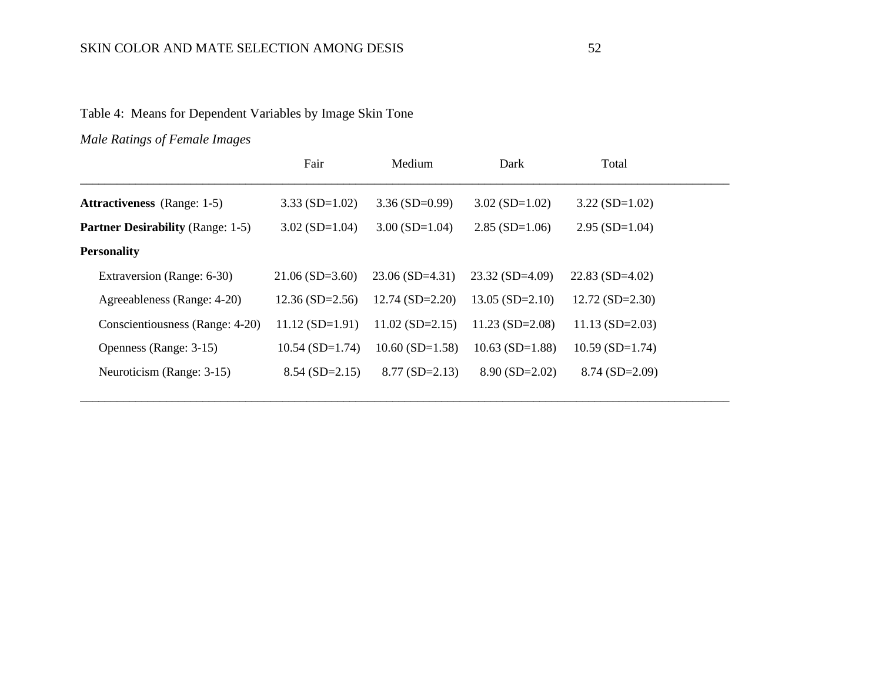Table 4: Means for Dependent Variables by Image Skin Tone

*Male Ratings of Female Images*

|                                          | Fair              | Medium                | Dark                  | Total                 |  |
|------------------------------------------|-------------------|-----------------------|-----------------------|-----------------------|--|
| <b>Attractiveness</b> (Range: 1-5)       | $3.33(SD=1.02)$   | $3.36(SD=0.99)$       | $3.02$ (SD=1.02)      | $3.22(SD=1.02)$       |  |
| <b>Partner Desirability (Range: 1-5)</b> | $3.02$ (SD=1.04)  | $3.00$ (SD=1.04)      | $2.85(SD=1.06)$       | $2.95(SD=1.04)$       |  |
| <b>Personality</b>                       |                   |                       |                       |                       |  |
| Extraversion (Range: 6-30)               | $21.06(SD=3.60)$  | $23.06(SD=4.31)$      | $23.32(SD=4.09)$      | $22.83$ (SD=4.02)     |  |
| Agreeableness (Range: 4-20)              | $12.36(SD=2.56)$  | $12.74(SD=2.20)$      | $13.05$ (SD=2.10)     | $12.72$ (SD= $2.30$ ) |  |
| Conscientiousness (Range: 4-20)          | $11.12(SD=1.91)$  | $11.02$ (SD=2.15)     | $11.23$ (SD=2.08)     | $11.13(SD=2.03)$      |  |
| Openness (Range: 3-15)                   | $10.54$ (SD=1.74) | $10.60$ (SD= $1.58$ ) | $10.63$ (SD= $1.88$ ) | $10.59$ (SD=1.74)     |  |
| Neuroticism (Range: 3-15)                | $8.54(SD=2.15)$   | $8.77$ (SD=2.13)      | $8.90(SD=2.02)$       | $8.74$ (SD=2.09)      |  |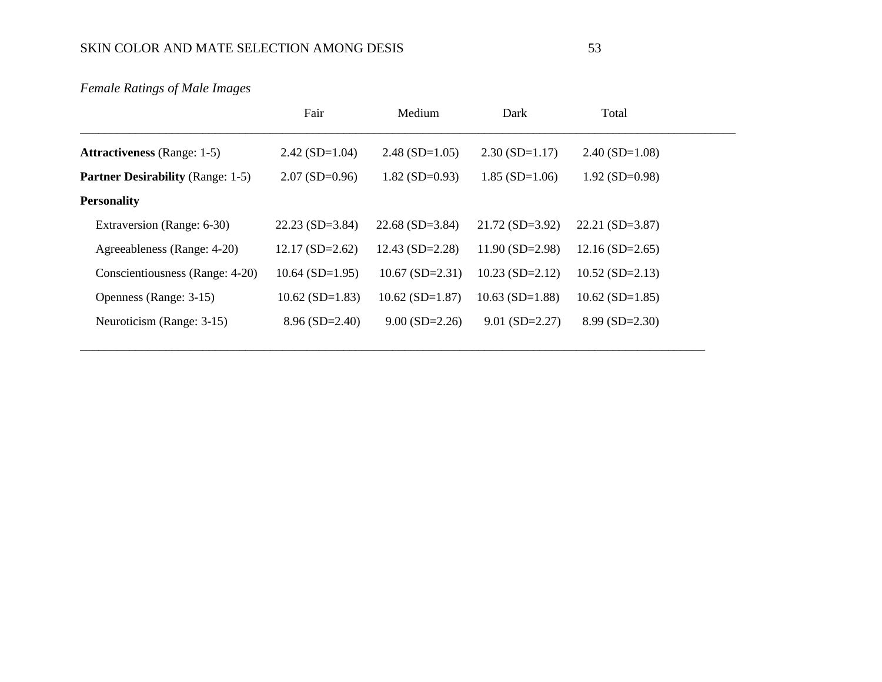*Female Ratings of Male Images*

|                                          | Fair              | Medium                | Dark                  | Total                 |  |
|------------------------------------------|-------------------|-----------------------|-----------------------|-----------------------|--|
| <b>Attractiveness</b> (Range: 1-5)       | $2.42$ (SD=1.04)  | $2.48(SD=1.05)$       | $2.30(SD=1.17)$       | $2.40$ (SD=1.08)      |  |
| <b>Partner Desirability</b> (Range: 1-5) | $2.07$ (SD=0.96)  | $1.82$ (SD=0.93)      | $1.85$ (SD= $1.06$ )  | $1.92$ (SD=0.98)      |  |
| <b>Personality</b>                       |                   |                       |                       |                       |  |
| Extraversion (Range: 6-30)               | $22.23$ (SD=3.84) | $22.68(SD=3.84)$      | $21.72$ (SD=3.92)     | $22.21(SD=3.87)$      |  |
| Agreeableness (Range: 4-20)              | $12.17(SD=2.62)$  | $12.43(SD=2.28)$      | $11.90(SD=2.98)$      | $12.16(SD=2.65)$      |  |
| Conscientiousness (Range: 4-20)          | $10.64$ (SD=1.95) | $10.67$ (SD=2.31)     | $10.23$ (SD=2.12)     | $10.52$ (SD=2.13)     |  |
| Openness (Range: 3-15)                   | $10.62$ (SD=1.83) | $10.62$ (SD= $1.87$ ) | $10.63$ (SD= $1.88$ ) | $10.62$ (SD= $1.85$ ) |  |
| Neuroticism (Range: 3-15)                | $8.96(SD=2.40)$   | $9.00$ (SD=2.26)      | $9.01$ (SD=2.27)      | $8.99(SD=2.30)$       |  |

\_\_\_\_\_\_\_\_\_\_\_\_\_\_\_\_\_\_\_\_\_\_\_\_\_\_\_\_\_\_\_\_\_\_\_\_\_\_\_\_\_\_\_\_\_\_\_\_\_\_\_\_\_\_\_\_\_\_\_\_\_\_\_\_\_\_\_\_\_\_\_\_\_\_\_\_\_\_\_\_\_\_\_\_\_\_\_\_\_\_\_\_\_\_\_\_\_\_\_\_\_\_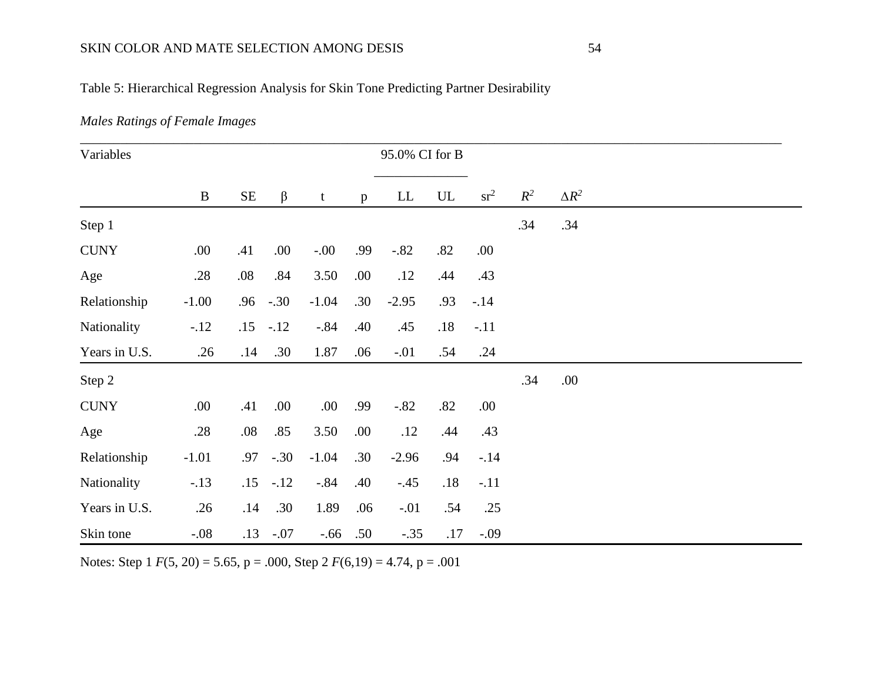## Table 5: Hierarchical Regression Analysis for Skin Tone Predicting Partner Desirability

## *Males Ratings of Female Images*

| Variables     |          |          |             |                 |              | 95.0% CI for B |                          |        |       |              |  |
|---------------|----------|----------|-------------|-----------------|--------------|----------------|--------------------------|--------|-------|--------------|--|
|               | $\bf{B}$ | $\rm SE$ | $\beta$     | $t_{\parallel}$ | $\mathbf{p}$ | LL             | $\ensuremath{\text{UL}}$ | $sr^2$ | $R^2$ | $\Delta R^2$ |  |
| Step 1        |          |          |             |                 |              |                |                          |        | .34   | .34          |  |
| <b>CUNY</b>   | .00.     | .41      | .00.        | $-.00$          | .99          | $-.82$         | .82                      | .00    |       |              |  |
| Age           | .28      | .08      | .84         | 3.50            | .00.         | .12            | .44                      | .43    |       |              |  |
| Relationship  | $-1.00$  | .96      | $-.30$      | $-1.04$         | .30          | $-2.95$        | .93                      | $-.14$ |       |              |  |
| Nationality   | $-12$    | .15      | $-.12$      | $-.84$          | .40          | .45            | .18                      | $-.11$ |       |              |  |
| Years in U.S. | .26      | .14      | .30         | 1.87            | .06          | $-.01$         | .54                      | .24    |       |              |  |
| Step 2        |          |          |             |                 |              |                |                          |        | .34   | .00.         |  |
| <b>CUNY</b>   | .00.     | .41      | .00.        | .00             | .99          | $-.82$         | .82                      | .00.   |       |              |  |
| Age           | .28      | .08      | .85         | 3.50            | .00          | .12            | .44                      | .43    |       |              |  |
| Relationship  | $-1.01$  | .97      | $-.30$      | $-1.04$         | .30          | $-2.96$        | .94                      | $-.14$ |       |              |  |
| Nationality   | $-.13$   | .15      | $-.12$      | $-.84$          | .40          | $-.45$         | .18                      | $-.11$ |       |              |  |
| Years in U.S. | .26      | .14      | .30         | 1.89            | .06          | $-.01$         | .54                      | .25    |       |              |  |
| Skin tone     | $-.08$   |          | $.13 - .07$ | $-.66$          | .50          | $-.35$         | .17                      | $-.09$ |       |              |  |

Notes: Step 1 *F*(5, 20) = 5.65, p = .000, Step 2 *F*(6,19) = 4.74, p = .001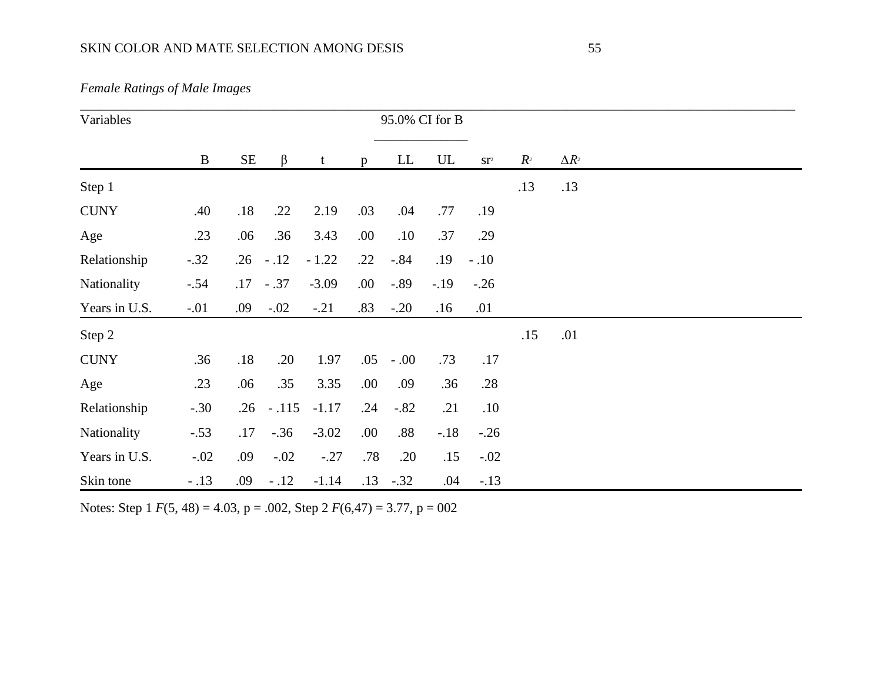| <b>Female Ratings of Male Images</b> |  |  |
|--------------------------------------|--|--|
|--------------------------------------|--|--|

| Variables     |          |          |         |         |              |            | 95.0% CI for B           |                          |                |              |  |
|---------------|----------|----------|---------|---------|--------------|------------|--------------------------|--------------------------|----------------|--------------|--|
|               | $\bf{B}$ | $\rm SE$ | $\beta$ | t       | $\mathbf{p}$ | ${\rm LL}$ | $\ensuremath{\text{UL}}$ | $\mathbf{S}\mathbf{T}^2$ | R <sup>2</sup> | $\Delta R^2$ |  |
| Step 1        |          |          |         |         |              |            |                          |                          | .13            | .13          |  |
| <b>CUNY</b>   | .40      | .18      | .22     | 2.19    | .03          | .04        | .77                      | .19                      |                |              |  |
| Age           | .23      | .06      | .36     | 3.43    | .00.         | .10        | .37                      | .29                      |                |              |  |
| Relationship  | $-.32$   | .26      | $-.12$  | $-1.22$ | .22          | $-.84$     | .19                      | $-.10$                   |                |              |  |
| Nationality   | $-.54$   | .17      | $-.37$  | $-3.09$ | .00.         | $-.89$     | $-.19$                   | $-.26$                   |                |              |  |
| Years in U.S. | $-.01$   | .09      | $-.02$  | $-.21$  | .83          | $-.20$     | .16                      | .01                      |                |              |  |
| Step 2        |          |          |         |         |              |            |                          |                          | .15            | .01          |  |
| <b>CUNY</b>   | .36      | .18      | .20     | 1.97    | .05          | $-.00$     | .73                      | .17                      |                |              |  |
| Age           | .23      | .06      | .35     | 3.35    | .00          | .09        | .36                      | .28                      |                |              |  |
| Relationship  | $-.30$   | .26      | $-.115$ | $-1.17$ | .24          | $-.82$     | .21                      | .10                      |                |              |  |
| Nationality   | $-.53$   | .17      | $-.36$  | $-3.02$ | .00.         | .88        | $-.18$                   | $-.26$                   |                |              |  |
| Years in U.S. | $-.02$   | .09      | $-.02$  | $-.27$  | .78          | .20        | .15                      | $-.02$                   |                |              |  |
| Skin tone     | $-.13$   | .09      | $-.12$  | $-1.14$ | .13          | $-.32$     | .04                      | $-.13$                   |                |              |  |

Notes: Step 1 *F*(5, 48) = 4.03, p = .002, Step 2 *F*(6,47) = 3.77, p = 002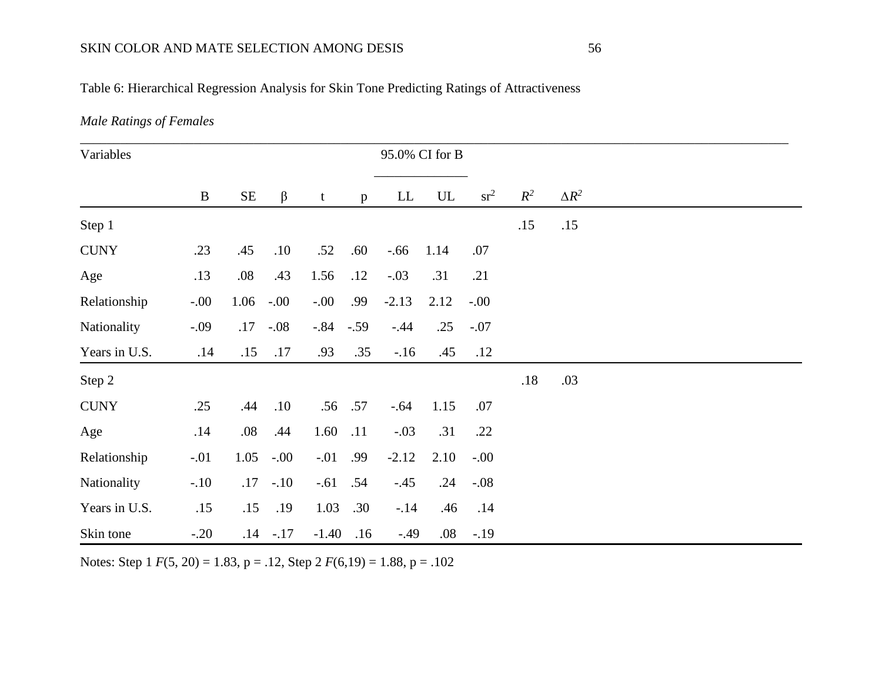## Table 6: Hierarchical Regression Analysis for Skin Tone Predicting Ratings of Attractiveness

## *Male Ratings of Females*

| Variables     |          |          |             |            |     |         | 95.0% CI for B           |        |       |              |  |
|---------------|----------|----------|-------------|------------|-----|---------|--------------------------|--------|-------|--------------|--|
|               | $\bf{B}$ | $\rm SE$ | $\beta$     | t          | p   | LL      | $\ensuremath{\text{UL}}$ | $sr^2$ | $R^2$ | $\Delta R^2$ |  |
| Step 1        |          |          |             |            |     |         |                          |        | .15   | .15          |  |
| <b>CUNY</b>   | .23      | .45      | .10         | .52        | .60 | $-.66$  | 1.14                     | .07    |       |              |  |
| Age           | .13      | .08      | .43         | 1.56       | .12 | $-.03$  | .31                      | .21    |       |              |  |
| Relationship  | $-0.00$  | 1.06     | $-.00$      | $-0.00$    | .99 | $-2.13$ | 2.12                     | $-.00$ |       |              |  |
| Nationality   | $-.09$   | .17      | $-.08$      | $-.84-.59$ |     | $-.44$  | .25                      | $-.07$ |       |              |  |
| Years in U.S. | .14      | .15      | .17         | .93        | .35 | $-.16$  | .45                      | .12    |       |              |  |
| Step 2        |          |          |             |            |     |         |                          |        | .18   | .03          |  |
| <b>CUNY</b>   | .25      | .44      | .10         | .56        | .57 | $-.64$  | 1.15                     | .07    |       |              |  |
| Age           | .14      | .08      | .44         | 1.60       | .11 | $-.03$  | .31                      | .22    |       |              |  |
| Relationship  | $-.01$   | 1.05     | $-.00$      | $-.01$     | .99 | $-2.12$ | 2.10                     | $-.00$ |       |              |  |
| Nationality   | $-.10$   | .17      | $-.10$      | $-.61$     | .54 | $-.45$  | .24                      | $-.08$ |       |              |  |
| Years in U.S. | .15      | .15      | .19         | 1.03       | .30 | $-.14$  | .46                      | .14    |       |              |  |
| Skin tone     | $-.20$   |          | $.14 - .17$ | $-1.40$    | .16 | $-.49$  | $.08\,$                  | $-.19$ |       |              |  |

Notes: Step 1 *F*(5, 20) = 1.83, p = .12, Step 2 *F*(6,19) = 1.88, p = .102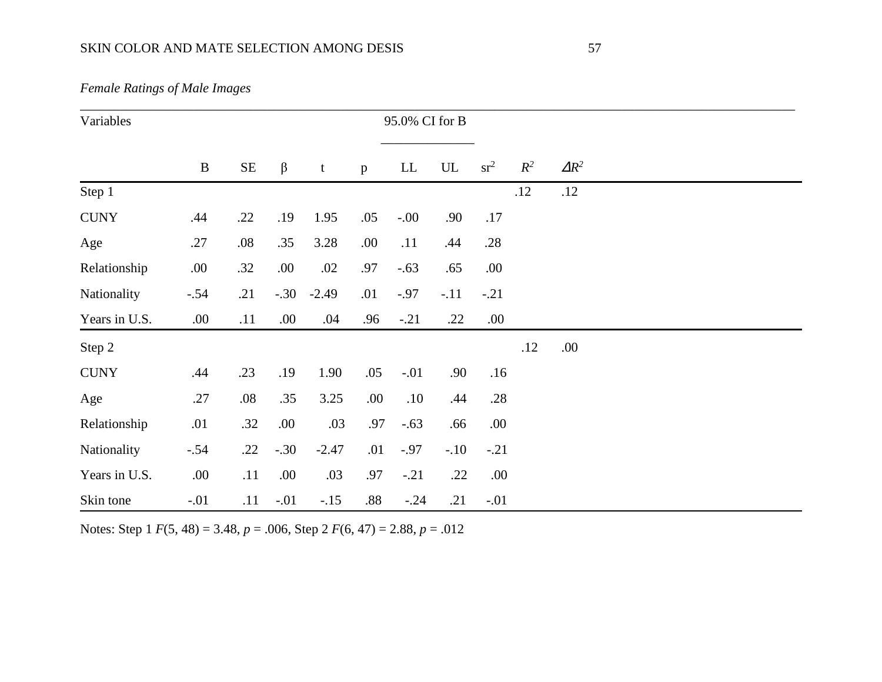| Variables     |          |          |         |         |      | 95.0% CI for B |        |        |       |              |  |
|---------------|----------|----------|---------|---------|------|----------------|--------|--------|-------|--------------|--|
|               | $\bf{B}$ | $\rm SE$ | $\beta$ | t       | p    | LL             | UL     | $sr^2$ | $R^2$ | $\Delta R^2$ |  |
| Step 1        |          |          |         |         |      |                |        |        | .12   | .12          |  |
| <b>CUNY</b>   | .44      | .22      | .19     | 1.95    | .05  | $-00.$         | .90    | .17    |       |              |  |
| Age           | .27      | .08      | .35     | 3.28    | .00. | .11            | .44    | .28    |       |              |  |
| Relationship  | .00.     | .32      | .00.    | .02     | .97  | $-.63$         | .65    | .00    |       |              |  |
| Nationality   | $-.54$   | .21      | $-.30$  | $-2.49$ | .01  | $-0.97$        | $-.11$ | $-.21$ |       |              |  |
| Years in U.S. | .00.     | .11      | .00     | .04     | .96  | $-.21$         | .22    | .00.   |       |              |  |
| Step 2        |          |          |         |         |      |                |        |        | .12   | .00.         |  |
| <b>CUNY</b>   | .44      | .23      | .19     | 1.90    | .05  | $-.01$         | .90    | .16    |       |              |  |
| Age           | .27      | $.08\,$  | .35     | 3.25    | .00. | .10            | .44    | .28    |       |              |  |
| Relationship  | .01      | .32      | .00.    | .03     | .97  | $-.63$         | .66    | .00    |       |              |  |
| Nationality   | $-.54$   | .22      | $-.30$  | $-2.47$ | .01  | $-.97$         | $-.10$ | $-.21$ |       |              |  |
| Years in U.S. | .00.     | .11      | .00.    | .03     | .97  | $-.21$         | .22    | .00.   |       |              |  |
| Skin tone     | $-.01$   | .11      | $-.01$  | $-.15$  | .88  | $-.24$         | .21    | $-.01$ |       |              |  |

*Female Ratings of Male Images*

Notes: Step 1 *F*(5, 48) = 3.48, *p* = .006, Step 2 *F*(6, 47) = 2.88, *p* = .012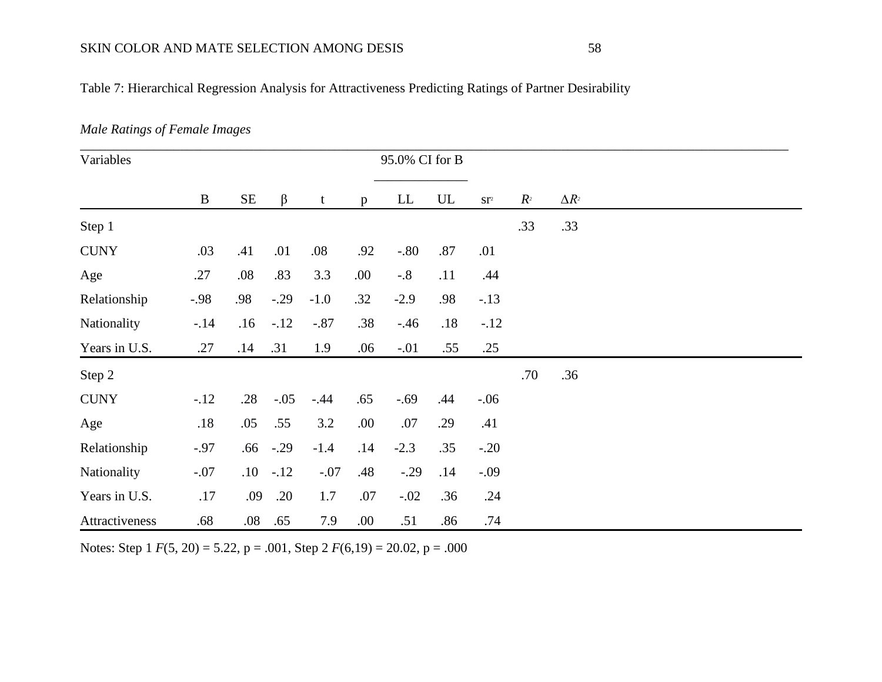## Table 7: Hierarchical Regression Analysis for Attractiveness Predicting Ratings of Partner Desirability

### *Male Ratings of Female Images*

| Variables      |          |          |        |         |              | 95.0% CI for B |                          |                          |                |              |
|----------------|----------|----------|--------|---------|--------------|----------------|--------------------------|--------------------------|----------------|--------------|
|                | $\bf{B}$ | $\rm SE$ | β      | t       | $\mathbf{p}$ | LL             | $\ensuremath{\text{UL}}$ | $\mathbf{S}\mathbf{T}^2$ | R <sup>2</sup> | $\Delta R^2$ |
| Step 1         |          |          |        |         |              |                |                          |                          | .33            | .33          |
| <b>CUNY</b>    | .03      | .41      | .01    | .08     | .92          | $-.80$         | .87                      | .01                      |                |              |
| Age            | .27      | .08      | .83    | 3.3     | .00.         | $-.8$          | .11                      | .44                      |                |              |
| Relationship   | $-.98$   | .98      | $-.29$ | $-1.0$  | .32          | $-2.9$         | .98                      | $-.13$                   |                |              |
| Nationality    | $-14$    | .16      | $-.12$ | $-.87$  | .38          | $-.46$         | .18                      | $-.12$                   |                |              |
| Years in U.S.  | .27      | .14      | .31    | 1.9     | .06          | $-.01$         | .55                      | .25                      |                |              |
| Step 2         |          |          |        |         |              |                |                          |                          | .70            | .36          |
| <b>CUNY</b>    | $-.12$   | .28      | $-.05$ | $-.44$  | .65          | $-.69$         | .44                      | $-.06$                   |                |              |
| Age            | .18      | .05      | .55    | 3.2     | .00          | .07            | .29                      | .41                      |                |              |
| Relationship   | $-.97$   | .66      | $-.29$ | $-1.4$  | .14          | $-2.3$         | .35                      | $-.20$                   |                |              |
| Nationality    | $-.07$   | .10      | $-.12$ | $-.07$  | .48          | $-.29$         | .14                      | $-.09$                   |                |              |
| Years in U.S.  | .17      | .09      | .20    | $1.7\,$ | $.07$        | $-.02$         | .36                      | .24                      |                |              |
| Attractiveness | .68      | .08      | .65    | 7.9     | .00          | .51            | .86                      | .74                      |                |              |

Notes: Step 1 *F*(5, 20) = 5.22, p = .001, Step 2 *F*(6,19) = 20.02, p = .000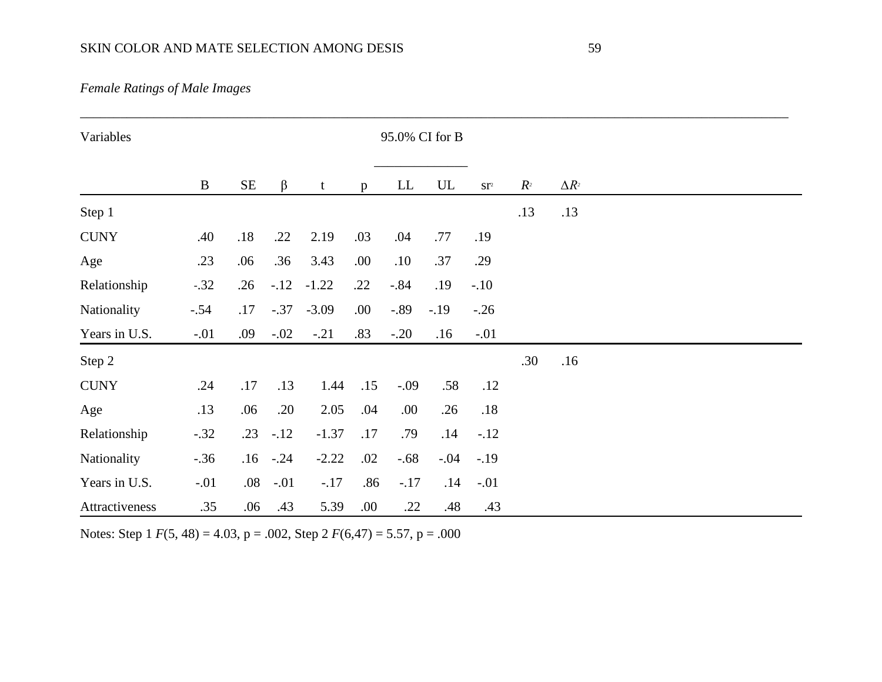| Variables      |          |          |         |         |      | 95.0% CI for B |            |                          |                |              |  |  |
|----------------|----------|----------|---------|---------|------|----------------|------------|--------------------------|----------------|--------------|--|--|
|                | $\bf{B}$ | $\rm SE$ | $\beta$ | t       | p    | LL             | ${\rm UL}$ | $\mathbf{S}\mathbf{T}^2$ | R <sup>2</sup> | $\Delta R^2$ |  |  |
| Step 1         |          |          |         |         |      |                |            |                          | .13            | .13          |  |  |
| <b>CUNY</b>    | .40      | .18      | .22     | 2.19    | .03  | .04            | .77        | .19                      |                |              |  |  |
| Age            | .23      | .06      | .36     | 3.43    | .00. | .10            | .37        | .29                      |                |              |  |  |
| Relationship   | $-.32$   | .26      | $-.12$  | $-1.22$ | .22  | $-.84$         | .19        | $-.10$                   |                |              |  |  |
| Nationality    | $-.54$   | .17      | $-.37$  | $-3.09$ | .00. | $-.89$         | $-.19$     | $-.26$                   |                |              |  |  |
| Years in U.S.  | $-.01$   | .09      | $-.02$  | $-.21$  | .83  | $-.20$         | .16        | $-.01$                   |                |              |  |  |
| Step 2         |          |          |         |         |      |                |            |                          | .30            | .16          |  |  |
| <b>CUNY</b>    | .24      | .17      | .13     | 1.44    | .15  | $-.09$         | .58        | .12                      |                |              |  |  |
| Age            | .13      | .06      | .20     | 2.05    | .04  | .00.           | .26        | .18                      |                |              |  |  |
| Relationship   | $-.32$   | .23      | $-.12$  | $-1.37$ | .17  | .79            | .14        | $-.12$                   |                |              |  |  |
| Nationality    | $-.36$   | .16      | $-.24$  | $-2.22$ | .02  | $-.68$         | $-.04$     | $-.19$                   |                |              |  |  |
| Years in U.S.  | $-.01$   | .08      | $-.01$  | $-.17$  | .86  | $-.17$         | .14        | $-.01$                   |                |              |  |  |
| Attractiveness | .35      | .06      | .43     | 5.39    | .00. | .22            | .48        | .43                      |                |              |  |  |

Notes: Step 1 *F*(5, 48) = 4.03, p = .002, Step 2 *F*(6,47) = 5.57, p = .000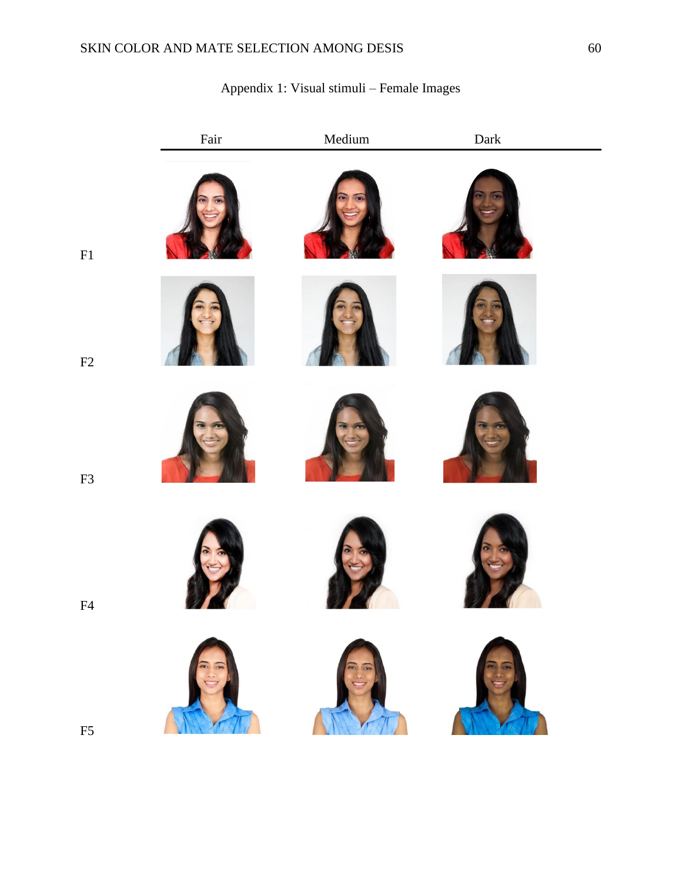|    | Fair | Medium | ${\rm Dark}$ |
|----|------|--------|--------------|
| F1 |      |        |              |
| F2 |      |        |              |
| F3 |      |        |              |
| F4 |      |        |              |
| F5 |      |        | XX           |
|    |      |        |              |

## Appendix 1: Visual stimuli – Female Images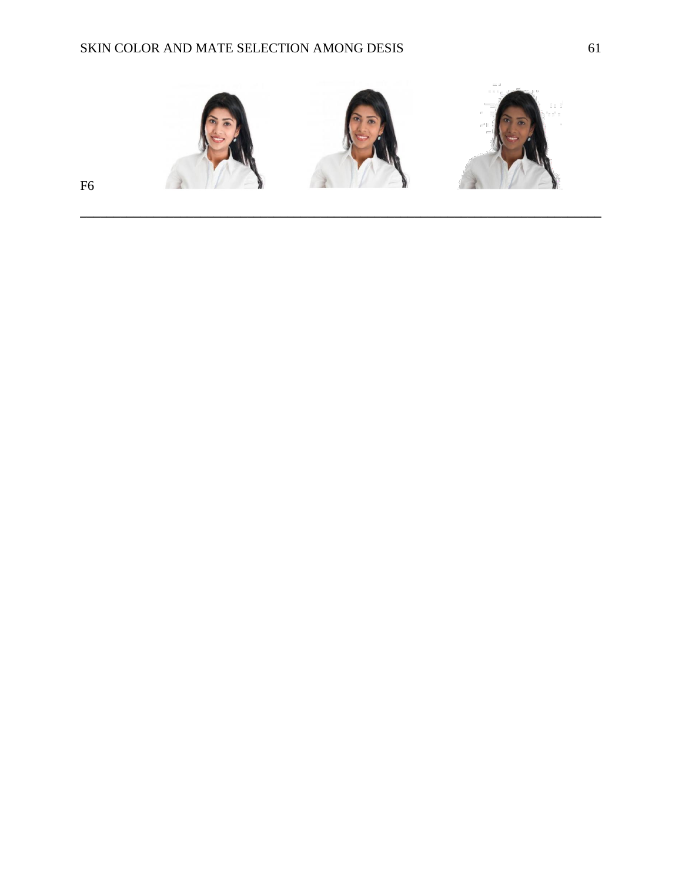

**\_\_\_\_\_\_\_\_\_\_\_\_\_\_\_\_\_\_\_\_\_\_\_\_\_\_\_\_\_\_\_\_\_\_\_\_\_\_\_\_\_\_\_\_\_\_\_\_\_\_\_\_\_\_\_\_\_\_\_\_\_\_\_\_\_\_\_\_\_\_\_\_\_\_\_\_\_\_**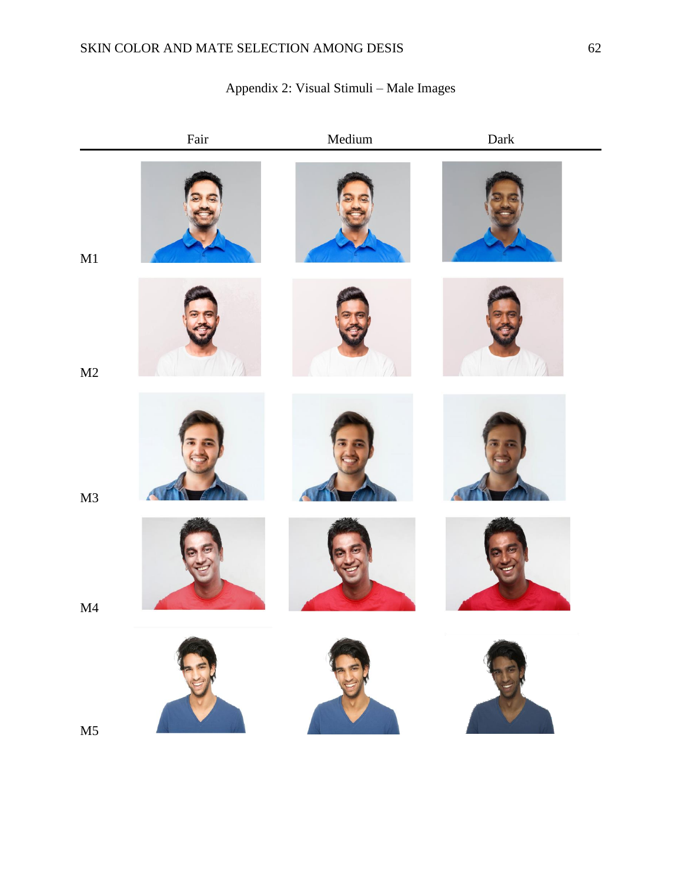# Fair Medium Dark M1 M2 M3 M4 M5

## Appendix 2: Visual Stimuli – Male Images